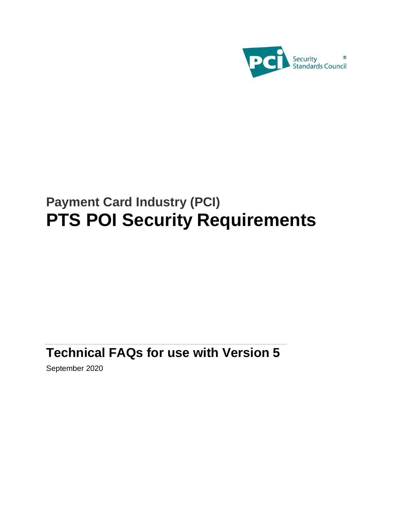

# **Payment Card Industry (PCI) PTS POI Security Requirements**

# **Technical FAQs for use with Version 5**

September 2020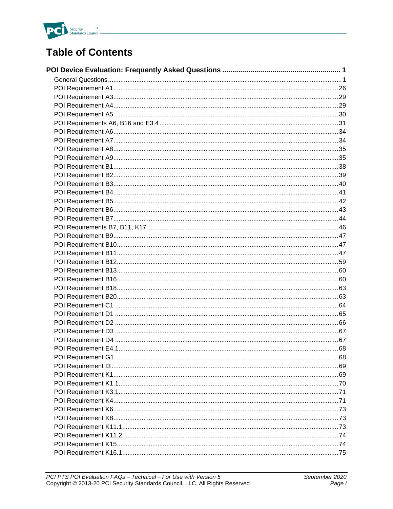

## **Table of Contents**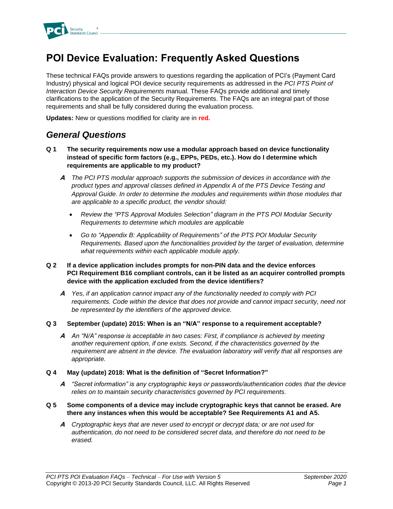

## <span id="page-2-0"></span>**POI Device Evaluation: Frequently Asked Questions**

These technical FAQs provide answers to questions regarding the application of PCI's (Payment Card Industry) physical and logical POI device security requirements as addressed in the *PCI PTS Point of Interaction Device Security Requirements* manual. These FAQs provide additional and timely clarifications to the application of the Security Requirements. The FAQs are an integral part of those requirements and shall be fully considered during the evaluation process.

**Updates:** New or questions modified for clarity are in **red.**

## <span id="page-2-1"></span>*General Questions*

- **Q 1 The security requirements now use a modular approach based on device functionality instead of specific form factors (e.g., EPPs, PEDs, etc.). How do I determine which requirements are applicable to my product?**
	- **A** *The PCI PTS modular approach supports the submission of devices in accordance with the product types and approval classes defined in Appendix A of the PTS Device Testing and Approval Guide. In order to determine the modules and requirements within those modules that are applicable to a specific product, the vendor should:*
		- *Review the "PTS Approval Modules Selection" diagram in the PTS POI Modular Security Requirements to determine which modules are applicable*
		- *Go to "Appendix B: Applicability of Requirements" of the PTS POI Modular Security Requirements. Based upon the functionalities provided by the target of evaluation, determine what requirements within each applicable module apply.*

#### **Q 2 If a device application includes prompts for non-PIN data and the device enforces PCI Requirement B16 compliant controls, can it be listed as an acquirer controlled prompts device with the application excluded from the device identifiers?**

- **A** *Yes, if an application cannot impact any of the functionality needed to comply with PCI*  requirements. Code within the device that does not provide and cannot impact security, need not *be represented by the identifiers of the approved device.*
- **Q 3 September (update) 2015: When is an "N/A" response to a requirement acceptable?**
	- **A** *An "N/A" response is acceptable in two cases: First, if compliance is achieved by meeting another requirement option, if one exists. Second, if the characteristics governed by the requirement are absent in the device. The evaluation laboratory will verify that all responses are appropriate.*
- **Q 4 May (update) 2018: What is the definition of "Secret Information?"**
	- **A** *"Secret information" is any cryptographic keys or passwords/authentication codes that the device relies on to maintain security characteristics governed by PCI requirements.*
- **Q 5 Some components of a device may include cryptographic keys that cannot be erased. Are there any instances when this would be acceptable? See Requirements A1 and A5.** 
	- **A** *Cryptographic keys that are never used to encrypt or decrypt data; or are not used for authentication, do not need to be considered secret data, and therefore do not need to be erased.*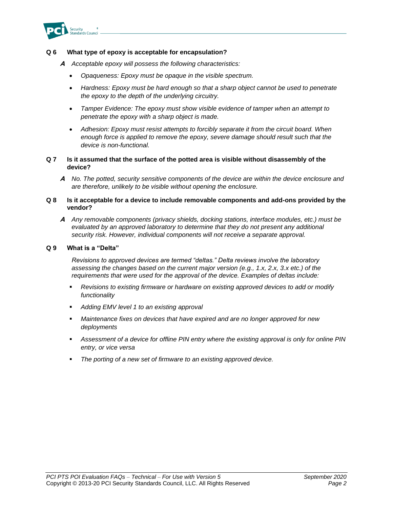

#### **Q 6 What type of epoxy is acceptable for encapsulation?**

- **A** *Acceptable epoxy will possess the following characteristics:*
	- *Opaqueness: Epoxy must be opaque in the visible spectrum.*
	- *Hardness: Epoxy must be hard enough so that a sharp object cannot be used to penetrate the epoxy to the depth of the underlying circuitry.*
	- *Tamper Evidence: The epoxy must show visible evidence of tamper when an attempt to penetrate the epoxy with a sharp object is made.*
	- *Adhesion: Epoxy must resist attempts to forcibly separate it from the circuit board. When enough force is applied to remove the epoxy, severe damage should result such that the device is non-functional.*
- **Q 7 Is it assumed that the surface of the potted area is visible without disassembly of the device?**
	- **A** *No. The potted, security sensitive components of the device are within the device enclosure and are therefore, unlikely to be visible without opening the enclosure.*

#### **Q 8 Is it acceptable for a device to include removable components and add-ons provided by the vendor?**

**A** *Any removable components (privacy shields, docking stations, interface modules, etc.) must be evaluated by an approved laboratory to determine that they do not present any additional security risk. However, individual components will not receive a separate approval.* 

#### **Q 9 What is a "Delta"**

*Revisions to approved devices are termed "deltas." Delta reviews involve the laboratory assessing the changes based on the current major version (e.g., 1.x, 2.x, 3.x etc.) of the requirements that were used for the approval of the device. Examples of deltas include:*

- Revisions to existing firmware or hardware on existing approved devices to add or modify *functionality*
- *Adding EMV level 1 to an existing approval*
- Maintenance fixes on devices that have expired and are no longer approved for new *deployments*
- *Assessment of a device for offline PIN entry where the existing approval is only for online PIN entry, or vice versa*
- The porting of a new set of firmware to an existing approved device.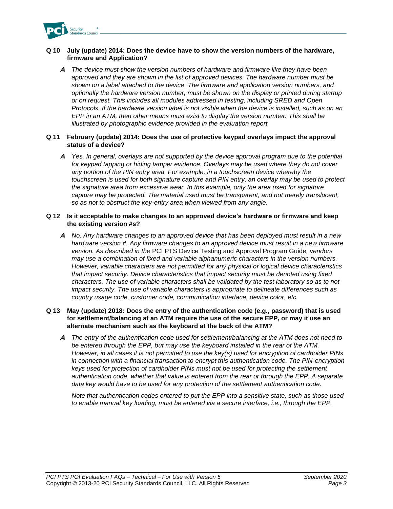

#### **Q 10 July (update) 2014: Does the device have to show the version numbers of the hardware, firmware and Application?**

**A** *The device must show the version numbers of hardware and firmware like they have been approved and they are shown in the list of approved devices. The hardware number must be shown on a label attached to the device. The firmware and application version numbers, and optionally the hardware version number, must be shown on the display or printed during startup or on request. This includes all modules addressed in testing, including SRED and Open Protocols. If the hardware version label is not visible when the device is installed, such as on an EPP in an ATM, then other means must exist to display the version number. This shall be illustrated by photographic evidence provided in the evaluation report.*

#### **Q 11 February (update) 2014: Does the use of protective keypad overlays impact the approval status of a device?**

**A** *Yes. In general, overlays are not supported by the device approval program due to the potential for keypad tapping or hiding tamper evidence. Overlays may be used where they do not cover any portion of the PIN entry area. For example, in a touchscreen device whereby the touchscreen is used for both signature capture and PIN entry, an overlay may be used to protect the signature area from excessive wear. In this example, only the area used for signature capture may be protected. The material used must be transparent, and not merely translucent, so as not to obstruct the key-entry area when viewed from any angle.*

#### **Q 12 Is it acceptable to make changes to an approved device's hardware or firmware and keep the existing version #s?**

**A** *No. Any hardware changes to an approved device that has been deployed must result in a new hardware version #. Any firmware changes to an approved device must result in a new firmware version. As described in the* PCI PTS Device Testing and Approval Program Guide*, vendors may use a combination of fixed and variable alphanumeric characters in the version numbers. However, variable characters are not permitted for any physical or logical device characteristics that impact security. Device characteristics that impact security must be denoted using fixed characters. The use of variable characters shall be validated by the test laboratory so as to not impact security. The use of variable characters is appropriate to delineate differences such as country usage code, customer code, communication interface, device color, etc.*

#### **Q 13 May (update) 2018: Does the entry of the authentication code (e.g., password) that is used for settlement/balancing at an ATM require the use of the secure EPP, or may it use an alternate mechanism such as the keyboard at the back of the ATM?**

**A** *The entry of the authentication code used for settlement/balancing at the ATM does not need to be entered through the EPP, but may use the keyboard installed in the rear of the ATM. However, in all cases it is not permitted to use the key(s) used for encryption of cardholder PINs in connection with a financial transaction to encrypt this authentication code. The PIN-encryption keys used for protection of cardholder PINs must not be used for protecting the settlement authentication code, whether that value is entered from the rear or through the EPP. A separate data key would have to be used for any protection of the settlement authentication code.*

*Note that authentication codes entered to put the EPP into a sensitive state, such as those used to enable manual key loading, must be entered via a secure interface, i.e., through the EPP.*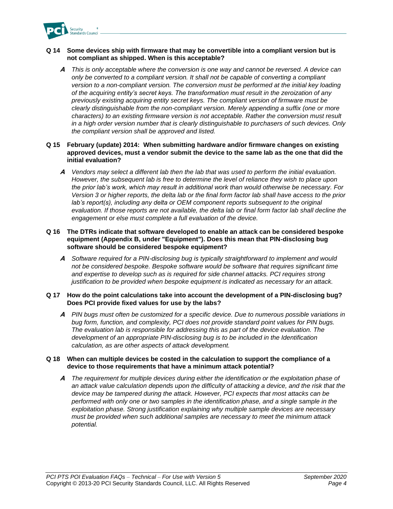

#### **Q 14 Some devices ship with firmware that may be convertible into a compliant version but is not compliant as shipped. When is this acceptable?**

**A** *This is only acceptable where the conversion is one way and cannot be reversed. A device can only be converted to a compliant version. It shall not be capable of converting a compliant version to a non-compliant version. The conversion must be performed at the initial key loading of the acquiring entity's secret keys. The transformation must result in the zeroization of any previously existing acquiring entity secret keys. The compliant version of firmware must be clearly distinguishable from the non-compliant version. Merely appending a suffix (one or more characters) to an existing firmware version is not acceptable. Rather the conversion must result in a high order version number that is clearly distinguishable to purchasers of such devices. Only the compliant version shall be approved and listed.*

#### **Q 15 February (update) 2014: When submitting hardware and/or firmware changes on existing approved devices, must a vendor submit the device to the same lab as the one that did the initial evaluation?**

**A** *Vendors may select a different lab then the lab that was used to perform the initial evaluation. However, the subsequent lab is free to determine the level of reliance they wish to place upon the prior lab's work, which may result in additional work than would otherwise be necessary. For Version 3 or higher reports, the delta lab or the final form factor lab shall have access to the prior lab's report(s), including any delta or OEM component reports subsequent to the original evaluation. If those reports are not available, the delta lab or final form factor lab shall decline the engagement or else must complete a full evaluation of the device.*

#### **Q 16 The DTRs indicate that software developed to enable an attack can be considered bespoke equipment (Appendix B, under "Equipment"). Does this mean that PIN-disclosing bug software should be considered bespoke equipment?**

**A** *Software required for a PIN-disclosing bug is typically straightforward to implement and would not be considered bespoke. Bespoke software would be software that requires significant time and expertise to develop such as is required for side channel attacks. PCI requires strong justification to be provided when bespoke equipment is indicated as necessary for an attack.* 

#### **Q 17 How do the point calculations take into account the development of a PIN-disclosing bug? Does PCI provide fixed values for use by the labs?**

**A** *PIN bugs must often be customized for a specific device. Due to numerous possible variations in bug form, function, and complexity, PCI does not provide standard point values for PIN bugs. The evaluation lab is responsible for addressing this as part of the device evaluation. The development of an appropriate PIN-disclosing bug is to be included in the Identification calculation, as are other aspects of attack development.* 

#### **Q 18 When can multiple devices be costed in the calculation to support the compliance of a device to those requirements that have a minimum attack potential?**

**A** *The requirement for multiple devices during either the identification or the exploitation phase of an attack value calculation depends upon the difficulty of attacking a device, and the risk that the device may be tampered during the attack. However, PCI expects that most attacks can be performed with only one or two samples in the identification phase, and a single sample in the exploitation phase. Strong justification explaining why multiple sample devices are necessary must be provided when such additional samples are necessary to meet the minimum attack potential.*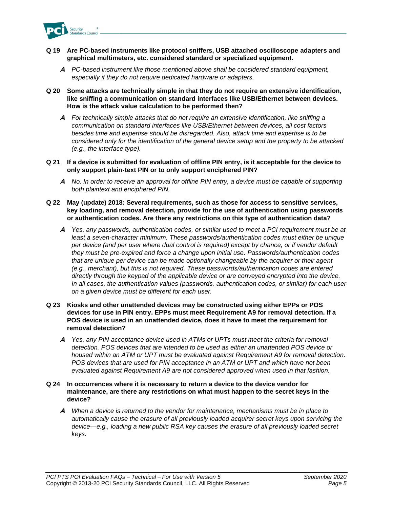

- **Q 19 Are PC-based instruments like protocol sniffers, USB attached oscilloscope adapters and graphical multimeters, etc. considered standard or specialized equipment.**
	- **A** *PC-based instrument like those mentioned above shall be considered standard equipment, especially if they do not require dedicated hardware or adapters.*
- **Q 20 Some attacks are technically simple in that they do not require an extensive identification, like sniffing a communication on standard interfaces like USB/Ethernet between devices. How is the attack value calculation to be performed then?**
	- **A** *For technically simple attacks that do not require an extensive identification, like sniffing a communication on standard interfaces like USB/Ethernet between devices, all cost factors besides time and expertise should be disregarded. Also, attack time and expertise is to be considered only for the identification of the general device setup and the property to be attacked (e.g., the interface type).*
- **Q 21 If a device is submitted for evaluation of offline PIN entry, is it acceptable for the device to only support plain-text PIN or to only support enciphered PIN?**
	- **A** *No. In order to receive an approval for offline PIN entry, a device must be capable of supporting both plaintext and enciphered PIN.*
- **Q 22 May (update) 2018: Several requirements, such as those for access to sensitive services, key loading, and removal detection, provide for the use of authentication using passwords or authentication codes. Are there any restrictions on this type of authentication data?**
	- **A** *Yes, any passwords, authentication codes, or similar used to meet a PCI requirement must be at least a seven-character minimum. These passwords/authentication codes must either be unique per device (and per user where dual control is required) except by chance, or if vendor default they must be pre-expired and force a change upon initial use. Passwords/authentication codes that are unique per device can be made optionally changeable by the acquirer or their agent (e.g., merchant), but this is not required. These passwords/authentication codes are entered directly through the keypad of the applicable device or are conveyed encrypted into the device. In all cases, the authentication values (passwords, authentication codes, or similar) for each user on a given device must be different for each user.*
- **Q 23 Kiosks and other unattended devices may be constructed using either EPPs or POS devices for use in PIN entry. EPPs must meet Requirement A9 for removal detection. If a POS device is used in an unattended device, does it have to meet the requirement for removal detection?**
	- **A** *Yes, any PIN-acceptance device used in ATMs or UPTs must meet the criteria for removal detection. POS devices that are intended to be used as either an unattended POS device or housed within an ATM or UPT must be evaluated against Requirement A9 for removal detection. POS devices that are used for PIN acceptance in an ATM or UPT and which have not been evaluated against Requirement A9 are not considered approved when used in that fashion.*
- **Q 24 In occurrences where it is necessary to return a device to the device vendor for maintenance, are there any restrictions on what must happen to the secret keys in the device?**
	- **A** *When a device is returned to the vendor for maintenance, mechanisms must be in place to automatically cause the erasure of all previously loaded acquirer secret keys upon servicing the device—e.g., loading a new public RSA key causes the erasure of all previously loaded secret keys.*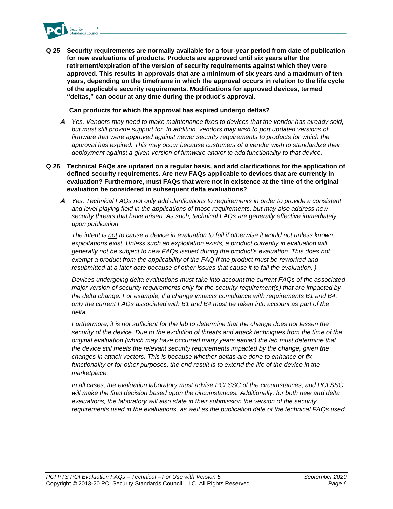

**Q 25 Security requirements are normally available for a four-year period from date of publication for new evaluations of products. Products are approved until six years after the retirement/expiration of the version of security requirements against which they were approved. This results in approvals that are a minimum of six years and a maximum of ten years, depending on the timeframe in which the approval occurs in relation to the life cycle of the applicable security requirements. Modifications for approved devices, termed "deltas," can occur at any time during the product's approval.**

**Can products for which the approval has expired undergo deltas?**

- **A** *Yes. Vendors may need to make maintenance fixes to devices that the vendor has already sold, but must still provide support for. In addition, vendors may wish to port updated versions of*  firmware that were approved against newer security requirements to products for which the *approval has expired. This may occur because customers of a vendor wish to standardize their deployment against a given version of firmware and/or to add functionality to that device.*
- **Q 26 Technical FAQs are updated on a regular basis, and add clarifications for the application of defined security requirements. Are new FAQs applicable to devices that are currently in evaluation? Furthermore, must FAQs that were not in existence at the time of the original evaluation be considered in subsequent delta evaluations?**
	- **A** *Yes. Technical FAQs not only add clarifications to requirements in order to provide a consistent and level playing field in the applications of those requirements, but may also address new security threats that have arisen. As such, technical FAQs are generally effective immediately upon publication.*

*The intent is not to cause a device in evaluation to fail if otherwise it would not unless known*  exploitations exist. Unless such an exploitation exists, a product currently in evaluation will *generally not be subject to new FAQs issued during the product's evaluation. This does not exempt a product from the applicability of the FAQ if the product must be reworked and resubmitted at a later date because of other issues that cause it to fail the evaluation. )*

*Devices undergoing delta evaluations must take into account the current FAQs of the associated major version of security requirements only for the security requirement(s) that are impacted by the delta change. For example, if a change impacts compliance with requirements B1 and B4, only the current FAQs associated with B1 and B4 must be taken into account as part of the delta.*

*Furthermore, it is not sufficient for the lab to determine that the change does not lessen the security of the device. Due to the evolution of threats and attack techniques from the time of the original evaluation (which may have occurred many years earlier) the lab must determine that the device still meets the relevant security requirements impacted by the change, given the changes in attack vectors. This is because whether deltas are done to enhance or fix functionality or for other purposes, the end result is to extend the life of the device in the marketplace.*

*In all cases, the evaluation laboratory must advise PCI SSC of the circumstances, and PCI SSC will make the final decision based upon the circumstances. Additionally, for both new and delta evaluations, the laboratory will also state in their submission the version of the security requirements used in the evaluations, as well as the publication date of the technical FAQs used.*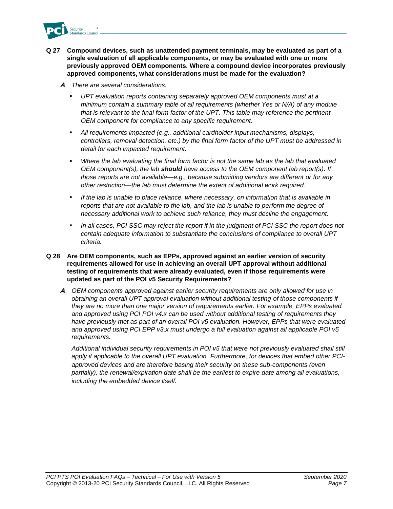

- **Q 27 Compound devices, such as unattended payment terminals, may be evaluated as part of a single evaluation of all applicable components, or may be evaluated with one or more previously approved OEM components. Where a compound device incorporates previously approved components, what considerations must be made for the evaluation?**
	- **A** *There are several considerations:*
		- *UPT evaluation reports containing separately approved OEM components must at a minimum contain a summary table of all requirements (whether Yes or N/A) of any module that is relevant to the final form factor of the UPT. This table may reference the pertinent OEM component for compliance to any specific requirement.*
		- *All requirements impacted (e.g., additional cardholder input mechanisms, displays, controllers, removal detection, etc.) by the final form factor of the UPT must be addressed in detail for each impacted requirement.*
		- *Where the lab evaluating the final form factor is not the same lab as the lab that evaluated OEM component(s), the lab should have access to the OEM component lab report(s). If those reports are not available—e.g., because submitting vendors are different or for any other restriction—the lab must determine the extent of additional work required.*
		- **■** If the lab is unable to place reliance, where necessary, on information that is available in *reports that are not available to the lab, and the lab is unable to perform the degree of necessary additional work to achieve such reliance, they must decline the engagement.*
		- In all cases, PCI SSC may reject the report if in the judgment of PCI SSC the report does not *contain adequate information to substantiate the conclusions of compliance to overall UPT criteria.*

#### **Q 28 Are OEM components, such as EPPs, approved against an earlier version of security requirements allowed for use in achieving an overall UPT approval without additional testing of requirements that were already evaluated, even if those requirements were updated as part of the POI v5 Security Requirements?**

**A** *OEM components approved against earlier security requirements are only allowed for use in obtaining an overall UPT approval evaluation without additional testing of those components if they are no more than one major version of requirements earlier. For example, EPPs evaluated and approved using PCI POI v4.x can be used without additional testing of requirements they have previously met as part of an overall POI v5 evaluation. However, EPPs that were evaluated and approved using PCI EPP v3.x must undergo a full evaluation against all applicable POI v5 requirements.*

*Additional individual security requirements in POI v5 that were not previously evaluated shall still apply if applicable to the overall UPT evaluation. Furthermore, for devices that embed other PCIapproved devices and are therefore basing their security on these sub-components (even partially), the renewal/expiration date shall be the earliest to expire date among all evaluations, including the embedded device itself.*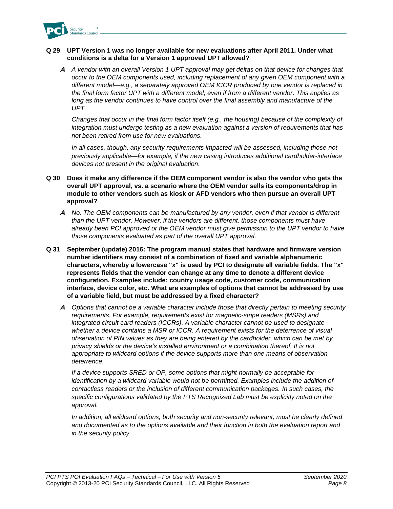

#### **Q 29 UPT Version 1 was no longer available for new evaluations after April 2011. Under what conditions is a delta for a Version 1 approved UPT allowed?**

**A** *A vendor with an overall Version 1 UPT approval may get deltas on that device for changes that occur to the OEM components used, including replacement of any given OEM component with a different model—e.g., a separately approved OEM ICCR produced by one vendor is replaced in the final form factor UPT with a different model, even if from a different vendor. This applies as long as the vendor continues to have control over the final assembly and manufacture of the UPT.*

*Changes that occur in the final form factor itself (e.g., the housing) because of the complexity of integration must undergo testing as a new evaluation against a version of requirements that has not been retired from use for new evaluations.* 

*In all cases, though, any security requirements impacted will be assessed, including those not previously applicable—for example, if the new casing introduces additional cardholder-interface devices not present in the original evaluation.* 

- **Q 30 Does it make any difference if the OEM component vendor is also the vendor who gets the overall UPT approval, vs. a scenario where the OEM vendor sells its components/drop in module to other vendors such as kiosk or AFD vendors who then pursue an overall UPT approval?**
	- **A** *No. The OEM components can be manufactured by any vendor, even if that vendor is different than the UPT vendor. However, if the vendors are different, those components must have already been PCI approved or the OEM vendor must give permission to the UPT vendor to have those components evaluated as part of the overall UPT approval.*
- **Q 31 September (update) 2016: The program manual states that hardware and firmware version number identifiers may consist of a combination of fixed and variable alphanumeric characters, whereby a lowercase "x" is used by PCI to designate all variable fields. The "x" represents fields that the vendor can change at any time to denote a different device configuration. Examples include: country usage code, customer code, communication interface, device color, etc. What are examples of options that cannot be addressed by use of a variable field, but must be addressed by a fixed character?**
	- **A** *Options that cannot be a variable character include those that directly pertain to meeting security requirements. For example, requirements exist for magnetic-stripe readers (MSRs) and integrated circuit card readers (ICCRs). A variable character cannot be used to designate whether a device contains a MSR or ICCR. A requirement exists for the deterrence of visual observation of PIN values as they are being entered by the cardholder, which can be met by privacy shields or the device's installed environment or a combination thereof. It is not appropriate to wildcard options if the device supports more than one means of observation deterrence.*

*If a device supports SRED or OP, some options that might normally be acceptable for identification by a wildcard variable would not be permitted. Examples include the addition of contactless readers or the inclusion of different communication packages. In such cases, the specific configurations validated by the PTS Recognized Lab must be explicitly noted on the approval.*

*In addition, all wildcard options, both security and non-security relevant, must be clearly defined and documented as to the options available and their function in both the evaluation report and in the security policy.*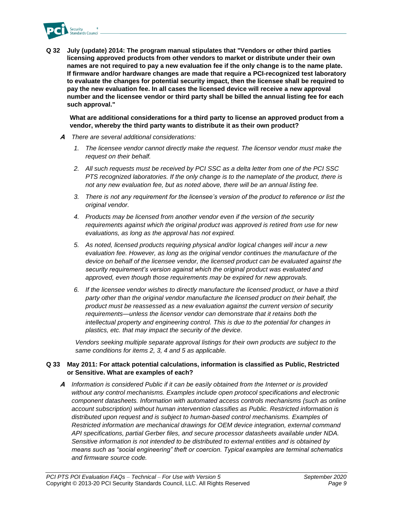

**Q 32 July (update) 2014: The program manual stipulates that "Vendors or other third parties licensing approved products from other vendors to market or distribute under their own names are not required to pay a new evaluation fee if the only change is to the name plate. If firmware and/or hardware changes are made that require a PCI-recognized test laboratory to evaluate the changes for potential security impact, then the licensee shall be required to pay the new evaluation fee. In all cases the licensed device will receive a new approval number and the licensee vendor or third party shall be billed the annual listing fee for each such approval."**

**What are additional considerations for a third party to license an approved product from a vendor, whereby the third party wants to distribute it as their own product?**

- **A** *There are several additional considerations:*
	- *1. The licensee vendor cannot directly make the request. The licensor vendor must make the request on their behalf.*
	- *2. All such requests must be received by PCI SSC as a delta letter from one of the PCI SSC PTS recognized laboratories. If the only change is to the nameplate of the product, there is not any new evaluation fee, but as noted above, there will be an annual listing fee.*
	- *3. There is not any requirement for the licensee's version of the product to reference or list the original vendor.*
	- *4. Products may be licensed from another vendor even if the version of the security requirements against which the original product was approved is retired from use for new evaluations, as long as the approval has not expired.*
	- *5. As noted, licensed products requiring physical and/or logical changes will incur a new evaluation fee. However, as long as the original vendor continues the manufacture of the device on behalf of the licensee vendor, the licensed product can be evaluated against the security requirement's version against which the original product was evaluated and approved, even though those requirements may be expired for new approvals.*
	- *6. If the licensee vendor wishes to directly manufacture the licensed product, or have a third party other than the original vendor manufacture the licensed product on their behalf, the product must be reassessed as a new evaluation against the current version of security requirements—unless the licensor vendor can demonstrate that it retains both the intellectual property and engineering control. This is due to the potential for changes in plastics, etc. that may impact the security of the device.*

*Vendors seeking multiple separate approval listings for their own products are subject to the same conditions for items 2, 3, 4 and 5 as applicable.*

#### **Q 33 May 2011: For attack potential calculations, information is classified as Public, Restricted or Sensitive. What are examples of each?**

**A** *Information is considered Public if it can be easily obtained from the Internet or is provided without any control mechanisms. Examples include open protocol specifications and electronic component datasheets. Information with automated access controls mechanisms (such as online account subscription) without human intervention classifies as Public. Restricted information is distributed upon request and is subject to human-based control mechanisms. Examples of Restricted information are mechanical drawings for OEM device integration, external command API specifications, partial Gerber files, and secure processor datasheets available under NDA. Sensitive information is not intended to be distributed to external entities and is obtained by means such as "social engineering" theft or coercion. Typical examples are terminal schematics and firmware source code.*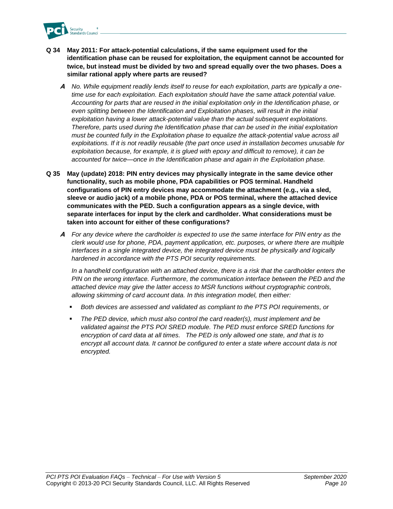

- **Q 34 May 2011: For attack-potential calculations, if the same equipment used for the identification phase can be reused for exploitation, the equipment cannot be accounted for twice, but instead must be divided by two and spread equally over the two phases. Does a similar rational apply where parts are reused?**
	- **A** *No. While equipment readily lends itself to reuse for each exploitation, parts are typically a onetime use for each exploitation. Each exploitation should have the same attack potential value. Accounting for parts that are reused in the initial exploitation only in the Identification phase, or even splitting between the Identification and Exploitation phases, will result in the initial exploitation having a lower attack-potential value than the actual subsequent exploitations. Therefore, parts used during the Identification phase that can be used in the initial exploitation must be counted fully in the Exploitation phase to equalize the attack-potential value across all exploitations. If it is not readily reusable (the part once used in installation becomes unusable for exploitation because, for example, it is glued with epoxy and difficult to remove), it can be accounted for twice—once in the Identification phase and again in the Exploitation phase.*
- **Q 35 May (update) 2018: PIN entry devices may physically integrate in the same device other functionality, such as mobile phone, PDA capabilities or POS terminal. Handheld configurations of PIN entry devices may accommodate the attachment (e.g., via a sled, sleeve or audio jack) of a mobile phone, PDA or POS terminal, where the attached device communicates with the PED. Such a configuration appears as a single device, with separate interfaces for input by the clerk and cardholder. What considerations must be taken into account for either of these configurations?**
	- **A** *For any device where the cardholder is expected to use the same interface for PIN entry as the clerk would use for phone, PDA, payment application, etc. purposes, or where there are multiple*  interfaces in a single integrated device, the integrated device must be physically and logically *hardened in accordance with the PTS POI security requirements.*

*In a handheld configuration with an attached device, there is a risk that the cardholder enters the*  PIN on the wrong interface. Furthermore, the communication interface between the PED and the *attached device may give the latter access to MSR functions without cryptographic controls, allowing skimming of card account data. In this integration model, then either:*

- *Both devices are assessed and validated as compliant to the PTS POI requirements, or*
- The PED device, which must also control the card reader(s), must implement and be *validated against the PTS POI SRED module. The PED must enforce SRED functions for encryption of card data at all times. The PED is only allowed one state, and that is to encrypt all account data. It cannot be configured to enter a state where account data is not encrypted.*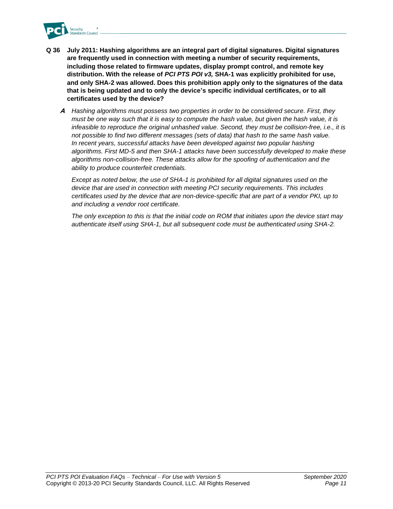

- **Q 36 July 2011: Hashing algorithms are an integral part of digital signatures. Digital signatures are frequently used in connection with meeting a number of security requirements, including those related to firmware updates, display prompt control, and remote key distribution. With the release of** *PCI PTS POI v3,* **SHA-1 was explicitly prohibited for use, and only SHA-2 was allowed. Does this prohibition apply only to the signatures of the data that is being updated and to only the device's specific individual certificates, or to all certificates used by the device?** 
	- **A** *Hashing algorithms must possess two properties in order to be considered secure. First, they must be one way such that it is easy to compute the hash value, but given the hash value, it is infeasible to reproduce the original unhashed value. Second, they must be collision-free, i.e., it is not possible to find two different messages (sets of data) that hash to the same hash value. In recent years, successful attacks have been developed against two popular hashing algorithms. First MD-5 and then SHA-1 attacks have been successfully developed to make these algorithms non-collision-free. These attacks allow for the spoofing of authentication and the ability to produce counterfeit credentials.*

*Except as noted below, the use of SHA-1 is prohibited for all digital signatures used on the device that are used in connection with meeting PCI security requirements. This includes certificates used by the device that are non-device-specific that are part of a vendor PKI, up to and including a vendor root certificate.*

*The only exception to this is that the initial code on ROM that initiates upon the device start may authenticate itself using SHA-1, but all subsequent code must be authenticated using SHA-2.*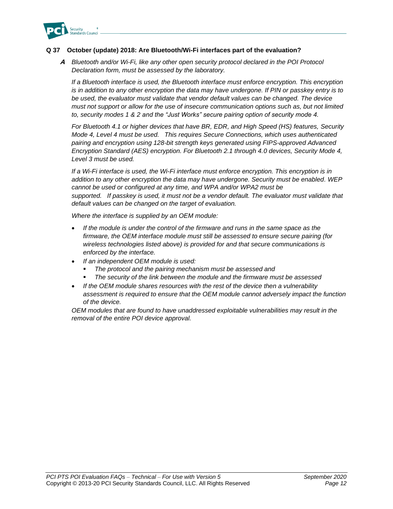

#### **Q 37 October (update) 2018: Are Bluetooth/Wi-Fi interfaces part of the evaluation?**

**A** *Bluetooth and/or Wi-Fi, like any other open security protocol declared in the POI Protocol Declaration form, must be assessed by the laboratory.*

*If a Bluetooth interface is used, the Bluetooth interface must enforce encryption. This encryption is in addition to any other encryption the data may have undergone. If PIN or passkey entry is to*  be used, the evaluator must validate that vendor default values can be changed. The device *must not support or allow for the use of insecure communication options such as, but not limited to, security modes 1 & 2 and the "Just Works" secure pairing option of security mode 4.* 

*For Bluetooth 4.1 or higher devices that have BR, EDR, and High Speed (HS) features, Security Mode 4, Level 4 must be used. This requires Secure Connections, which uses authenticated pairing and encryption using 128-bit strength keys generated using FIPS-approved Advanced Encryption Standard (AES) encryption. For Bluetooth 2.1 through 4.0 devices, Security Mode 4, Level 3 must be used.*

*If a Wi-Fi interface is used, the Wi-Fi interface must enforce encryption. This encryption is in addition to any other encryption the data may have undergone. Security must be enabled. WEP cannot be used or configured at any time, and WPA and/or WPA2 must be supported. If passkey is used, it must not be a vendor default. The evaluator must validate that default values can be changed on the target of evaluation.* 

*Where the interface is supplied by an OEM module:*

- *If the module is under the control of the firmware and runs in the same space as the firmware, the OEM interface module must still be assessed to ensure secure pairing (for wireless technologies listed above) is provided for and that secure communications is enforced by the interface.*
- *If an independent OEM module is used:*
	- *The protocol and the pairing mechanism must be assessed and*
	- The security of the link between the module and the firmware must be assessed
- *If the OEM module shares resources with the rest of the device then a vulnerability assessment is required to ensure that the OEM module cannot adversely impact the function of the device.*

*OEM modules that are found to have unaddressed exploitable vulnerabilities may result in the removal of the entire POI device approval.*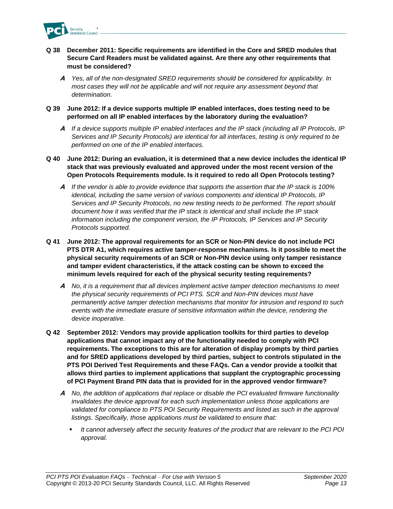

- **Q 38 December 2011: Specific requirements are identified in the Core and SRED modules that Secure Card Readers must be validated against. Are there any other requirements that must be considered?**
	- **A** *Yes, all of the non-designated SRED requirements should be considered for applicability. In most cases they will not be applicable and will not require any assessment beyond that determination.*
- **Q 39 June 2012: If a device supports multiple IP enabled interfaces, does testing need to be performed on all IP enabled interfaces by the laboratory during the evaluation?**
	- **A** *If a device supports multiple IP enabled interfaces and the IP stack (including all IP Protocols, IP Services and IP Security Protocols) are identical for all interfaces, testing is only required to be performed on one of the IP enabled interfaces.*
- **Q 40 June 2012: During an evaluation, it is determined that a new device includes the identical IP stack that was previously evaluated and approved under the most recent version of the Open Protocols Requirements module. Is it required to redo all Open Protocols testing?**
	- **A** *If the vendor is able to provide evidence that supports the assertion that the IP stack is 100% identical, including the same version of various components and identical IP Protocols, IP Services and IP Security Protocols, no new testing needs to be performed. The report should document how it was verified that the IP stack is identical and shall include the IP stack information including the component version, the IP Protocols, IP Services and IP Security Protocols supported.*
- **Q 41 June 2012: The approval requirements for an SCR or Non-PIN device do not include PCI PTS DTR A1, which requires active tamper-response mechanisms. Is it possible to meet the physical security requirements of an SCR or Non-PIN device using only tamper resistance and tamper evident characteristics, if the attack costing can be shown to exceed the minimum levels required for each of the physical security testing requirements?**
	- **A** *No, it is a requirement that all devices implement active tamper detection mechanisms to meet the physical security requirements of PCI PTS. SCR and Non-PIN devices must have permanently active tamper detection mechanisms that monitor for intrusion and respond to such events with the immediate erasure of sensitive information within the device, rendering the device inoperative.*
- **Q 42 September 2012: Vendors may provide application toolkits for third parties to develop applications that cannot impact any of the functionality needed to comply with PCI requirements. The exceptions to this are for alteration of display prompts by third parties and for SRED applications developed by third parties, subject to controls stipulated in the PTS POI Derived Test Requirements and these FAQs. Can a vendor provide a toolkit that allows third parties to implement applications that supplant the cryptographic processing of PCI Payment Brand PIN data that is provided for in the approved vendor firmware?**
	- **A** *No, the addition of applications that replace or disable the PCI evaluated firmware functionality invalidates the device approval for each such implementation unless those applications are validated for compliance to PTS POI Security Requirements and listed as such in the approval listings. Specifically, those applications must be validated to ensure that:*
		- *It cannot adversely affect the security features of the product that are relevant to the PCI POI approval.*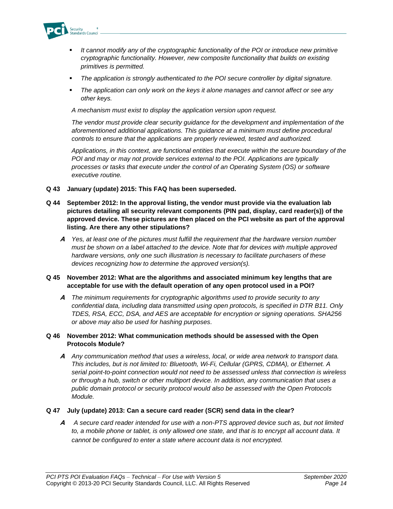

- *It cannot modify any of the cryptographic functionality of the POI or introduce new primitive cryptographic functionality. However, new composite functionality that builds on existing primitives is permitted.*
- *The application is strongly authenticated to the POI secure controller by digital signature.*
- The application can only work on the keys it alone manages and cannot affect or see any *other keys.*

*A mechanism must exist to display the application version upon request.*

*The vendor must provide clear security guidance for the development and implementation of the aforementioned additional applications. This guidance at a minimum must define procedural controls to ensure that the applications are properly reviewed, tested and authorized.*

*Applications, in this context, are functional entities that execute within the secure boundary of the POI and may or may not provide services external to the POI. Applications are typically processes or tasks that execute under the control of an Operating System (OS) or software executive routine.* 

- **Q 43 January (update) 2015: This FAQ has been superseded.**
- **Q 44 September 2012: In the approval listing, the vendor must provide via the evaluation lab pictures detailing all security relevant components (PIN pad, display, card reader(s)) of the approved device. These pictures are then placed on the PCI website as part of the approval listing. Are there any other stipulations?**
	- **A** *Yes, at least one of the pictures must fulfill the requirement that the hardware version number must be shown on a label attached to the device. Note that for devices with multiple approved hardware versions, only one such illustration is necessary to facilitate purchasers of these devices recognizing how to determine the approved version(s).*

#### **Q 45 November 2012: What are the algorithms and associated minimum key lengths that are acceptable for use with the default operation of any open protocol used in a POI?**

**A** *The minimum requirements for cryptographic algorithms used to provide security to any confidential data, including data transmitted using open protocols, is specified in DTR B11. Only TDES, RSA, ECC, DSA, and AES are acceptable for encryption or signing operations. SHA256 or above may also be used for hashing purposes.*

#### **Q 46 November 2012: What communication methods should be assessed with the Open Protocols Module?**

**A** *Any communication method that uses a wireless, local, or wide area network to transport data. This includes, but is not limited to: Bluetooth, Wi-Fi, Cellular (GPRS, CDMA), or Ethernet. A serial point-to-point connection would not need to be assessed unless that connection is wireless or through a hub, switch or other multiport device. In addition, any communication that uses a public domain protocol or security protocol would also be assessed with the Open Protocols Module.* 

#### **Q 47 July (update) 2013: Can a secure card reader (SCR) send data in the clear?**

**A** *A secure card reader intended for use with a non-PTS approved device such as, but not limited to, a mobile phone or tablet, is only allowed one state, and that is to encrypt all account data. It cannot be configured to enter a state where account data is not encrypted.*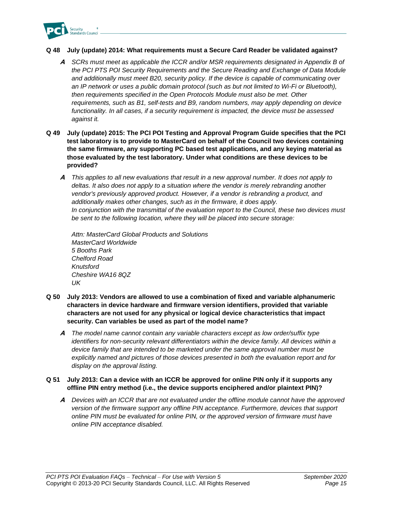

#### **Q 48 July (update) 2014: What requirements must a Secure Card Reader be validated against?**

- **A** *SCRs must meet as applicable the ICCR and/or MSR requirements designated in Appendix B of the PCI PTS POI Security Requirements and the Secure Reading and Exchange of Data Module and additionally must meet B20, security policy. If the device is capable of communicating over an IP network or uses a public domain protocol (such as but not limited to Wi-Fi or Bluetooth), then requirements specified in the Open Protocols Module must also be met. Other requirements, such as B1, self-tests and B9, random numbers, may apply depending on device functionality. In all cases, if a security requirement is impacted, the device must be assessed against it.*
- **Q 49 July (update) 2015: The PCI POI Testing and Approval Program Guide specifies that the PCI test laboratory is to provide to MasterCard on behalf of the Council two devices containing the same firmware, any supporting PC based test applications, and any keying material as those evaluated by the test laboratory. Under what conditions are these devices to be provided?**
	- **A** *This applies to all new evaluations that result in a new approval number. It does not apply to deltas. It also does not apply to a situation where the vendor is merely rebranding another vendor's previously approved product. However, if a vendor is rebranding a product, and additionally makes other changes, such as in the firmware, it does apply. In conjunction with the transmittal of the evaluation report to the Council, these two devices must be sent to the following location, where they will be placed into secure storage:*

*Attn: MasterCard Global Products and Solutions MasterCard Worldwide 5 Booths Park Chelford Road Knutsford Cheshire WA16 8QZ UK*

- **Q 50 July 2013: Vendors are allowed to use a combination of fixed and variable alphanumeric characters in device hardware and firmware version identifiers, provided that variable characters are not used for any physical or logical device characteristics that impact security. Can variables be used as part of the model name?**
	- **A** *The model name cannot contain any variable characters except as low order/suffix type identifiers for non-security relevant differentiators within the device family. All devices within a*  device family that are intended to be marketed under the same approval number must be *explicitly named and pictures of those devices presented in both the evaluation report and for display on the approval listing.*

#### **Q 51 July 2013: Can a device with an ICCR be approved for online PIN only if it supports any offline PIN entry method (i.e., the device supports enciphered and/or plaintext PIN)?**

**A** *Devices with an ICCR that are not evaluated under the offline module cannot have the approved version of the firmware support any offline PIN acceptance. Furthermore, devices that support online PIN must be evaluated for online PIN, or the approved version of firmware must have online PIN acceptance disabled.*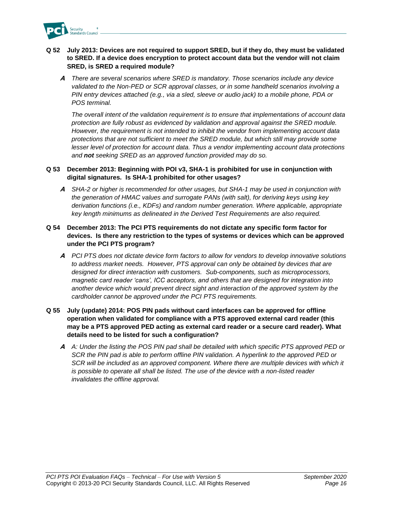

#### **Q 52 July 2013: Devices are not required to support SRED, but if they do, they must be validated to SRED. If a device does encryption to protect account data but the vendor will not claim SRED, is SRED a required module?**

**A** *There are several scenarios where SRED is mandatory. Those scenarios include any device validated to the Non-PED or SCR approval classes, or in some handheld scenarios involving a PIN entry devices attached (e.g., via a sled, sleeve or audio jack) to a mobile phone, PDA or POS terminal.*

*The overall intent of the validation requirement is to ensure that implementations of account data protection are fully robust as evidenced by validation and approval against the SRED module. However, the requirement is not intended to inhibit the vendor from implementing account data protections that are not sufficient to meet the SRED module, but which still may provide some lesser level of protection for account data. Thus a vendor implementing account data protections and not seeking SRED as an approved function provided may do so.* 

#### **Q 53 December 2013: Beginning with POI v3, SHA-1 is prohibited for use in conjunction with digital signatures. Is SHA-1 prohibited for other usages?**

**A** *SHA-2 or higher is recommended for other usages, but SHA-1 may be used in conjunction with the generation of HMAC values and surrogate PANs (with salt), for deriving keys using key derivation functions (i.e., KDFs) and random number generation. Where applicable, appropriate key length minimums as delineated in the Derived Test Requirements are also required.*

#### **Q 54 December 2013: The PCI PTS requirements do not dictate any specific form factor for devices. Is there any restriction to the types of systems or devices which can be approved under the PCI PTS program?**

- **A** *PCI PTS does not dictate device form factors to allow for vendors to develop innovative solutions to address market needs. However, PTS approval can only be obtained by devices that are designed for direct interaction with customers. Sub-components, such as microprocessors, magnetic card reader 'cans', ICC acceptors, and others that are designed for integration into another device which would prevent direct sight and interaction of the approved system by the cardholder cannot be approved under the PCI PTS requirements.*
- **Q 55 July (update) 2014: POS PIN pads without card interfaces can be approved for offline operation when validated for compliance with a PTS approved external card reader (this may be a PTS approved PED acting as external card reader or a secure card reader). What details need to be listed for such a configuration?**
	- **A** *A: Under the listing the POS PIN pad shall be detailed with which specific PTS approved PED or SCR the PIN pad is able to perform offline PIN validation. A hyperlink to the approved PED or*  SCR will be included as an approved component. Where there are multiple devices with which it *is possible to operate all shall be listed. The use of the device with a non-listed reader invalidates the offline approval.*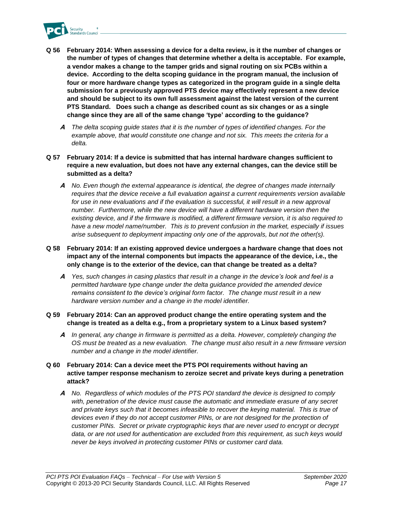

- **Q 56 February 2014: When assessing a device for a delta review, is it the number of changes or the number of types of changes that determine whether a delta is acceptable. For example, a vendor makes a change to the tamper grids and signal routing on six PCBs within a device. According to the delta scoping guidance in the program manual, the inclusion of four or more hardware change types as categorized in the program guide in a single delta submission for a previously approved PTS device may effectively represent a new device and should be subject to its own full assessment against the latest version of the current PTS Standard. Does such a change as described count as six changes or as a single change since they are all of the same change 'type' according to the guidance?**
	- **A** *The delta scoping guide states that it is the number of types of identified changes. For the example above, that would constitute one change and not six. This meets the criteria for a delta.*
- **Q 57 February 2014: If a device is submitted that has internal hardware changes sufficient to require a new evaluation, but does not have any external changes, can the device still be submitted as a delta?**
	- **A** *No. Even though the external appearance is identical, the degree of changes made internally requires that the device receive a full evaluation against a current requirements version available*  for use in new evaluations and if the evaluation is successful, it will result in a new approval *number. Furthermore, while the new device will have a different hardware version then the existing device, and if the firmware is modified, a different firmware version, it is also required to have a new model name/number. This is to prevent confusion in the market, especially if issues arise subsequent to deployment impacting only one of the approvals, but not the other(s).*
- **Q 58 February 2014: If an existing approved device undergoes a hardware change that does not impact any of the internal components but impacts the appearance of the device, i.e., the only change is to the exterior of the device, can that change be treated as a delta?**
	- **A** *Yes, such changes in casing plastics that result in a change in the device's look and feel is a permitted hardware type change under the delta guidance provided the amended device remains consistent to the device's original form factor. The change must result in a new hardware version number and a change in the model identifier.*
- **Q 59 February 2014: Can an approved product change the entire operating system and the change is treated as a delta e.g., from a proprietary system to a Linux based system?**
	- **A** *In general, any change in firmware is permitted as a delta. However, completely changing the OS must be treated as a new evaluation. The change must also result in a new firmware version number and a change in the model identifier.*
- **Q 60 February 2014: Can a device meet the PTS POI requirements without having an active tamper response mechanism to zeroize secret and private keys during a penetration attack?**
	- **A** *No. Regardless of which modules of the PTS POI standard the device is designed to comply with, penetration of the device must cause the automatic and immediate erasure of any secret*  and private keys such that it becomes infeasible to recover the keying material. This is true of *devices even if they do not accept customer PINs, or are not designed for the protection of customer PINs. Secret or private cryptographic keys that are never used to encrypt or decrypt data, or are not used for authentication are excluded from this requirement, as such keys would never be keys involved in protecting customer PINs or customer card data.*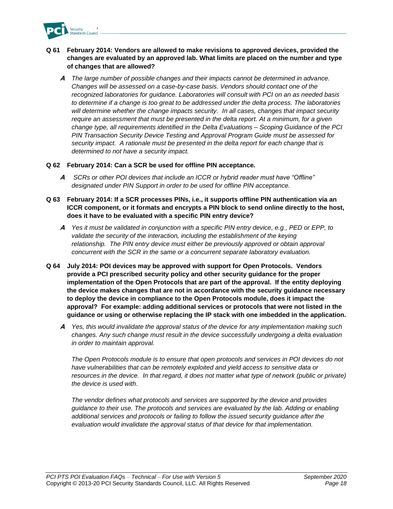

#### **Q 61 February 2014: Vendors are allowed to make revisions to approved devices, provided the changes are evaluated by an approved lab. What limits are placed on the number and type of changes that are allowed?**

**A** *The large number of possible changes and their impacts cannot be determined in advance. Changes will be assessed on a case-by-case basis. Vendors should contact one of the recognized laboratories for guidance. Laboratories will consult with PCI on an as needed basis to determine if a change is too great to be addressed under the delta process. The laboratories will determine whether the change impacts security. In all cases, changes that impact security require an assessment that must be presented in the delta report. At a minimum, for a given change type, all requirements identified in the Delta Evaluations – Scoping Guidance of the PCI PIN Transaction Security Device Testing and Approval Program Guide must be assessed for security impact. A rationale must be presented in the delta report for each change that is determined to not have a security impact.*

#### **Q 62 February 2014: Can a SCR be used for offline PIN acceptance***.*

- **A** *SCRs or other POI devices that include an ICCR or hybrid reader must have "Offline" designated under PIN Support in order to be used for offline PIN acceptance.*
- **Q 63 February 2014: If a SCR processes PINs, i.e., it supports offline PIN authentication via an ICCR component, or it formats and encrypts a PIN block to send online directly to the host, does it have to be evaluated with a specific PIN entry device?**
	- **A** *Yes it must be validated in conjunction with a specific PIN entry device, e.g., PED or EPP, to validate the security of the interaction, including the establishment of the keying*  relationship. The PIN entry device must either be previously approved or obtain approval *concurrent with the SCR in the same or a concurrent separate laboratory evaluation.*
- **Q 64 July 2014: POI devices may be approved with support for Open Protocols. Vendors provide a PCI prescribed security policy and other security guidance for the proper implementation of the Open Protocols that are part of the approval. If the entity deploying the device makes changes that are not in accordance with the security guidance necessary to deploy the device in compliance to the Open Protocols module, does it impact the approval? For example: adding additional services or protocols that were not listed in the guidance or using or otherwise replacing the IP stack with one imbedded in the application.**
	- **A** *Yes, this would invalidate the approval status of the device for any implementation making such changes. Any such change must result in the device successfully undergoing a delta evaluation in order to maintain approval.*

*The Open Protocols module is to ensure that open protocols and services in POI devices do not have vulnerabilities that can be remotely exploited and yield access to sensitive data or resources in the device. In that regard, it does not matter what type of network (public or private) the device is used with.*

*The vendor defines what protocols and services are supported by the device and provides guidance to their use. The protocols and services are evaluated by the lab. Adding or enabling additional services and protocols or failing to follow the issued security guidance after the evaluation would invalidate the approval status of that device for that implementation.*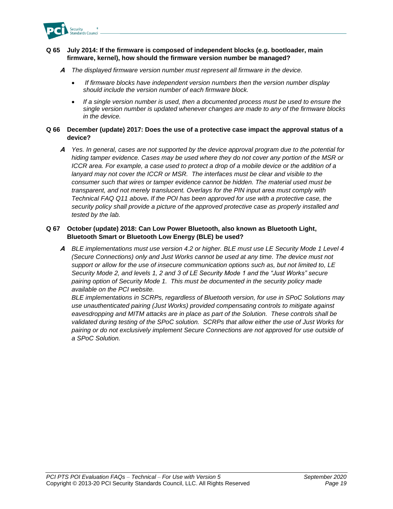

#### **Q 65 July 2014: If the firmware is composed of independent blocks (e.g. bootloader, main firmware, kernel), how should the firmware version number be managed?**

- **A** *The displayed firmware version number must represent all firmware in the device.*
	- *If firmware blocks have independent version numbers then the version number display should include the version number of each firmware block.*
	- *If a single version number is used, then a documented process must be used to ensure the single version number is updated whenever changes are made to any of the firmware blocks in the device.*

#### **Q 66 December (update) 2017: Does the use of a protective case impact the approval status of a device?**

**A** *Yes. In general, cases are not supported by the device approval program due to the potential for hiding tamper evidence. Cases may be used where they do not cover any portion of the MSR or ICCR area. For example, a case used to protect a drop of a mobile device or the addition of a*  lanyard may not cover the ICCR or MSR. The interfaces must be clear and visible to the *consumer such that wires or tamper evidence cannot be hidden. The material used must be transparent, and not merely translucent. Overlays for the PIN input area must comply with Technical FAQ Q11 above. If the POI has been approved for use with a protective case, the security policy shall provide a picture of the approved protective case as properly installed and tested by the lab.* 

#### **Q 67 October (update) 2018: Can Low Power Bluetooth, also known as Bluetooth Light, Bluetooth Smart or Bluetooth Low Energy (BLE) be used?**

**A** *BLE implementations must use version 4.2 or higher. BLE must use LE Security Mode 1 Level 4 (Secure Connections) only and Just Works cannot be used at any time. The device must not support or allow for the use of insecure communication options such as, but not limited to, LE Security Mode 2, and levels 1, 2 and 3 of LE Security Mode 1 and the "Just Works" secure pairing option of Security Mode 1. This must be documented in the security policy made available on the PCI website.*

*BLE implementations in SCRPs, regardless of Bluetooth version, for use in SPoC Solutions may use unauthenticated pairing (Just Works) provided compensating controls to mitigate against eavesdropping and MITM attacks are in place as part of the Solution. These controls shall be validated during testing of the SPoC solution. SCRPs that allow either the use of Just Works for pairing or do not exclusively implement Secure Connections are not approved for use outside of a SPoC Solution.*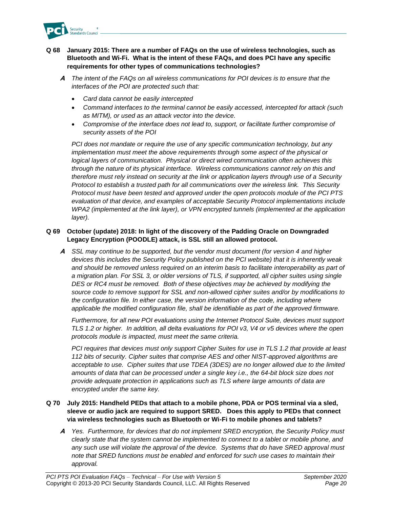

#### **Q 68 January 2015: There are a number of FAQs on the use of wireless technologies, such as Bluetooth and Wi-Fi. What is the intent of these FAQs, and does PCI have any specific requirements for other types of communications technologies?**

- **A** *The intent of the FAQs on all wireless communications for POI devices is to ensure that the interfaces of the POI are protected such that:*
	- *Card data cannot be easily intercepted*
	- *Command interfaces to the terminal cannot be easily accessed, intercepted for attack (such as MITM), or used as an attack vector into the device.*
	- *Compromise of the interface does not lead to, support, or facilitate further compromise of security assets of the POI*

*PCI does not mandate or require the use of any specific communication technology, but any implementation must meet the above requirements through some aspect of the physical or logical layers of communication. Physical or direct wired communication often achieves this through the nature of its physical interface. Wireless communications cannot rely on this and therefore must rely instead on security at the link or application layers through use of a Security Protocol to establish a trusted path for all communications over the wireless link. This Security Protocol must have been tested and approved under the open protocols module of the PCI PTS evaluation of that device, and examples of acceptable Security Protocol implementations include WPA2 (implemented at the link layer), or VPN encrypted tunnels (implemented at the application layer).*

#### **Q 69 October (update) 2018: In light of the discovery of the Padding Oracle on Downgraded Legacy Encryption (POODLE) attack, is SSL still an allowed protocol.**

**A** *SSL may continue to be supported, but the vendor must document (for version 4 and higher devices this includes the Security Policy published on the PCI website) that it is inherently weak and should be removed unless required on an interim basis to facilitate interoperability as part of a migration plan. For SSL 3, or older versions of TLS, if supported, all cipher suites using single DES or RC4 must be removed. Both of these objectives may be achieved by modifying the source code to remove support for SSL and non-allowed cipher suites and/or by modifications to the configuration file. In either case, the version information of the code, including where applicable the modified configuration file, shall be identifiable as part of the approved firmware.*

*Furthermore, for all new POI evaluations using the Internet Protocol Suite, devices must support TLS 1.2 or higher. In addition, all delta evaluations for POI v3, V4 or v5 devices where the open protocols module is impacted, must meet the same criteria.*

*PCI requires that devices must only support Cipher Suites for use in TLS 1.2 that provide at least 112 bits of security. Cipher suites that comprise AES and other NIST-approved algorithms are acceptable to use. Cipher suites that use TDEA (3DES) are no longer allowed due to the limited amounts of data that can be processed under a single key i.e., the 64-bit block size does not provide adequate protection in applications such as TLS where large amounts of data are encrypted under the same key.* 

#### **Q 70 July 2015: Handheld PEDs that attach to a mobile phone, PDA or POS terminal via a sled, sleeve or audio jack are required to support SRED. Does this apply to PEDs that connect via wireless technologies such as Bluetooth or Wi-Fi to mobile phones and tablets?**

**A** *Yes. Furthermore, for devices that do not implement SRED encryption, the Security Policy must clearly state that the system cannot be implemented to connect to a tablet or mobile phone, and any such use will violate the approval of the device. Systems that do have SRED approval must note that SRED functions must be enabled and enforced for such use cases to maintain their approval.*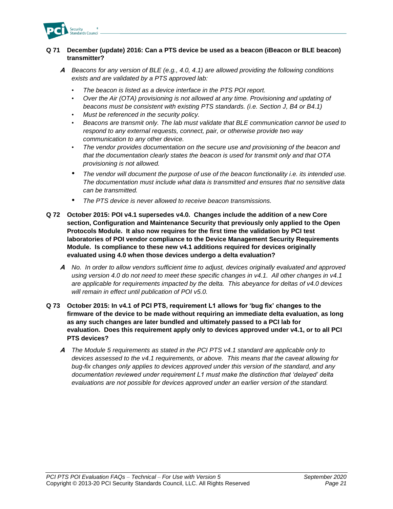

#### **Q 71 December (update) 2016: Can a PTS device be used as a beacon (iBeacon or BLE beacon) transmitter?**

- **A** *Beacons for any version of BLE (e.g., 4.0, 4.1) are allowed providing the following conditions exists and are validated by a PTS approved lab:*
	- *The beacon is listed as a device interface in the PTS POI report.*
	- *Over the Air (OTA) provisioning is not allowed at any time. Provisioning and updating of beacons must be consistent with existing PTS standards. (i.e. Section J, B4 or B4.1)*
	- *Must be referenced in the security policy.*
	- *Beacons are transmit only. The lab must validate that BLE communication cannot be used to respond to any external requests, connect, pair, or otherwise provide two way communication to any other device.*
	- *The vendor provides documentation on the secure use and provisioning of the beacon and that the documentation clearly states the beacon is used for transmit only and that OTA provisioning is not allowed.*
	- *The vendor will document the purpose of use of the beacon functionality i.e. its intended use. The documentation must include what data is transmitted and ensures that no sensitive data can be transmitted.*
	- *The PTS device is never allowed to receive beacon transmissions.*
- **Q 72 October 2015: POI v4.1 supersedes v4.0. Changes include the addition of a new Core section, Configuration and Maintenance Security that previously only applied to the Open Protocols Module. It also now requires for the first time the validation by PCI test laboratories of POI vendor compliance to the Device Management Security Requirements Module. Is compliance to these new v4.1 additions required for devices originally evaluated using 4.0 when those devices undergo a delta evaluation?**
	- **A** *No. In order to allow vendors sufficient time to adjust, devices originally evaluated and approved using version 4.0 do not need to meet these specific changes in v4.1. All other changes in v4.1 are applicable for requirements impacted by the delta. This abeyance for deltas of v4.0 devices will remain in effect until publication of POI v5.0.*
- **Q 73 October 2015: In v4.1 of PCI PTS, requirement L1 allows for 'bug fix' changes to the firmware of the device to be made without requiring an immediate delta evaluation, as long as any such changes are later bundled and ultimately passed to a PCI lab for evaluation. Does this requirement apply only to devices approved under v4.1, or to all PCI PTS devices?**
	- **A** *The Module 5 requirements as stated in the PCI PTS v4.1 standard are applicable only to devices assessed to the v4.1 requirements, or above. This means that the caveat allowing for bug-fix changes only applies to devices approved under this version of the standard, and any documentation reviewed under requirement L1 must make the distinction that 'delayed' delta evaluations are not possible for devices approved under an earlier version of the standard.*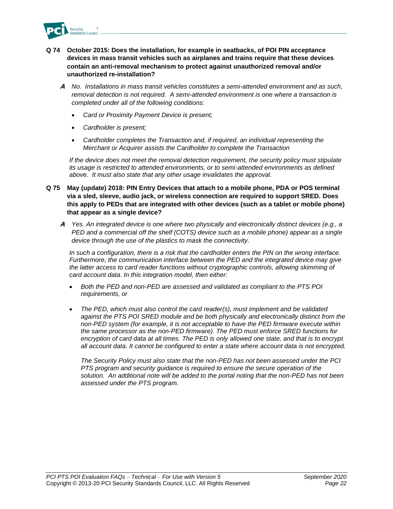

- **Q 74 October 2015: Does the installation, for example in seatbacks, of POI PIN acceptance devices in mass transit vehicles such as airplanes and trains require that these devices contain an anti-removal mechanism to protect against unauthorized removal and/or unauthorized re-installation?**
	- **A** *No. Installations in mass transit vehicles constitutes a semi-attended environment and as such, removal detection is not required. A semi-attended environment is one where a transaction is completed under all of the following conditions:*
		- *Card or Proximity Payment Device is present;*
		- *Cardholder is present;*
		- *Cardholder completes the Transaction and, if required, an individual representing the Merchant or Acquirer assists the Cardholder to complete the Transaction*

*If the device does not meet the removal detection requirement, the security policy must stipulate its usage is restricted to attended environments, or to semi-attended environments as defined above. It must also state that any other usage invalidates the approval.*

- **Q 75 May (update) 2018: PIN Entry Devices that attach to a mobile phone, PDA or POS terminal via a sled, sleeve, audio jack, or wireless connection are required to support SRED. Does this apply to PEDs that are integrated with other devices (such as a tablet or mobile phone) that appear as a single device?** 
	- **A** *Yes. An integrated device is one where two physically and electronically distinct devices (e.g., a PED and a commercial off the shelf (COTS) device such as a mobile phone) appear as a single device through the use of the plastics to mask the connectivity.*

*In such a configuration, there is a risk that the cardholder enters the PIN on the wrong interface. Furthermore, the communication interface between the PED and the integrated device may give the latter access to card reader functions without cryptographic controls, allowing skimming of card account data. In this integration model, then either:*

- *Both the PED and non-PED are assessed and validated as compliant to the PTS POI requirements, or*
- *The PED, which must also control the card reader(s), must implement and be validated against the PTS POI SRED module and be both physically and electronically distinct from the non-PED system (for example, it is not acceptable to have the PED firmware execute within the same processor as the non-PED firmware). The PED must enforce SRED functions for encryption of card data at all times. The PED is only allowed one state, and that is to encrypt all account data. It cannot be configured to enter a state where account data is not encrypted.*

*The Security Policy must also state that the non-PED has not been assessed under the PCI PTS program and security guidance is required to ensure the secure operation of the solution. An additional note will be added to the portal noting that the non-PED has not been assessed under the PTS program.*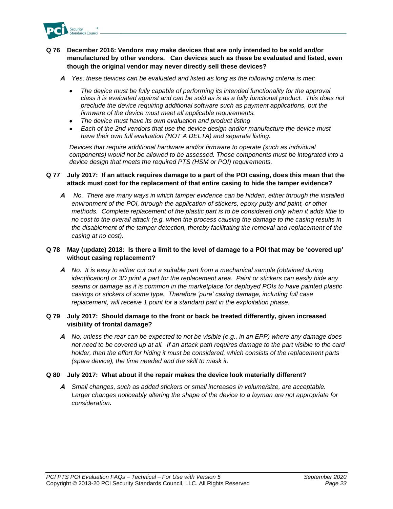

#### **Q 76 December 2016: Vendors may make devices that are only intended to be sold and/or manufactured by other vendors. Can devices such as these be evaluated and listed, even though the original vendor may never directly sell these devices?**

- **A** *Yes, these devices can be evaluated and listed as long as the following criteria is met:*
	- *The device must be fully capable of performing its intended functionality for the approval class it is evaluated against and can be sold as is as a fully functional product. This does not preclude the device requiring additional software such as payment applications, but the firmware of the device must meet all applicable requirements.*
	- *The device must have its own evaluation and product listing*
	- *Each of the 2nd vendors that use the device design and/or manufacture the device must have their own full evaluation (NOT A DELTA) and separate listing.*

*Devices that require additional hardware and/or firmware to operate (such as individual components) would not be allowed to be assessed. Those components must be integrated into a device design that meets the required PTS (HSM or POI) requirements.* 

#### **Q 77 July 2017: If an attack requires damage to a part of the POI casing, does this mean that the attack must cost for the replacement of that entire casing to hide the tamper evidence?**

**A** *No. There are many ways in which tamper evidence can be hidden, either through the installed environment of the POI, through the application of stickers, epoxy putty and paint, or other methods. Complete replacement of the plastic part is to be considered only when it adds little to no cost to the overall attack (e.g. when the process causing the damage to the casing results in the disablement of the tamper detection, thereby facilitating the removal and replacement of the casing at no cost).*

#### **Q 78 May (update) 2018: Is there a limit to the level of damage to a POI that may be 'covered up' without casing replacement?**

**A** *No. It is easy to either cut out a suitable part from a mechanical sample (obtained during identification) or 3D print a part for the replacement area. Paint or stickers can easily hide any seams or damage as it is common in the marketplace for deployed POIs to have painted plastic casings or stickers of some type. Therefore 'pure' casing damage, including full case replacement, will receive 1 point for a standard part in the exploitation phase.*

#### **Q 79 July 2017: Should damage to the front or back be treated differently, given increased visibility of frontal damage?**

**A** *No, unless the rear can be expected to not be visible (e.g., in an EPP) where any damage does not need to be covered up at all. If an attack path requires damage to the part visible to the card holder, than the effort for hiding it must be considered, which consists of the replacement parts (spare device), the time needed and the skill to mask it.*

#### **Q 80 July 2017: What about if the repair makes the device look materially different?**

**A** *Small changes, such as added stickers or small increases in volume/size, are acceptable. Larger changes noticeably altering the shape of the device to a layman are not appropriate for consideration.*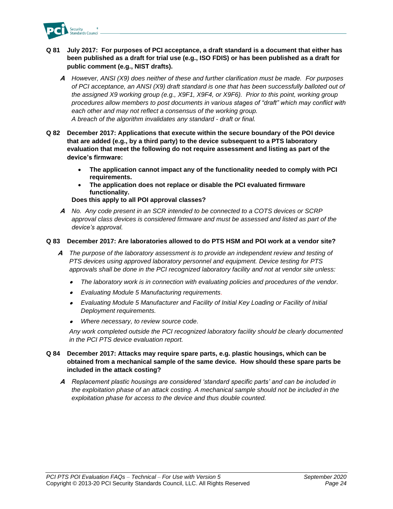

#### **Q 81 July 2017: For purposes of PCI acceptance, a draft standard is a document that either has been published as a draft for trial use (e.g., ISO FDIS) or has been published as a draft for public comment (e.g., NIST drafts).**

- **A** *However, ANSI (X9) does neither of these and further clarification must be made. For purposes of PCI acceptance, an ANSI (X9) draft standard is one that has been successfully balloted out of the assigned X9 working group (e.g., X9F1, X9F4, or X9F6). Prior to this point, working group procedures allow members to post documents in various stages of "draft" which may conflict with each other and may not reflect a consensus of the working group. A breach of the algorithm invalidates any standard - draft or final.*
- **Q 82 December 2017: Applications that execute within the secure boundary of the POI device that are added (e.g., by a third party) to the device subsequent to a PTS laboratory evaluation that meet the following do not require assessment and listing as part of the device's firmware:**
	- **The application cannot impact any of the functionality needed to comply with PCI requirements.**
	- **The application does not replace or disable the PCI evaluated firmware functionality.**

**Does this apply to all POI approval classes?**

**A** *No. Any code present in an SCR intended to be connected to a COTS devices or SCRP approval class devices is considered firmware and must be assessed and listed as part of the device's approval.*

#### **Q 83 December 2017: Are laboratories allowed to do PTS HSM and POI work at a vendor site?**

- **A** *The purpose of the laboratory assessment is to provide an independent review and testing of PTS devices using approved laboratory personnel and equipment. Device testing for PTS approvals shall be done in the PCI recognized laboratory facility and not at vendor site unless:*
	- •*The laboratory work is in connection with evaluating policies and procedures of the vendor.*
	- *Evaluating Module 5 Manufacturing requirements.*
	- *Evaluating Module 5 Manufacturer and Facility of Initial Key Loading or Facility of Initial Deployment requirements.*
	- *Where necessary, to review source code.*

*Any work completed outside the PCI recognized laboratory facility should be clearly documented in the PCI PTS device evaluation report.*

#### **Q 84 December 2017: Attacks may require spare parts, e.g. plastic housings, which can be obtained from a mechanical sample of the same device. How should these spare parts be included in the attack costing?**

**A** *Replacement plastic housings are considered 'standard specific parts' and can be included in the exploitation phase of an attack costing. A mechanical sample should not be included in the exploitation phase for access to the device and thus double counted.*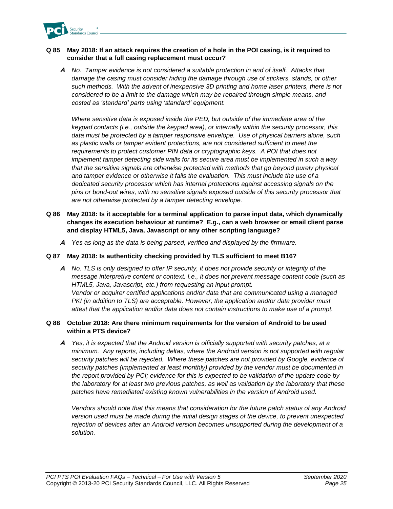

#### **Q 85 May 2018: If an attack requires the creation of a hole in the POI casing, is it required to consider that a full casing replacement must occur?**

**A** *No. Tamper evidence is not considered a suitable protection in and of itself. Attacks that damage the casing must consider hiding the damage through use of stickers, stands, or other such methods. With the advent of inexpensive 3D printing and home laser printers, there is not considered to be a limit to the damage which may be repaired through simple means, and costed as 'standard' parts using 'standard' equipment.* 

*Where sensitive data is exposed inside the PED, but outside of the immediate area of the keypad contacts (i.e., outside the keypad area), or internally within the security processor, this data must be protected by a tamper responsive envelope. Use of physical barriers alone, such as plastic walls or tamper evident protections, are not considered sufficient to meet the*  requirements to protect customer PIN data or cryptographic keys. A POI that does not *implement tamper detecting side walls for its secure area must be implemented in such a way that the sensitive signals are otherwise protected with methods that go beyond purely physical and tamper evidence or otherwise it fails the evaluation. This must include the use of a dedicated security processor which has internal protections against accessing signals on the pins or bond-out wires, with no sensitive signals exposed outside of this security processor that are not otherwise protected by a tamper detecting envelope.*

- **Q 86 May 2018: Is it acceptable for a terminal application to parse input data, which dynamically changes its execution behaviour at runtime? E.g., can a web browser or email client parse and display HTML5, Java, Javascript or any other scripting language?**
	- **A** *Yes as long as the data is being parsed, verified and displayed by the firmware.*

#### **Q 87 May 2018: Is authenticity checking provided by TLS sufficient to meet B16?**

**A** *No. TLS is only designed to offer IP security, it does not provide security or integrity of the message interpretive content or context. I.e., it does not prevent message content code (such as HTML5, Java, Javascript, etc.) from requesting an input prompt. Vendor or acquirer certified applications and/or data that are communicated using a managed PKI (in addition to TLS) are acceptable. However, the application and/or data provider must attest that the application and/or data does not contain instructions to make use of a prompt.*

#### **Q 88 October 2018: Are there minimum requirements for the version of Android to be used within a PTS device?**

**A** *Yes, it is expected that the Android version is officially supported with security patches, at a minimum. Any reports, including deltas, where the Android version is not supported with regular security patches will be rejected. Where these patches are not provided by Google, evidence of security patches (implemented at least monthly) provided by the vendor must be documented in the report provided by PCI; evidence for this is expected to be validation of the update code by the laboratory for at least two previous patches, as well as validation by the laboratory that these patches have remediated existing known vulnerabilities in the version of Android used.*

*Vendors should note that this means that consideration for the future patch status of any Android version used must be made during the initial design stages of the device, to prevent unexpected rejection of devices after an Android version becomes unsupported during the development of a solution.*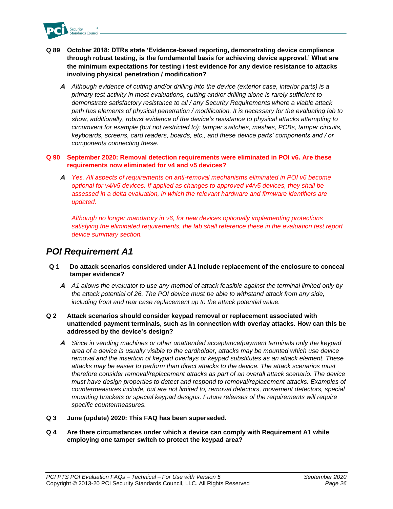

- **Q 89 October 2018: DTRs state 'Evidence-based reporting, demonstrating device compliance through robust testing, is the fundamental basis for achieving device approval.' What are the minimum expectations for testing / test evidence for any device resistance to attacks involving physical penetration / modification?**
	- **A** *Although evidence of cutting and/or drilling into the device (exterior case, interior parts) is a primary test activity in most evaluations, cutting and/or drilling alone is rarely sufficient to demonstrate satisfactory resistance to all / any Security Requirements where a viable attack path has elements of physical penetration / modification. It is necessary for the evaluating lab to show, additionally, robust evidence of the device's resistance to physical attacks attempting to circumvent for example (but not restricted to): tamper switches, meshes, PCBs, tamper circuits, keyboards, screens, card readers, boards, etc., and these device parts' components and / or components connecting these.*

**Q 90 September 2020: Removal detection requirements were eliminated in POI v6. Are these requirements now eliminated for v4 and v5 devices?**

**A** *Yes. All aspects of requirements on anti-removal mechanisms eliminated in POI v6 become optional for v4/v5 devices. If applied as changes to approved v4/v5 devices, they shall be assessed in a delta evaluation, in which the relevant hardware and firmware identifiers are updated.* 

*Although no longer mandatory in v6, for new devices optionally implementing protections satisfying the eliminated requirements, the lab shall reference these in the evaluation test report device summary section.*

## <span id="page-27-0"></span>*POI Requirement A1*

- **Q 1 Do attack scenarios considered under A1 include replacement of the enclosure to conceal tamper evidence?**
	- **A** *A1 allows the evaluator to use any method of attack feasible against the terminal limited only by the attack potential of 26. The POI device must be able to withstand attack from any side, including front and rear case replacement up to the attack potential value.*
- **Q 2 Attack scenarios should consider keypad removal or replacement associated with unattended payment terminals, such as in connection with overlay attacks. How can this be addressed by the device's design?**
	- **A** *Since in vending machines or other unattended acceptance/payment terminals only the keypad area of a device is usually visible to the cardholder, attacks may be mounted which use device removal and the insertion of keypad overlays or keypad substitutes as an attack element. These attacks may be easier to perform than direct attacks to the device. The attack scenarios must therefore consider removal/replacement attacks as part of an overall attack scenario. The device must have design properties to detect and respond to removal/replacement attacks. Examples of countermeasures include, but are not limited to, removal detectors, movement detectors, special mounting brackets or special keypad designs. Future releases of the requirements will require specific countermeasures.*
- **Q 3 June (update) 2020: This FAQ has been superseded.**
- **Q 4 Are there circumstances under which a device can comply with Requirement A1 while employing one tamper switch to protect the keypad area?**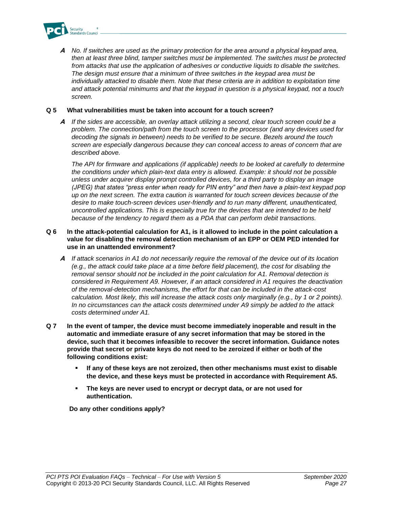

**A** *No. If switches are used as the primary protection for the area around a physical keypad area, then at least three blind, tamper switches must be implemented. The switches must be protected from attacks that use the application of adhesives or conductive liquids to disable the switches. The design must ensure that a minimum of three switches in the keypad area must be individually attacked to disable them. Note that these criteria are in addition to exploitation time and attack potential minimums and that the keypad in question is a physical keypad, not a touch screen.*

#### **Q 5 What vulnerabilities must be taken into account for a touch screen?**

**A** *If the sides are accessible, an overlay attack utilizing a second, clear touch screen could be a problem. The connection/path from the touch screen to the processor (and any devices used for decoding the signals in between) needs to be verified to be secure. Bezels around the touch screen are especially dangerous because they can conceal access to areas of concern that are described above.* 

*The API for firmware and applications (if applicable) needs to be looked at carefully to determine the conditions under which plain-text data entry is allowed. Example: it should not be possible unless under acquirer display prompt controlled devices, for a third party to display an image (JPEG) that states "press enter when ready for PIN entry" and then have a plain-text keypad pop up on the next screen. The extra caution is warranted for touch screen devices because of the desire to make touch-screen devices user-friendly and to run many different, unauthenticated, uncontrolled applications. This is especially true for the devices that are intended to be held because of the tendency to regard them as a PDA that can perform debit transactions.*

#### **Q 6 In the attack-potential calculation for A1, is it allowed to include in the point calculation a value for disabling the removal detection mechanism of an EPP or OEM PED intended for use in an unattended environment?**

- **A** *If attack scenarios in A1 do not necessarily require the removal of the device out of its location (e.g., the attack could take place at a time before field placement), the cost for disabling the removal sensor should not be included in the point calculation for A1. Removal detection is considered in Requirement A9. However, if an attack considered in A1 requires the deactivation of the removal-detection mechanisms, the effort for that can be included in the attack-cost calculation. Most likely, this will increase the attack costs only marginally (e.g., by 1 or 2 points). In no circumstances can the attack costs determined under A9 simply be added to the attack costs determined under A1.*
- **Q 7 In the event of tamper, the device must become immediately inoperable and result in the automatic and immediate erasure of any secret information that may be stored in the device, such that it becomes infeasible to recover the secret information. Guidance notes provide that secret or private keys do not need to be zeroized if either or both of the following conditions exist:**
	- If any of these keys are not zeroized, then other mechanisms must exist to disable **the device, and these keys must be protected in accordance with Requirement A5.**
	- The keys are never used to encrypt or decrypt data, or are not used for **authentication.**

**Do any other conditions apply?**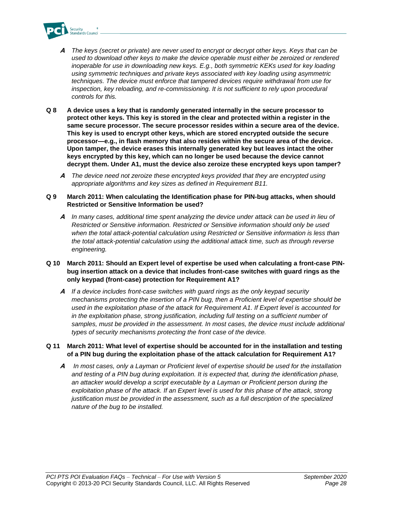

- **A** *The keys (secret or private) are never used to encrypt or decrypt other keys. Keys that can be used to download other keys to make the device operable must either be zeroized or rendered inoperable for use in downloading new keys. E.g., both symmetric KEKs used for key loading using symmetric techniques and private keys associated with key loading using asymmetric techniques. The device must enforce that tampered devices require withdrawal from use for inspection, key reloading, and re-commissioning. It is not sufficient to rely upon procedural controls for this.*
- **Q 8 A device uses a key that is randomly generated internally in the secure processor to protect other keys. This key is stored in the clear and protected within a register in the same secure processor. The secure processor resides within a secure area of the device. This key is used to encrypt other keys, which are stored encrypted outside the secure processor—e.g., in flash memory that also resides within the secure area of the device. Upon tamper, the device erases this internally generated key but leaves intact the other keys encrypted by this key, which can no longer be used because the device cannot decrypt them. Under A1, must the device also zeroize these encrypted keys upon tamper?**
	- **A** *The device need not zeroize these encrypted keys provided that they are encrypted using appropriate algorithms and key sizes as defined in Requirement B11.*
- **Q 9 March 2011: When calculating the Identification phase for PIN-bug attacks, when should Restricted or Sensitive Information be used?**
	- **A** *In many cases, additional time spent analyzing the device under attack can be used in lieu of Restricted or Sensitive information. Restricted or Sensitive information should only be used when the total attack-potential calculation using Restricted or Sensitive information is less than the total attack-potential calculation using the additional attack time, such as through reverse engineering.*
- **Q 10 March 2011: Should an Expert level of expertise be used when calculating a front-case PINbug insertion attack on a device that includes front-case switches with guard rings as the only keypad (front-case) protection for Requirement A1?**
	- **A** *If a device includes front-case switches with guard rings as the only keypad security mechanisms protecting the insertion of a PIN bug, then a Proficient level of expertise should be used in the exploitation phase of the attack for Requirement A1. If Expert level is accounted for in the exploitation phase, strong justification, including full testing on a sufficient number of samples, must be provided in the assessment. In most cases, the device must include additional types of security mechanisms protecting the front case of the device.*
- **Q 11 March 2011: What level of expertise should be accounted for in the installation and testing of a PIN bug during the exploitation phase of the attack calculation for Requirement A1?**
	- **A** *In most cases, only a Layman or Proficient level of expertise should be used for the installation and testing of a PIN bug during exploitation. It is expected that, during the identification phase, an attacker would develop a script executable by a Layman or Proficient person during the exploitation phase of the attack. If an Expert level is used for this phase of the attack, strong justification must be provided in the assessment, such as a full description of the specialized nature of the bug to be installed.*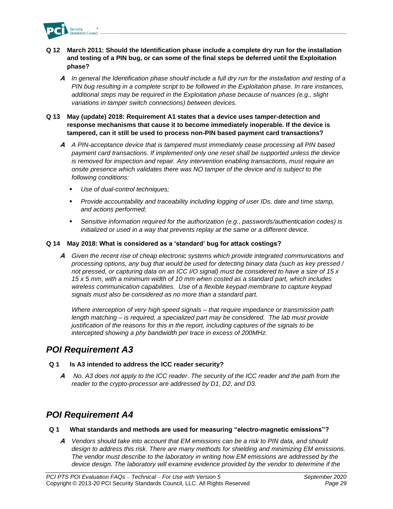

#### **Q 12 March 2011: Should the Identification phase include a complete dry run for the installation and testing of a PIN bug, or can some of the final steps be deferred until the Exploitation phase?**

**A** *In general the Identification phase should include a full dry run for the installation and testing of a PIN bug resulting in a complete script to be followed in the Exploitation phase. In rare instances, additional steps may be required in the Exploitation phase because of nuances (e.g., slight variations in tamper switch connections) between devices.*

#### **Q 13 May (update) 2018: Requirement A1 states that a device uses tamper-detection and response mechanisms that cause it to become immediately inoperable. If the device is tampered, can it still be used to process non-PIN based payment card transactions?**

- **A** *A PIN-acceptance device that is tampered must immediately cease processing all PIN based payment card transactions. If implemented only one reset shall be supported unless the device is removed for inspection and repair. Any intervention enabling transactions, must require an onsite presence which validates there was NO tamper of the device and is subject to the following conditions:*
	- *Use of dual-control techniques;*
	- *Provide accountability and traceability including logging of user IDs, date and time stamp, and actions performed;*
	- *Sensitive information required for the authorization (e.g., passwords/authentication codes) is initialized or used in a way that prevents replay at the same or a different device.*

#### **Q 14 May 2018: What is considered as a 'standard' bug for attack costings?**

**A** *Given the recent rise of cheap electronic systems which provide integrated communications and processing options, any bug that would be used for detecting binary data (such as key pressed / not pressed, or capturing data on an ICC I/O signal) must be considered to have a size of 15 x 15 x 5 mm, with a minimum width of 10 mm when costed as a standard part, which includes wireless communication capabilities. Use of a flexible keypad membrane to capture keypad signals must also be considered as no more than a standard part.*

*Where interception of very high speed signals – that require impedance or transmission path length matching – is required, a specialized part may be considered. The lab must provide justification of the reasons for this in the report, including captures of the signals to be intercepted showing a phy bandwidth per trace in excess of 200MHz.*

### <span id="page-30-0"></span>*POI Requirement A3*

#### **Q 1 Is A3 intended to address the ICC reader security?**

**A** *No. A3 does not apply to the ICC reader. The security of the ICC reader and the path from the reader to the crypto-processor are addressed by D1, D2, and D3.* 

## <span id="page-30-1"></span>*POI Requirement A4*

- **Q 1 What standards and methods are used for measuring "electro-magnetic emissions"?**
	- **A** *Vendors should take into account that EM emissions can be a risk to PIN data, and should design to address this risk. There are many methods for shielding and minimizing EM emissions. The vendor must describe to the laboratory in writing how EM emissions are addressed by the device design. The laboratory will examine evidence provided by the vendor to determine if the*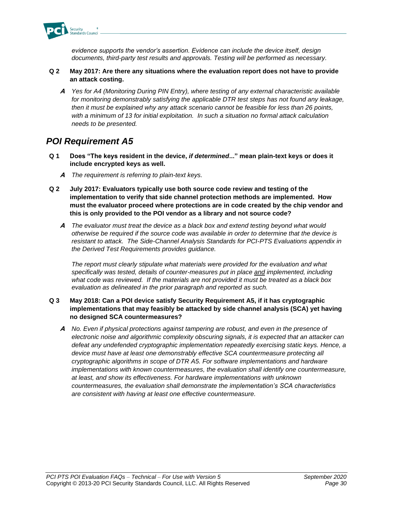

*evidence supports the vendor's assertion. Evidence can include the device itself, design documents, third-party test results and approvals. Testing will be performed as necessary.*

#### **Q 2 May 2017: Are there any situations where the evaluation report does not have to provide an attack costing.**

**A** *Yes for A4 (Monitoring During PIN Entry), where testing of any external characteristic available for monitoring demonstrably satisfying the applicable DTR test steps has not found any leakage, then it must be explained why any attack scenario cannot be feasible for less than 26 points, with a minimum of 13 for initial exploitation. In such a situation no formal attack calculation needs to be presented.*

## <span id="page-31-0"></span>*POI Requirement A5*

- **Q 1 Does "The keys resident in the device,** *if determined***..." mean plain-text keys or does it include encrypted keys as well.** 
	- **A** *The requirement is referring to plain-text keys.*
- **Q 2 July 2017: Evaluators typically use both source code review and testing of the implementation to verify that side channel protection methods are implemented. How must the evaluator proceed where protections are in code created by the chip vendor and this is only provided to the POI vendor as a library and not source code?**
	- **A** *The evaluator must treat the device as a black box and extend testing beyond what would otherwise be required if the source code was available in order to determine that the device is resistant to attack. The Side-Channel Analysis Standards for PCI-PTS Evaluations appendix in the Derived Test Requirements provides guidance.*

The report must clearly stipulate what materials were provided for the evaluation and what *specifically was tested, details of counter-measures put in place and implemented, including what code was reviewed. If the materials are not provided it must be treated as a black box evaluation as delineated in the prior paragraph and reported as such.*

#### **Q 3 May 2018: Can a POI device satisfy Security Requirement A5, if it has cryptographic implementations that may feasibly be attacked by side channel analysis (SCA) yet having no designed SCA countermeasures?**

**A** *No. Even if physical protections against tampering are robust, and even in the presence of electronic noise and algorithmic complexity obscuring signals, it is expected that an attacker can defeat any undefended cryptographic implementation repeatedly exercising static keys. Hence, a*  device must have at least one demonstrably effective SCA countermeasure protecting all *cryptographic algorithms in scope of DTR A5. For software implementations and hardware implementations with known countermeasures, the evaluation shall identify one countermeasure, at least, and show its effectiveness. For hardware implementations with unknown countermeasures, the evaluation shall demonstrate the implementation's SCA characteristics are consistent with having at least one effective countermeasure.*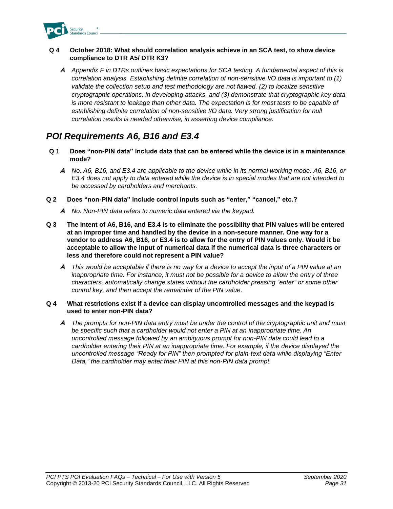

#### **Q 4 October 2018: What should correlation analysis achieve in an SCA test, to show device compliance to DTR A5/ DTR K3?**

**A** *Appendix F in DTRs outlines basic expectations for SCA testing. A fundamental aspect of this is correlation analysis. Establishing definite correlation of non-sensitive I/O data is important to (1) validate the collection setup and test methodology are not flawed, (2) to localize sensitive cryptographic operations, in developing attacks, and (3) demonstrate that cryptographic key data is more resistant to leakage than other data. The expectation is for most tests to be capable of establishing definite correlation of non-sensitive I/O data. Very strong justification for null correlation results is needed otherwise, in asserting device compliance.*

## <span id="page-32-0"></span>*POI Requirements A6, B16 and E3.4*

- **Q 1 Does "non-PIN data" include data that can be entered while the device is in a maintenance mode?**
	- **A** *No. A6, B16, and E3.4 are applicable to the device while in its normal working mode. A6, B16, or E3.4 does not apply to data entered while the device is in special modes that are not intended to be accessed by cardholders and merchants.*
- **Q 2 Does "non-PIN data" include control inputs such as "enter," "cancel," etc.?**
	- **A** *No. Non-PIN data refers to numeric data entered via the keypad.*
- **Q 3 The intent of A6, B16, and E3.4 is to eliminate the possibility that PIN values will be entered at an improper time and handled by the device in a non-secure manner. One way for a vendor to address A6, B16, or E3.4 is to allow for the entry of PIN values only. Would it be acceptable to allow the input of numerical data if the numerical data is three characters or less and therefore could not represent a PIN value?**
	- **A** *This would be acceptable if there is no way for a device to accept the input of a PIN value at an inappropriate time. For instance, it must not be possible for a device to allow the entry of three characters, automatically change states without the cardholder pressing "enter" or some other control key, and then accept the remainder of the PIN value.*

#### **Q 4 What restrictions exist if a device can display uncontrolled messages and the keypad is used to enter non-PIN data?**

**A** *The prompts for non-PIN data entry must be under the control of the cryptographic unit and must be specific such that a cardholder would not enter a PIN at an inappropriate time. An uncontrolled message followed by an ambiguous prompt for non-PIN data could lead to a cardholder entering their PIN at an inappropriate time. For example, if the device displayed the uncontrolled message "Ready for PIN" then prompted for plain-text data while displaying "Enter Data," the cardholder may enter their PIN at this non-PIN data prompt.*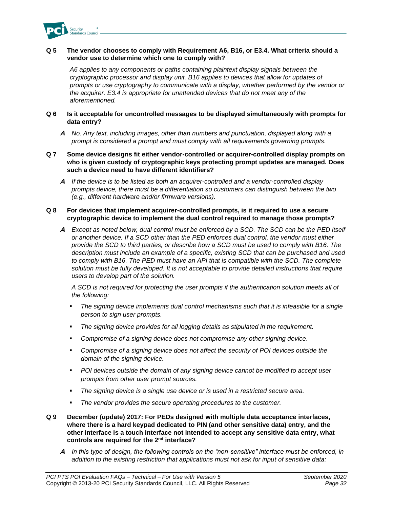

#### **Q 5 The vendor chooses to comply with Requirement A6, B16, or E3.4. What criteria should a vendor use to determine which one to comply with?**

*A6 applies to any components or paths containing plaintext display signals between the cryptographic processor and display unit. B16 applies to devices that allow for updates of prompts or use cryptography to communicate with a display, whether performed by the vendor or the acquirer. E3.4 is appropriate for unattended devices that do not meet any of the aforementioned.*

#### **Q 6 Is it acceptable for uncontrolled messages to be displayed simultaneously with prompts for data entry?**

**A** *No. Any text, including images, other than numbers and punctuation, displayed along with a prompt is considered a prompt and must comply with all requirements governing prompts.*

#### **Q 7 Some device designs fit either vendor-controlled or acquirer-controlled display prompts on who is given custody of cryptographic keys protecting prompt updates are managed. Does such a device need to have different identifiers?**

**A** *If the device is to be listed as both an acquirer-controlled and a vendor-controlled display prompts device, there must be a differentiation so customers can distinguish between the two (e.g., different hardware and/or firmware versions).*

#### **Q 8 For devices that implement acquirer-controlled prompts, is it required to use a secure cryptographic device to implement the dual control required to manage those prompts?**

**A** *Except as noted below, dual control must be enforced by a SCD. The SCD can be the PED itself or another device. If a SCD other than the PED enforces dual control, the vendor must either provide the SCD to third parties, or describe how a SCD must be used to comply with B16. The description must include an example of a specific, existing SCD that can be purchased and used*  to comply with B16. The PED must have an API that is compatible with the SCD. The complete *solution must be fully developed. It is not acceptable to provide detailed instructions that require users to develop part of the solution.*

*A SCD is not required for protecting the user prompts if the authentication solution meets all of the following:*

- The signing device implements dual control mechanisms such that it is infeasible for a single *person to sign user prompts.*
- *The signing device provides for all logging details as stipulated in the requirement.*
- *Compromise of a signing device does not compromise any other signing device.*
- *Compromise of a signing device does not affect the security of POI devices outside the domain of the signing device.*
- *POI devices outside the domain of any signing device cannot be modified to accept user prompts from other user prompt sources.*
- *The signing device is a single use device or is used in a restricted secure area.*
- The vendor provides the secure operating procedures to the customer.
- **Q 9 December (update) 2017: For PEDs designed with multiple data acceptance interfaces, where there is a hard keypad dedicated to PIN (and other sensitive data) entry, and the other interface is a touch interface not intended to accept any sensitive data entry, what controls are required for the 2nd interface?**
	- **A** *In this type of design, the following controls on the "non-sensitive" interface must be enforced, in addition to the existing restriction that applications must not ask for input of sensitive data:*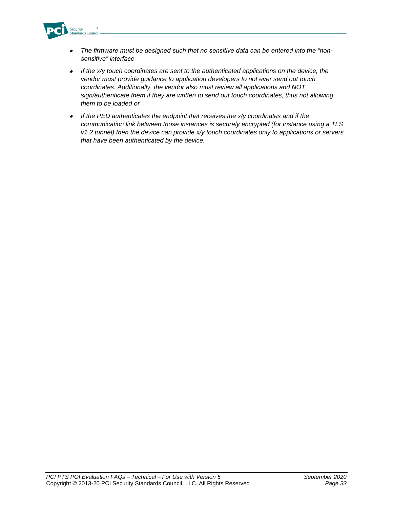

- • *The firmware must be designed such that no sensitive data can be entered into the "nonsensitive" interface*
- *If the x/y touch coordinates are sent to the authenticated applications on the device, the vendor must provide guidance to application developers to not ever send out touch coordinates. Additionally, the vendor also must review all applications and NOT sign/authenticate them if they are written to send out touch coordinates, thus not allowing them to be loaded or*
- • *If the PED authenticates the endpoint that receives the x/y coordinates and if the communication link between those instances is securely encrypted (for instance using a TLS v1.2 tunnel) then the device can provide x/y touch coordinates only to applications or servers that have been authenticated by the device.*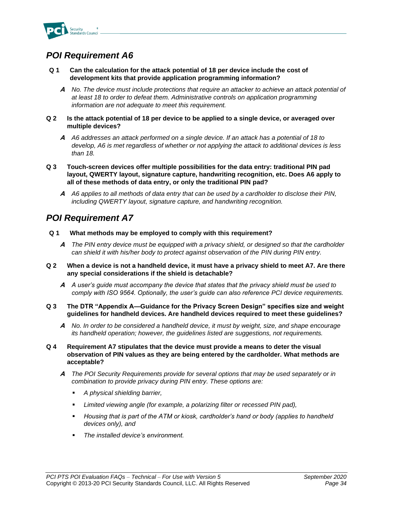

## <span id="page-35-0"></span>*POI Requirement A6*

- **Q 1 Can the calculation for the attack potential of 18 per device include the cost of development kits that provide application programming information?**
	- **A** *No. The device must include protections that require an attacker to achieve an attack potential of at least 18 to order to defeat them. Administrative controls on application programming information are not adequate to meet this requirement.*
- **Q 2 Is the attack potential of 18 per device to be applied to a single device, or averaged over multiple devices?**
	- **A** *A6 addresses an attack performed on a single device. If an attack has a potential of 18 to develop, A6 is met regardless of whether or not applying the attack to additional devices is less than 18.*
- **Q 3 Touch-screen devices offer multiple possibilities for the data entry: traditional PIN pad layout, QWERTY layout, signature capture, handwriting recognition, etc. Does A6 apply to all of these methods of data entry, or only the traditional PIN pad?**
	- **A** *A6 applies to all methods of data entry that can be used by a cardholder to disclose their PIN, including QWERTY layout, signature capture, and handwriting recognition.*

## <span id="page-35-1"></span>*POI Requirement A7*

- **Q 1 What methods may be employed to comply with this requirement?**
	- **A** *The PIN entry device must be equipped with a privacy shield, or designed so that the cardholder can shield it with his/her body to protect against observation of the PIN during PIN entry.*
- **Q 2 When a device is not a handheld device, it must have a privacy shield to meet A7. Are there any special considerations if the shield is detachable?**
	- **A** *A user's guide must accompany the device that states that the privacy shield must be used to comply with ISO 9564. Optionally, the user's guide can also reference PCI device requirements.*
- **Q 3 The DTR "Appendix A—Guidance for the Privacy Screen Design" specifies size and weight guidelines for handheld devices. Are handheld devices required to meet these guidelines?**
	- **A** *No. In order to be considered a handheld device, it must by weight, size, and shape encourage its handheld operation; however, the guidelines listed are suggestions, not requirements.*
- **Q 4 Requirement A7 stipulates that the device must provide a means to deter the visual observation of PIN values as they are being entered by the cardholder. What methods are acceptable?**
	- **A** *The POI Security Requirements provide for several options that may be used separately or in combination to provide privacy during PIN entry. These options are:*
		- *A physical shielding barrier,*
		- *Limited viewing angle (for example, a polarizing filter or recessed PIN pad),*
		- *Housing that is part of the ATM or kiosk, cardholder's hand or body (applies to handheld devices only), and*
		- *The installed device's environment.*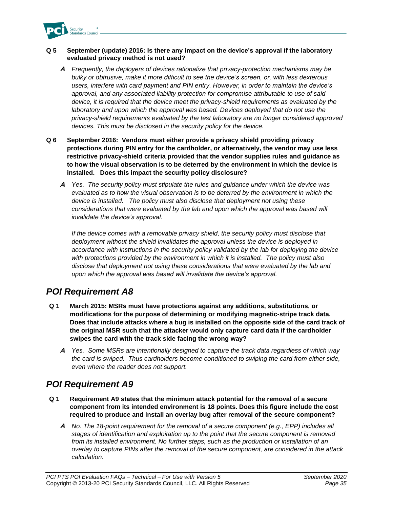

## **Q 5 September (update) 2016: Is there any impact on the device's approval if the laboratory evaluated privacy method is not used?**

- **A** *Frequently, the deployers of devices rationalize that privacy-protection mechanisms may be bulky or obtrusive, make it more difficult to see the device's screen, or, with less dexterous users, interfere with card payment and PIN entry. However, in order to maintain the device's approval, and any associated liability protection for compromise attributable to use of said device, it is required that the device meet the privacy-shield requirements as evaluated by the laboratory and upon which the approval was based. Devices deployed that do not use the privacy-shield requirements evaluated by the test laboratory are no longer considered approved devices. This must be disclosed in the security policy for the device.*
- **Q 6 September 2016: Vendors must either provide a privacy shield providing privacy protections during PIN entry for the cardholder, or alternatively, the vendor may use less restrictive privacy-shield criteria provided that the vendor supplies rules and guidance as to how the visual observation is to be deterred by the environment in which the device is installed. Does this impact the security policy disclosure?**
	- **A** *Yes. The security policy must stipulate the rules and guidance under which the device was evaluated as to how the visual observation is to be deterred by the environment in which the device is installed. The policy must also disclose that deployment not using these considerations that were evaluated by the lab and upon which the approval was based will invalidate the device's approval.*

*If the device comes with a removable privacy shield, the security policy must disclose that deployment without the shield invalidates the approval unless the device is deployed in accordance with instructions in the security policy validated by the lab for deploying the device with protections provided by the environment in which it is installed. The policy must also disclose that deployment not using these considerations that were evaluated by the lab and upon which the approval was based will invalidate the device's approval.*

# *POI Requirement A8*

- **Q 1 March 2015: MSRs must have protections against any additions, substitutions, or modifications for the purpose of determining or modifying magnetic-stripe track data. Does that include attacks where a bug is installed on the opposite side of the card track of the original MSR such that the attacker would only capture card data if the cardholder swipes the card with the track side facing the wrong way?**
	- **A** *Yes. Some MSRs are intentionally designed to capture the track data regardless of which way the card is swiped. Thus cardholders become conditioned to swiping the card from either side, even where the reader does not support.*

## *POI Requirement A9*

- **Q 1 Requirement A9 states that the minimum attack potential for the removal of a secure component from its intended environment is 18 points. Does this figure include the cost required to produce and install an overlay bug after removal of the secure component?**
	- **A** *No. The 18-point requirement for the removal of a secure component (e.g., EPP) includes all stages of identification and exploitation up to the point that the secure component is removed from its installed environment. No further steps, such as the production or installation of an overlay to capture PINs after the removal of the secure component, are considered in the attack calculation.*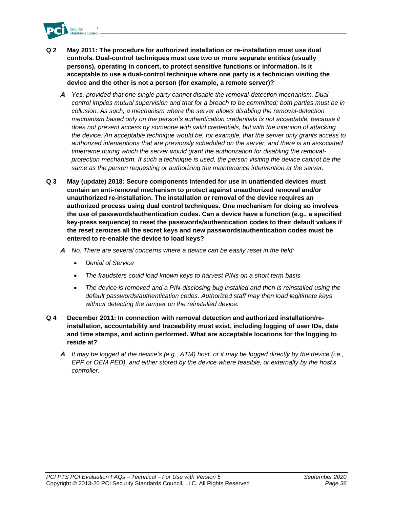

- **Q 2 May 2011: The procedure for authorized installation or re-installation must use dual controls. Dual-control techniques must use two or more separate entities (usually persons), operating in concert, to protect sensitive functions or information. Is it acceptable to use a dual-control technique where one party is a technician visiting the device and the other is not a person (for example, a remote server)?**
	- **A** *Yes, provided that one single party cannot disable the removal-detection mechanism. Dual control implies mutual supervision and that for a breach to be committed; both parties must be in collusion. As such, a mechanism where the server allows disabling the removal-detection mechanism based only on the person's authentication credentials is not acceptable, because it does not prevent access by someone with valid credentials, but with the intention of attacking the device. An acceptable technique would be, for example, that the server only grants access to authorized interventions that are previously scheduled on the server, and there is an associated timeframe during which the server would grant the authorization for disabling the removalprotection mechanism. If such a technique is used, the person visiting the device cannot be the same as the person requesting or authorizing the maintenance intervention at the server.*
- **Q 3 May (update) 2018: Secure components intended for use in unattended devices must contain an anti-removal mechanism to protect against unauthorized removal and/or unauthorized re-installation. The installation or removal of the device requires an authorized process using dual control techniques. One mechanism for doing so involves the use of passwords/authentication codes. Can a device have a function (e.g., a specified key-press sequence) to reset the passwords/authentication codes to their default values if the reset zeroizes all the secret keys and new passwords/authentication codes must be entered to re-enable the device to load keys?**
	- **A** *No. There are several concerns where a device can be easily reset in the field:*
		- *Denial of Service*
		- *The fraudsters could load known keys to harvest PINs on a short term basis*
		- *The device is removed and a PIN-disclosing bug installed and then is reinstalled using the default passwords/authentication codes. Authorized staff may then load legitimate keys without detecting the tamper on the reinstalled device.*
- **Q 4 December 2011: In connection with removal detection and authorized installation/reinstallation, accountability and traceability must exist, including logging of user IDs, date and time stamps, and action performed. What are acceptable locations for the logging to reside at?**
	- **A** *It may be logged at the device's (e.g., ATM) host, or it may be logged directly by the device (i.e., EPP or OEM PED), and either stored by the device where feasible, or externally by the host's controller.*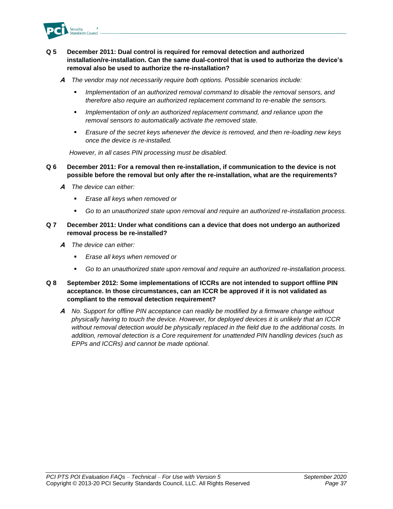

## **Q 5 December 2011: Dual control is required for removal detection and authorized installation/re-installation. Can the same dual-control that is used to authorize the device's removal also be used to authorize the re-installation?**

- **A** *The vendor may not necessarily require both options. Possible scenarios include:*
	- Implementation of an authorized removal command to disable the removal sensors, and *therefore also require an authorized replacement command to re-enable the sensors.*
	- Implementation of only an authorized replacement command, and reliance upon the *removal sensors to automatically activate the removed state.*
	- *Erasure of the secret keys whenever the device is removed, and then re-loading new keys once the device is re-installed.*

*However, in all cases PIN processing must be disabled.*

- **Q 6 December 2011: For a removal then re-installation, if communication to the device is not possible before the removal but only after the re-installation, what are the requirements?**
	- **A** *The device can either:*
		- *Erase all keys when removed or*
		- *Go to an unauthorized state upon removal and require an authorized re-installation process.*

## **Q 7 December 2011: Under what conditions can a device that does not undergo an authorized removal process be re-installed?**

- **A** *The device can either:*
	- *Erase all keys when removed or*
	- *Go to an unauthorized state upon removal and require an authorized re-installation process.*
- **Q 8 September 2012: Some implementations of ICCRs are not intended to support offline PIN acceptance. In those circumstances, can an ICCR be approved if it is not validated as compliant to the removal detection requirement?**
	- **A** *No. Support for offline PIN acceptance can readily be modified by a firmware change without physically having to touch the device. However, for deployed devices it is unlikely that an ICCR without removal detection would be physically replaced in the field due to the additional costs. In addition, removal detection is a Core requirement for unattended PIN handling devices (such as EPPs and ICCRs) and cannot be made optional.*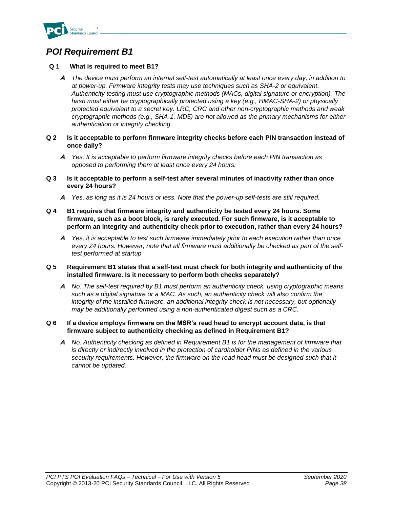

# *POI Requirement B1*

## **Q 1 What is required to meet B1?**

- **A** *The device must perform an internal self-test automatically at least once every day, in addition to at power-up. Firmware integrity tests may use techniques such as SHA-2 or equivalent. Authenticity testing must use cryptographic methods (MACs, digital signature or encryption). The*  hash must either be cryptographically protected using a key (e.g., HMAC-SHA-2) or physically *protected equivalent to a secret key. LRC, CRC and other non-cryptographic methods and weak cryptographic methods (e.g., SHA-1, MD5) are not allowed as the primary mechanisms for either authentication or integrity checking.*
- **Q 2 Is it acceptable to perform firmware integrity checks before each PIN transaction instead of once daily?** 
	- **A** *Yes. It is acceptable to perform firmware integrity checks before each PIN transaction as opposed to performing them at least once every 24 hours.*
- **Q 3 Is it acceptable to perform a self-test after several minutes of inactivity rather than once every 24 hours?**
	- **A** *Yes, as long as it is 24 hours or less. Note that the power-up self-tests are still required.*
- **Q 4 B1 requires that firmware integrity and authenticity be tested every 24 hours. Some firmware, such as a boot block, is rarely executed. For such firmware, is it acceptable to perform an integrity and authenticity check prior to execution, rather than every 24 hours?**
	- **A** *Yes, it is acceptable to test such firmware immediately prior to each execution rather than once every 24 hours. However, note that all firmware must additionally be checked as part of the selftest performed at startup.*

### **Q 5 Requirement B1 states that a self-test must check for both integrity and authenticity of the installed firmware. Is it necessary to perform both checks separately?**

**A** *No. The self-test required by B1 must perform an authenticity check, using cryptographic means such as a digital signature or a MAC. As such, an authenticity check will also confirm the integrity of the installed firmware, an additional integrity check is not necessary, but optionally may be additionally performed using a non-authenticated digest such as a CRC.*

### **Q 6 If a device employs firmware on the MSR's read head to encrypt account data, is that firmware subject to authenticity checking as defined in Requirement B1?**

**A** *No. Authenticity checking as defined in Requirement B1 is for the management of firmware that is directly or indirectly involved in the protection of cardholder PINs as defined in the various*  security requirements. However, the firmware on the read head must be designed such that it *cannot be updated.*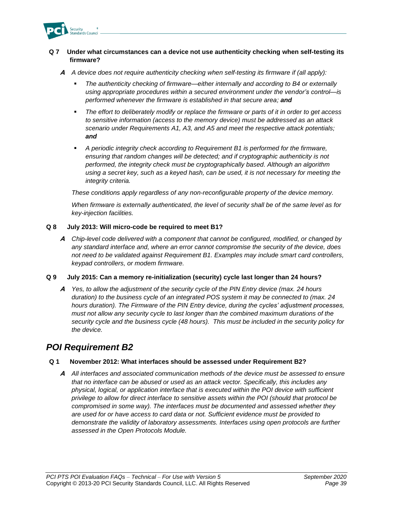

## **Q 7 Under what circumstances can a device not use authenticity checking when self-testing its firmware?**

- **A** *A device does not require authenticity checking when self-testing its firmware if (all apply):*
	- *The authenticity checking of firmware—either internally and according to B4 or externally using appropriate procedures within a secured environment under the vendor's control—is performed whenever the firmware is established in that secure area; and*
	- The effort to deliberately modify or replace the firmware or parts of it in order to get access *to sensitive information (access to the memory device) must be addressed as an attack scenario under Requirements A1, A3, and A5 and meet the respective attack potentials; and*
	- *A periodic integrity check according to Requirement B1 is performed for the firmware, ensuring that random changes will be detected; and if cryptographic authenticity is not performed, the integrity check must be cryptographically based. Although an algorithm using a secret key, such as a keyed hash, can be used, it is not necessary for meeting the integrity criteria.*

*These conditions apply regardless of any non-reconfigurable property of the device memory.*

*When firmware is externally authenticated, the level of security shall be of the same level as for key-injection facilities.*

### **Q 8 July 2013: Will micro-code be required to meet B1?**

**A** *Chip-level code delivered with a component that cannot be configured, modified, or changed by any standard interface and, where an error cannot compromise the security of the device, does not need to be validated against Requirement B1. Examples may include smart card controllers, keypad controllers, or modem firmware.*

#### **Q 9 July 2015: Can a memory re-initialization (security) cycle last longer than 24 hours?**

**A** *Yes, to allow the adjustment of the security cycle of the PIN Entry device (max. 24 hours duration) to the business cycle of an integrated POS system it may be connected to (max. 24 hours duration). The Firmware of the PIN Entry device, during the cycles' adjustment processes, must not allow any security cycle to last longer than the combined maximum durations of the security cycle and the business cycle (48 hours). This must be included in the security policy for the device.*

## *POI Requirement B2*

## **Q 1 November 2012: What interfaces should be assessed under Requirement B2?**

**A** *All interfaces and associated communication methods of the device must be assessed to ensure that no interface can be abused or used as an attack vector. Specifically, this includes any physical, logical, or application interface that is executed within the POI device with sufficient privilege to allow for direct interface to sensitive assets within the POI (should that protocol be compromised in some way). The interfaces must be documented and assessed whether they are used for or have access to card data or not. Sufficient evidence must be provided to demonstrate the validity of laboratory assessments. Interfaces using open protocols are further assessed in the Open Protocols Module.*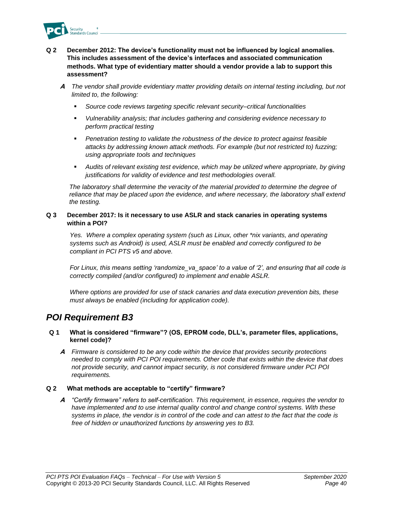

## **Q 2 December 2012: The device's functionality must not be influenced by logical anomalies. This includes assessment of the device's interfaces and associated communication methods. What type of evidentiary matter should a vendor provide a lab to support this assessment?**

- **A** *The vendor shall provide evidentiary matter providing details on internal testing including, but not limited to, the following:*
	- Source code reviews targeting specific relevant security–critical functionalities
	- *Vulnerability analysis; that includes gathering and considering evidence necessary to perform practical testing*
	- *Penetration testing to validate the robustness of the device to protect against feasible attacks by addressing known attack methods. For example (but not restricted to) fuzzing; using appropriate tools and techniques*
	- *Audits of relevant existing test evidence, which may be utilized where appropriate, by giving justifications for validity of evidence and test methodologies overall.*

*The laboratory shall determine the veracity of the material provided to determine the degree of reliance that may be placed upon the evidence, and where necessary, the laboratory shall extend the testing.* 

### **Q 3 December 2017: Is it necessary to use ASLR and stack canaries in operating systems within a POI?**

*Yes. Where a complex operating system (such as Linux, other \*nix variants, and operating systems such as Android) is used, ASLR must be enabled and correctly configured to be compliant in PCI PTS v5 and above.*

*For Linux, this means setting 'randomize\_va\_space' to a value of '2', and ensuring that all code is correctly compiled (and/or configured) to implement and enable ASLR.*

*Where options are provided for use of stack canaries and data execution prevention bits, these must always be enabled (including for application code).*

## *POI Requirement B3*

### **Q 1 What is considered "firmware"? (OS, EPROM code, DLL's, parameter files, applications, kernel code)?**

**A** *Firmware is considered to be any code within the device that provides security protections needed to comply with PCI POI requirements. Other code that exists within the device that does not provide security, and cannot impact security, is not considered firmware under PCI POI requirements.* 

### **Q 2 What methods are acceptable to "certify" firmware?**

**A** *"Certify firmware" refers to self-certification. This requirement, in essence, requires the vendor to have implemented and to use internal quality control and change control systems. With these systems in place, the vendor is in control of the code and can attest to the fact that the code is free of hidden or unauthorized functions by answering yes to B3.*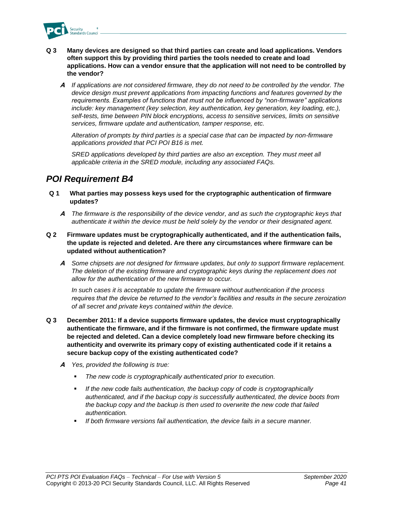

- **Q 3 Many devices are designed so that third parties can create and load applications. Vendors often support this by providing third parties the tools needed to create and load applications. How can a vendor ensure that the application will not need to be controlled by the vendor?**
	- **A** *If applications are not considered firmware, they do not need to be controlled by the vendor. The device design must prevent applications from impacting functions and features governed by the requirements. Examples of functions that must not be influenced by "non-firmware" applications include: key management (key selection, key authentication, key generation, key loading, etc.), self-tests, time between PIN block encryptions, access to sensitive services, limits on sensitive services, firmware update and authentication, tamper response, etc.*

*Alteration of prompts by third parties is a special case that can be impacted by non-firmware applications provided that PCI POI B16 is met.* 

*SRED applications developed by third parties are also an exception. They must meet all applicable criteria in the SRED module, including any associated FAQs.*

## *POI Requirement B4*

- **Q 1 What parties may possess keys used for the cryptographic authentication of firmware updates?**
	- **A** *The firmware is the responsibility of the device vendor, and as such the cryptographic keys that authenticate it within the device must be held solely by the vendor or their designated agent.*
- **Q 2 Firmware updates must be cryptographically authenticated, and if the authentication fails, the update is rejected and deleted. Are there any circumstances where firmware can be updated without authentication?**
	- **A** *Some chipsets are not designed for firmware updates, but only to support firmware replacement. The deletion of the existing firmware and cryptographic keys during the replacement does not allow for the authentication of the new firmware to occur.*

*In such cases it is acceptable to update the firmware without authentication if the process requires that the device be returned to the vendor's facilities and results in the secure zeroization of all secret and private keys contained within the device.*

- **Q 3 December 2011: If a device supports firmware updates, the device must cryptographically authenticate the firmware, and if the firmware is not confirmed, the firmware update must be rejected and deleted. Can a device completely load new firmware before checking its authenticity and overwrite its primary copy of existing authenticated code if it retains a secure backup copy of the existing authenticated code?**
	- **A** *Yes, provided the following is true:*
		- The new code is cryptographically authenticated prior to execution.
		- If the new code fails authentication, the backup copy of code is cryptographically *authenticated, and if the backup copy is successfully authenticated, the device boots from the backup copy and the backup is then used to overwrite the new code that failed authentication.*
		- *If both firmware versions fail authentication, the device fails in a secure manner.*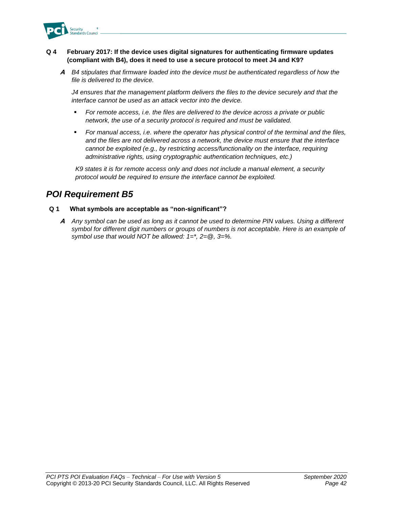

## **Q 4 February 2017: If the device uses digital signatures for authenticating firmware updates (compliant with B4), does it need to use a secure protocol to meet J4 and K9?**

**A** *B4 stipulates that firmware loaded into the device must be authenticated regardless of how the file is delivered to the device.* 

*J4 ensures that the management platform delivers the files to the device securely and that the interface cannot be used as an attack vector into the device.* 

- For remote access, i.e. the files are delivered to the device across a private or public *network, the use of a security protocol is required and must be validated.*
- *For manual access, i.e. where the operator has physical control of the terminal and the files, and the files are not delivered across a network, the device must ensure that the interface cannot be exploited (e.g., by restricting access/functionality on the interface, requiring administrative rights, using cryptographic authentication techniques, etc.)*

*K9 states it is for remote access only and does not include a manual element, a security protocol would be required to ensure the interface cannot be exploited.* 

## *POI Requirement B5*

## **Q 1 What symbols are acceptable as "non-significant"?**

**A** *Any symbol can be used as long as it cannot be used to determine PIN values. Using a different symbol for different digit numbers or groups of numbers is not acceptable. Here is an example of symbol use that would NOT be allowed: 1=\*, 2=@, 3=%.*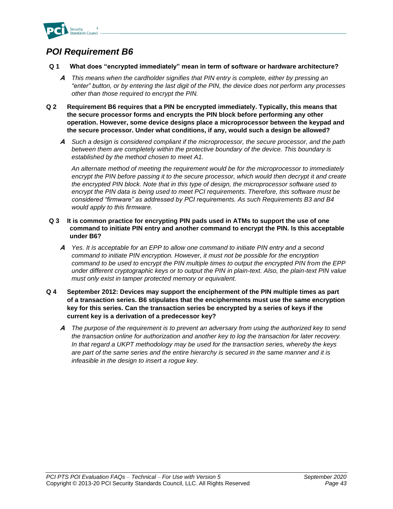

## *POI Requirement B6*

- **Q 1 What does "encrypted immediately" mean in term of software or hardware architecture?** 
	- **A** *This means when the cardholder signifies that PIN entry is complete, either by pressing an "enter" button, or by entering the last digit of the PIN, the device does not perform any processes other than those required to encrypt the PIN.*
- **Q 2 Requirement B6 requires that a PIN be encrypted immediately. Typically, this means that the secure processor forms and encrypts the PIN block before performing any other operation. However, some device designs place a microprocessor between the keypad and the secure processor. Under what conditions, if any, would such a design be allowed?** 
	- **A** *Such a design is considered compliant if the microprocessor, the secure processor, and the path between them are completely within the protective boundary of the device. This boundary is established by the method chosen to meet A1.*

*An alternate method of meeting the requirement would be for the microprocessor to immediately encrypt the PIN before passing it to the secure processor, which would then decrypt it and create the encrypted PIN block. Note that in this type of design, the microprocessor software used to encrypt the PIN data is being used to meet PCI requirements. Therefore, this software must be considered "firmware" as addressed by PCI requirements. As such Requirements B3 and B4 would apply to this firmware.* 

- **Q 3 It is common practice for encrypting PIN pads used in ATMs to support the use of one command to initiate PIN entry and another command to encrypt the PIN. Is this acceptable under B6?**
	- **A** *Yes. It is acceptable for an EPP to allow one command to initiate PIN entry and a second command to initiate PIN encryption. However, it must not be possible for the encryption command to be used to encrypt the PIN multiple times to output the encrypted PIN from the EPP under different cryptographic keys or to output the PIN in plain-text. Also, the plain-text PIN value must only exist in tamper protected memory or equivalent.*
- **Q 4 September 2012: Devices may support the encipherment of the PIN multiple times as part of a transaction series. B6 stipulates that the encipherments must use the same encryption key for this series. Can the transaction series be encrypted by a series of keys if the current key is a derivation of a predecessor key?**
	- **A** *The purpose of the requirement is to prevent an adversary from using the authorized key to send the transaction online for authorization and another key to log the transaction for later recovery. In that regard a UKPT methodology may be used for the transaction series, whereby the keys are part of the same series and the entire hierarchy is secured in the same manner and it is infeasible in the design to insert a rogue key.*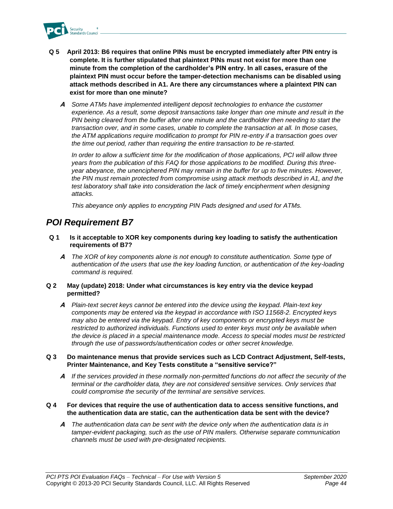

- **Q 5 April 2013: B6 requires that online PINs must be encrypted immediately after PIN entry is complete. It is further stipulated that plaintext PINs must not exist for more than one minute from the completion of the cardholder's PIN entry. In all cases, erasure of the plaintext PIN must occur before the tamper-detection mechanisms can be disabled using attack methods described in A1. Are there any circumstances where a plaintext PIN can exist for more than one minute?**
	- **A** *Some ATMs have implemented intelligent deposit technologies to enhance the customer experience. As a result, some deposit transactions take longer than one minute and result in the PIN being cleared from the buffer after one minute and the cardholder then needing to start the transaction over, and in some cases, unable to complete the transaction at all. In those cases, the ATM applications require modification to prompt for PIN re-entry if a transaction goes over the time out period, rather than requiring the entire transaction to be re-started.*

*In order to allow a sufficient time for the modification of those applications, PCI will allow three years from the publication of this FAQ for those applications to be modified. During this threeyear abeyance, the unenciphered PIN may remain in the buffer for up to five minutes. However, the PIN must remain protected from compromise using attack methods described in A1, and the test laboratory shall take into consideration the lack of timely encipherment when designing attacks.*

*This abeyance only applies to encrypting PIN Pads designed and used for ATMs.* 

## *POI Requirement B7*

- **Q 1 Is it acceptable to XOR key components during key loading to satisfy the authentication requirements of B7?**
	- **A** *The XOR of key components alone is not enough to constitute authentication. Some type of authentication of the users that use the key loading function, or authentication of the key-loading command is required.*
- **Q 2 May (update) 2018: Under what circumstances is key entry via the device keypad permitted?**
	- **A** *Plain-text secret keys cannot be entered into the device using the keypad. Plain-text key components may be entered via the keypad in accordance with ISO 11568-2. Encrypted keys may also be entered via the keypad. Entry of key components or encrypted keys must be restricted to authorized individuals. Functions used to enter keys must only be available when the device is placed in a special maintenance mode. Access to special modes must be restricted through the use of passwords/authentication codes or other secret knowledge.*

### **Q 3 Do maintenance menus that provide services such as LCD Contract Adjustment, Self-tests, Printer Maintenance, and Key Tests constitute a "sensitive service?"**

**A** *If the services provided in these normally non-permitted functions do not affect the security of the terminal or the cardholder data, they are not considered sensitive services. Only services that could compromise the security of the terminal are sensitive services.*

### **Q 4 For devices that require the use of authentication data to access sensitive functions, and the authentication data are static, can the authentication data be sent with the device?**

**A** *The authentication data can be sent with the device only when the authentication data is in tamper-evident packaging, such as the use of PIN mailers. Otherwise separate communication channels must be used with pre-designated recipients.*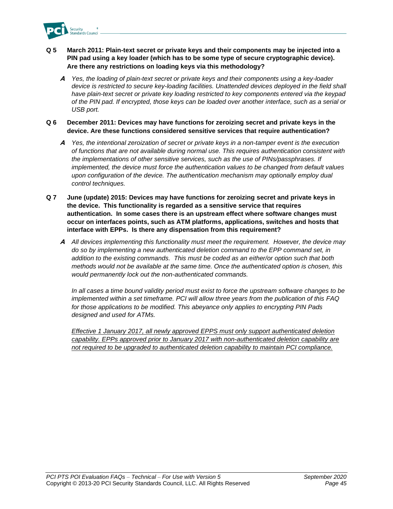

### **Q 5 March 2011: Plain-text secret or private keys and their components may be injected into a PIN pad using a key loader (which has to be some type of secure cryptographic device). Are there any restrictions on loading keys via this methodology?**

**A** *Yes, the loading of plain-text secret or private keys and their components using a key-loader*  device is restricted to secure key-loading facilities. Unattended devices deployed in the field shall *have plain-text secret or private key loading restricted to key components entered via the keypad of the PIN pad. If encrypted, those keys can be loaded over another interface, such as a serial or USB port.* 

### **Q 6 December 2011: Devices may have functions for zeroizing secret and private keys in the device. Are these functions considered sensitive services that require authentication?**

- **A** *Yes, the intentional zeroization of secret or private keys in a non-tamper event is the execution of functions that are not available during normal use. This requires authentication consistent with the implementations of other sensitive services, such as the use of PINs/passphrases. If implemented, the device must force the authentication values to be changed from default values upon configuration of the device. The authentication mechanism may optionally employ dual control techniques.*
- **Q 7 June (update) 2015: Devices may have functions for zeroizing secret and private keys in the device. This functionality is regarded as a sensitive service that requires authentication. In some cases there is an upstream effect where software changes must occur on interfaces points, such as ATM platforms, applications, switches and hosts that interface with EPPs. Is there any dispensation from this requirement?**
	- **A** *All devices implementing this functionality must meet the requirement. However, the device may do so by implementing a new authenticated deletion command to the EPP command set, in addition to the existing commands. This must be coded as an either/or option such that both methods would not be available at the same time. Once the authenticated option is chosen, this would permanently lock out the non-authenticated commands.*

*In all cases a time bound validity period must exist to force the upstream software changes to be implemented within a set timeframe. PCI will allow three years from the publication of this FAQ for those applications to be modified. This abeyance only applies to encrypting PIN Pads designed and used for ATMs.*

*Effective 1 January 2017, all newly approved EPPS must only support authenticated deletion capability. EPPs approved prior to January 2017 with non-authenticated deletion capability are not required to be upgraded to authenticated deletion capability to maintain PCI compliance.*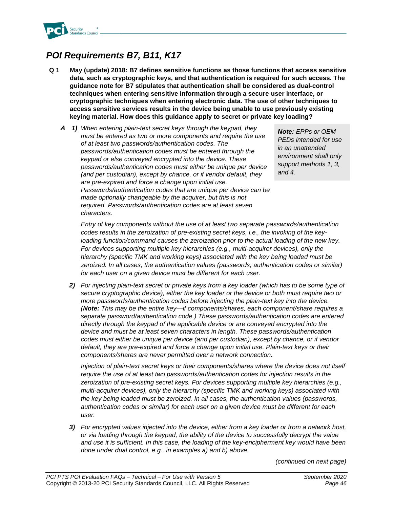

# *POI Requirements B7, B11, K17*

- **Q 1 May (update) 2018: B7 defines sensitive functions as those functions that access sensitive data, such as cryptographic keys, and that authentication is required for such access. The guidance note for B7 stipulates that authentication shall be considered as dual-control techniques when entering sensitive information through a secure user interface, or cryptographic techniques when entering electronic data. The use of other techniques to access sensitive services results in the device being unable to use previously existing keying material. How does this guidance apply to secret or private key loading?**
	- **A** *1) When entering plain-text secret keys through the keypad, they must be entered as two or more components and require the use of at least two passwords/authentication codes. The passwords/authentication codes must be entered through the keypad or else conveyed encrypted into the device. These passwords/authentication codes must either be unique per device (and per custodian), except by chance, or if vendor default, they are pre-expired and force a change upon initial use. Passwords/authentication codes that are unique per device can be made optionally changeable by the acquirer, but this is not required. Passwords/authentication codes are at least seven characters.*

*Note: EPPs or OEM PEDs intended for use in an unattended environment shall only support methods 1, 3, and 4.*

*Entry of key components without the use of at least two separate passwords/authentication codes results in the zeroization of pre-existing secret keys, i.e., the invoking of the keyloading function/command causes the zeroization prior to the actual loading of the new key. For devices supporting multiple key hierarchies (e.g., multi-acquirer devices), only the hierarchy (specific TMK and working keys) associated with the key being loaded must be zeroized. In all cases, the authentication values (passwords, authentication codes or similar) for each user on a given device must be different for each user.*

*2) For injecting plain-text secret or private keys from a key loader (which has to be some type of secure cryptographic device), either the key loader or the device or both must require two or more passwords/authentication codes before injecting the plain-text key into the device. (Note: This may be the entire key—if components/shares, each component/share requires a separate password/authentication code.) These passwords/authentication codes are entered directly through the keypad of the applicable device or are conveyed encrypted into the device and must be at least seven characters in length. These passwords/authentication codes must either be unique per device (and per custodian), except by chance, or if vendor default, they are pre-expired and force a change upon initial use. Plain-text keys or their components/shares are never permitted over a network connection.*

*Injection of plain-text secret keys or their components/shares where the device does not itself require the use of at least two passwords/authentication codes for injection results in the zeroization of pre-existing secret keys. For devices supporting multiple key hierarchies (e.g., multi-acquirer devices), only the hierarchy (specific TMK and working keys) associated with the key being loaded must be zeroized. In all cases, the authentication values (passwords, authentication codes or similar) for each user on a given device must be different for each user.*

*3) For encrypted values injected into the device, either from a key loader or from a network host, or via loading through the keypad, the ability of the device to successfully decrypt the value and use it is sufficient. In this case, the loading of the key-encipherment key would have been done under dual control, e.g., in examples a) and b) above.* 

*(continued on next page)*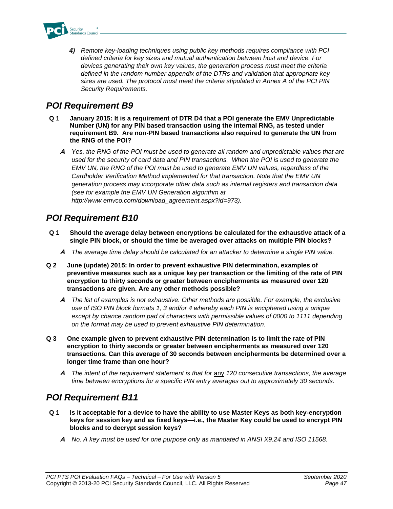

*4) Remote key-loading techniques using public key methods requires compliance with PCI defined criteria for key sizes and mutual authentication between host and device. For devices generating their own key values, the generation process must meet the criteria defined in the random number appendix of the DTRs and validation that appropriate key sizes are used. The protocol must meet the criteria stipulated in Annex A of the PCI PIN Security Requirements.*

# *POI Requirement B9*

- **Q 1 January 2015: It is a requirement of DTR D4 that a POI generate the EMV Unpredictable Number (UN) for any PIN based transaction using the internal RNG, as tested under requirement B9. Are non-PIN based transactions also required to generate the UN from the RNG of the POI?**
	- **A** *Yes, the RNG of the POI must be used to generate all random and unpredictable values that are used for the security of card data and PIN transactions. When the POI is used to generate the EMV UN, the RNG of the POI must be used to generate EMV UN values, regardless of the Cardholder Verification Method implemented for that transaction. Note that the EMV UN generation process may incorporate other data such as internal registers and transaction data (see for example the EMV UN Generation algorithm at http://www.emvco.com/download\_agreement.aspx?id=973).*

## *POI Requirement B10*

- **Q 1 Should the average delay between encryptions be calculated for the exhaustive attack of a single PIN block, or should the time be averaged over attacks on multiple PIN blocks?**
	- **A** *The average time delay should be calculated for an attacker to determine a single PIN value.*
- **Q 2 June (update) 2015: In order to prevent exhaustive PIN determination, examples of preventive measures such as a unique key per transaction or the limiting of the rate of PIN encryption to thirty seconds or greater between encipherments as measured over 120 transactions are given. Are any other methods possible?**
	- **A** *The list of examples is not exhaustive. Other methods are possible. For example, the exclusive use of ISO PIN block formats 1, 3 and/or 4 whereby each PIN is enciphered using a unique except by chance random pad of characters with permissible values of 0000 to 1111 depending on the format may be used to prevent exhaustive PIN determination.*
- **Q 3 One example given to prevent exhaustive PIN determination is to limit the rate of PIN encryption to thirty seconds or greater between encipherments as measured over 120 transactions. Can this average of 30 seconds between encipherments be determined over a longer time frame than one hour?**
	- **A** *The intent of the requirement statement is that for* any *120 consecutive transactions, the average time between encryptions for a specific PIN entry averages out to approximately 30 seconds.*

## *POI Requirement B11*

- **Q 1 Is it acceptable for a device to have the ability to use Master Keys as both key-encryption keys for session key and as fixed keys—i.e., the Master Key could be used to encrypt PIN blocks and to decrypt session keys?**
	- **A** *No. A key must be used for one purpose only as mandated in ANSI X9.24 and ISO 11568.*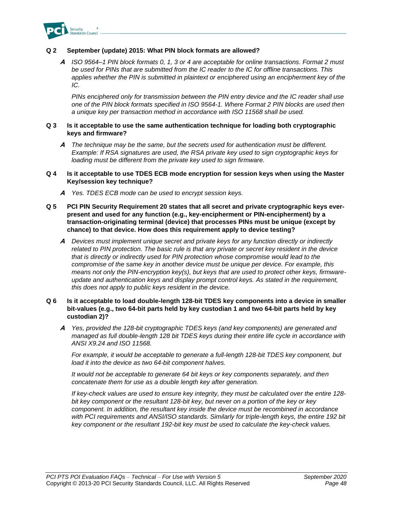

## **Q 2 September (update) 2015: What PIN block formats are allowed?**

**A** *ISO 9564–1 PIN block formats 0, 1, 3 or 4 are acceptable for online transactions. Format 2 must be used for PINs that are submitted from the IC reader to the IC for offline transactions. This applies whether the PIN is submitted in plaintext or enciphered using an encipherment key of the IC.*

*PINs enciphered only for transmission between the PIN entry device and the IC reader shall use one of the PIN block formats specified in ISO 9564-1. Where Format 2 PIN blocks are used then a unique key per transaction method in accordance with ISO 11568 shall be used.*

#### **Q 3 Is it acceptable to use the same authentication technique for loading both cryptographic keys and firmware?**

**A** *The technique may be the same, but the secrets used for authentication must be different. Example: If RSA signatures are used, the RSA private key used to sign cryptographic keys for loading must be different from the private key used to sign firmware.* 

### **Q 4 Is it acceptable to use TDES ECB mode encryption for session keys when using the Master Key/session key technique?**

- **A** *Yes. TDES ECB mode can be used to encrypt session keys.*
- **Q 5 PCI PIN Security Requirement 20 states that all secret and private cryptographic keys everpresent and used for any function (e.g., key-encipherment or PIN-encipherment) by a transaction-originating terminal (device) that processes PINs must be unique (except by chance) to that device. How does this requirement apply to device testing?**
	- **A** *Devices must implement unique secret and private keys for any function directly or indirectly related to PIN protection. The basic rule is that any private or secret key resident in the device that is directly or indirectly used for PIN protection whose compromise would lead to the compromise of the same key in another device must be unique per device. For example, this means not only the PIN-encryption key(s), but keys that are used to protect other keys, firmwareupdate and authentication keys and display prompt control keys. As stated in the requirement, this does not apply to public keys resident in the device.*

### **Q 6 Is it acceptable to load double-length 128-bit TDES key components into a device in smaller bit-values (e.g., two 64-bit parts held by key custodian 1 and two 64-bit parts held by key custodian 2)?**

**A** *Yes, provided the 128-bit cryptographic TDES keys (and key components) are generated and managed as full double-length 128 bit TDES keys during their entire life cycle in accordance with ANSI X9.24 and ISO 11568.* 

*For example, it would be acceptable to generate a full-length 128-bit TDES key component, but load it into the device as two 64-bit component halves.*

*It would not be acceptable to generate 64 bit keys or key components separately, and then concatenate them for use as a double length key after generation.*

*If key-check values are used to ensure key integrity, they must be calculated over the entire 128 bit key component or the resultant 128-bit key, but never on a portion of the key or key component. In addition, the resultant key inside the device must be recombined in accordance with PCI requirements and ANSI/ISO standards. Similarly for triple-length keys, the entire 192 bit key component or the resultant 192-bit key must be used to calculate the key-check values.*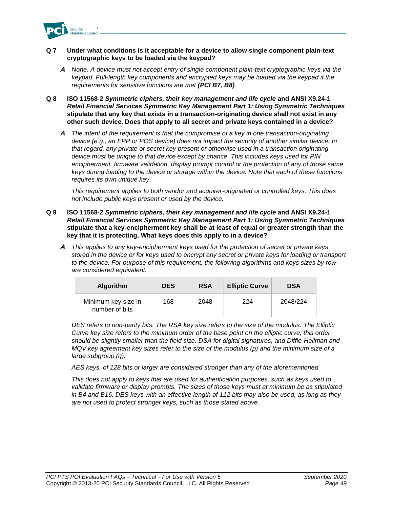

- **Q 7 Under what conditions is it acceptable for a device to allow single component plain-text cryptographic keys to be loaded via the keypad?** 
	- **A** *None. A device must not accept entry of single component plain-text cryptographic keys via the keypad. Full-length key components and encrypted keys may be loaded via the keypad if the requirements for sensitive functions are met (PCI B7, B8).*
- **Q 8 ISO 11568-2** *Symmetric ciphers, their key management and life cycle* **and ANSI X9.24-1**  *Retail Financial Services Symmetric Key Management Part 1: Using Symmetric Techniques* **stipulate that any key that exists in a transaction-originating device shall not exist in any other such device. Does that apply to all secret and private keys contained in a device?**
	- **A** *The intent of the requirement is that the compromise of a key in one transaction-originating device (e.g., an EPP or POS device) does not impact the security of another similar device. In that regard, any private or secret key present or otherwise used in a transaction originating device must be unique to that device except by chance. This includes keys used for PIN encipherment, firmware validation, display prompt control or the protection of any of those same keys during loading to the device or storage within the device. Note that each of these functions requires its own unique key.*

*This requirement applies to both vendor and acquirer-originated or controlled keys. This does not include public keys present or used by the device.*

- **Q 9 ISO 11568-2** *Symmetric ciphers, their key management and life cycle* **and ANSI X9.24-1**  *Retail Financial Services Symmetric Key Management Part 1: Using Symmetric Techniques* **stipulate that a key-encipherment key shall be at least of equal or greater strength than the key that it is protecting. What keys does this apply to in a device?**
	- **A** *This applies to any key-encipherment keys used for the protection of secret or private keys stored in the device or for keys used to encrypt any secret or private keys for loading or transport to the device. For purpose of this requirement, the following algorithms and keys sizes by row are considered equivalent.*

| <b>Algorithm</b>                      | <b>DES</b> | <b>RSA</b> | <b>Elliptic Curve</b> | <b>DSA</b> |
|---------------------------------------|------------|------------|-----------------------|------------|
| Minimum key size in<br>number of bits | 168        | 2048       | 224                   | 2048/224   |

*DES refers to non-parity bits. The RSA key size refers to the size of the modulus. The Elliptic Curve key size refers to the minimum order of the base point on the elliptic curve; this order should be slightly smaller than the field size. DSA for digital signatures, and Diffie-Hellman and MQV key agreement key sizes refer to the size of the modulus (p) and the minimum size of a large subgroup (q).* 

*AES keys, of 128 bits or larger are considered stronger than any of the aforementioned.*

*This does not apply to keys that are used for authentication purposes, such as keys used to validate firmware or display prompts. The sizes of those keys must at minimum be as stipulated in B4 and B16. DES keys with an effective length of 112 bits may also be used, as long as they are not used to protect stronger keys, such as those stated above.*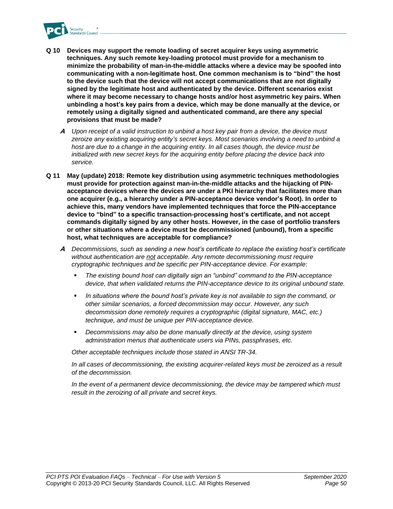

- **Q 10 Devices may support the remote loading of secret acquirer keys using asymmetric techniques. Any such remote key-loading protocol must provide for a mechanism to minimize the probability of man-in-the-middle attacks where a device may be spoofed into communicating with a non-legitimate host. One common mechanism is to "bind" the host to the device such that the device will not accept communications that are not digitally signed by the legitimate host and authenticated by the device. Different scenarios exist where it may become necessary to change hosts and/or host asymmetric key pairs. When unbinding a host's key pairs from a device, which may be done manually at the device, or remotely using a digitally signed and authenticated command, are there any special provisions that must be made?**
	- **A** *Upon receipt of a valid instruction to unbind a host key pair from a device, the device must zeroize any existing acquiring entity's secret keys. Most scenarios involving a need to unbind a host are due to a change in the acquiring entity. In all cases though, the device must be initialized with new secret keys for the acquiring entity before placing the device back into service.*
- **Q 11 May (update) 2018: Remote key distribution using asymmetric techniques methodologies must provide for protection against man-in-the-middle attacks and the hijacking of PINacceptance devices where the devices are under a PKI hierarchy that facilitates more than one acquirer (e.g., a hierarchy under a PIN-acceptance device vendor's Root). In order to achieve this, many vendors have implemented techniques that force the PIN-acceptance device to "bind" to a specific transaction-processing host's certificate, and not accept commands digitally signed by any other hosts. However, in the case of portfolio transfers or other situations where a device must be decommissioned (unbound), from a specific host, what techniques are acceptable for compliance?**
	- **A** *Decommissions, such as sending a new host's certificate to replace the existing host's certificate without authentication are not acceptable. Any remote decommissioning must require cryptographic techniques and be specific per PIN-acceptance device. For example:*
		- The existing bound host can digitally sign an "unbind" command to the PIN-acceptance *device, that when validated returns the PIN-acceptance device to its original unbound state.*
		- In situations where the bound host's private key is not available to sign the command, or *other similar scenarios, a forced decommission may occur. However, any such decommission done remotely requires a cryptographic (digital signature, MAC, etc.) technique, and must be unique per PIN-acceptance device.*
		- Decommissions may also be done manually directly at the device, using system *administration menus that authenticate users via PINs, passphrases, etc.*

*Other acceptable techniques include those stated in ANSI TR-34.*

*In all cases of decommissioning, the existing acquirer-related keys must be zeroized as a result of the decommission.*

In the event of a permanent device decommissioning, the device may be tampered which must *result in the zeroizing of all private and secret keys.*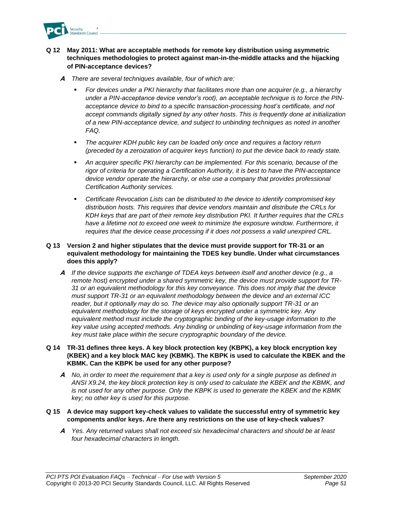

## **Q 12 May 2011: What are acceptable methods for remote key distribution using asymmetric techniques methodologies to protect against man-in-the-middle attacks and the hijacking of PIN-acceptance devices?**

- **A** *There are several techniques available, four of which are:*
	- For devices under a PKI hierarchy that facilitates more than one acquirer (e.g., a hierarchy *under a PIN-acceptance device vendor's root), an acceptable technique is to force the PINacceptance device to bind to a specific transaction-processing host's certificate, and not accept commands digitally signed by any other hosts. This is frequently done at initialization of a new PIN-acceptance device, and subject to unbinding techniques as noted in another FAQ.*
	- The acquirer KDH public key can be loaded only once and requires a factory return *(preceded by a zeroization of acquirer keys function) to put the device back to ready state.*
	- An acquirer specific PKI hierarchy can be implemented. For this scenario, because of the *rigor of criteria for operating a Certification Authority, it is best to have the PIN-acceptance device vendor operate the hierarchy, or else use a company that provides professional Certification Authority services.*
	- *Certificate Revocation Lists can be distributed to the device to identify compromised key distribution hosts. This requires that device vendors maintain and distribute the CRLs for KDH keys that are part of their remote key distribution PKI. It further requires that the CRLs have a lifetime not to exceed one week to minimize the exposure window. Furthermore, it requires that the device cease processing if it does not possess a valid unexpired CRL.*

## **Q 13 Version 2 and higher stipulates that the device must provide support for TR-31 or an equivalent methodology for maintaining the TDES key bundle. Under what circumstances does this apply?**

**A** *If the device supports the exchange of TDEA keys between itself and another device (e.g., a remote host) encrypted under a shared symmetric key, the device must provide support for TR-31 or an equivalent methodology for this key conveyance. This does not imply that the device must support TR-31 or an equivalent methodology between the device and an external ICC reader, but it optionally may do so. The device may also optionally support TR-31 or an equivalent methodology for the storage of keys encrypted under a symmetric key. Any equivalent method must include the cryptographic binding of the key-usage information to the key value using accepted methods. Any binding or unbinding of key-usage information from the key must take place within the secure cryptographic boundary of the device.*

#### **Q 14 TR-31 defines three keys. A key block protection key (KBPK), a key block encryption key (KBEK) and a key block MAC key (KBMK). The KBPK is used to calculate the KBEK and the KBMK. Can the KBPK be used for any other purpose?**

**A** *No, in order to meet the requirement that a key is used only for a single purpose as defined in ANSI X9.24, the key block protection key is only used to calculate the KBEK and the KBMK, and is not used for any other purpose. Only the KBPK is used to generate the KBEK and the KBMK key; no other key is used for this purpose.*

### **Q 15 A device may support key-check values to validate the successful entry of symmetric key components and/or keys. Are there any restrictions on the use of key-check values?**

**A** *Yes. Any returned values shall not exceed six hexadecimal characters and should be at least four hexadecimal characters in length.*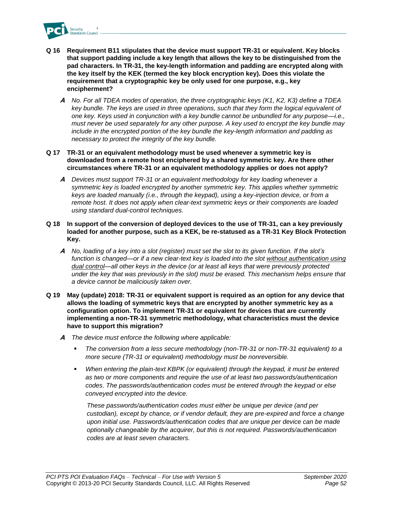

- **Q 16 Requirement B11 stipulates that the device must support TR-31 or equivalent. Key blocks that support padding include a key length that allows the key to be distinguished from the pad characters. In TR-31, the key-length information and padding are encrypted along with the key itself by the KEK (termed the key block encryption key). Does this violate the requirement that a cryptographic key be only used for one purpose, e.g., key encipherment?**
	- **A** *No. For all TDEA modes of operation, the three cryptographic keys (K1, K2, K3) define a TDEA key bundle. The keys are used in three operations, such that they form the logical equivalent of one key. Keys used in conjunction with a key bundle cannot be unbundled for any purpose—i.e., must never be used separately for any other purpose. A key used to encrypt the key bundle may include in the encrypted portion of the key bundle the key-length information and padding as necessary to protect the integrity of the key bundle.*

### **Q 17 TR-31 or an equivalent methodology must be used whenever a symmetric key is downloaded from a remote host enciphered by a shared symmetric key. Are there other circumstances where TR-31 or an equivalent methodology applies or does not apply?**

- **A** *Devices must support TR-31 or an equivalent methodology for key loading whenever a symmetric key is loaded encrypted by another symmetric key. This applies whether symmetric keys are loaded manually (i.e., through the keypad), using a key-injection device, or from a remote host. It does not apply when clear-text symmetric keys or their components are loaded using standard dual-control techniques.*
- **Q 18 In support of the conversion of deployed devices to the use of TR-31, can a key previously loaded for another purpose, such as a KEK, be re-statused as a TR-31 Key Block Protection Key.**
	- **A** *No, loading of a key into a slot (register) must set the slot to its given function. If the slot's function is changed—or if a new clear-text key is loaded into the slot without authentication using dual control—all other keys in the device (or at least all keys that were previously protected under the key that was previously in the slot) must be erased. This mechanism helps ensure that a device cannot be maliciously taken over.*
- **Q 19 May (update) 2018: TR-31 or equivalent support is required as an option for any device that allows the loading of symmetric keys that are encrypted by another symmetric key as a configuration option. To implement TR-31 or equivalent for devices that are currently implementing a non-TR-31 symmetric methodology, what characteristics must the device have to support this migration?**
	- **A** *The device must enforce the following where applicable:*
		- The conversion from a less secure methodology (non-TR-31 or non-TR-31 equivalent) to a *more secure (TR-31 or equivalent) methodology must be nonreversible.*
		- When entering the plain-text KBPK (or equivalent) through the keypad, it must be entered *as two or more components and require the use of at least two passwords/authentication codes. The passwords/authentication codes must be entered through the keypad or else conveyed encrypted into the device.*

*These passwords/authentication codes must either be unique per device (and per custodian), except by chance, or if vendor default, they are pre-expired and force a change upon initial use. Passwords/authentication codes that are unique per device can be made optionally changeable by the acquirer, but this is not required. Passwords/authentication codes are at least seven characters.*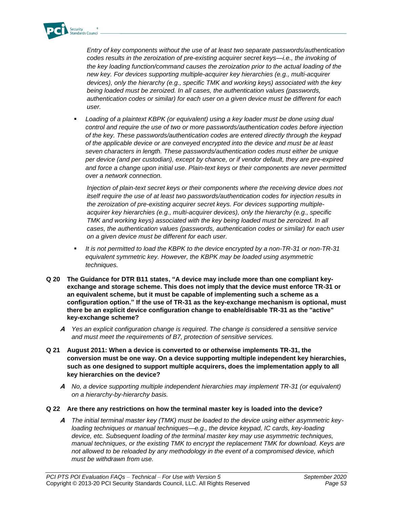

*Entry of key components without the use of at least two separate passwords/authentication codes results in the zeroization of pre-existing acquirer secret keys—i.e., the invoking of the key loading function/command causes the zeroization prior to the actual loading of the new key. For devices supporting multiple-acquirer key hierarchies (e.g., multi-acquirer devices), only the hierarchy (e.g., specific TMK and working keys) associated with the key being loaded must be zeroized. In all cases, the authentication values (passwords, authentication codes or similar) for each user on a given device must be different for each user.* 

Loading of a plaintext KBPK (or equivalent) using a key loader must be done using dual *control and require the use of two or more passwords/authentication codes before injection of the key. These passwords/authentication codes are entered directly through the keypad of the applicable device or are conveyed encrypted into the device and must be at least seven characters in length. These passwords/authentication codes must either be unique per device (and per custodian), except by chance, or if vendor default, they are pre-expired and force a change upon initial use. Plain-text keys or their components are never permitted over a network connection.*

*Injection of plain-text secret keys or their components where the receiving device does not itself require the use of at least two passwords/authentication codes for injection results in the zeroization of pre-existing acquirer secret keys. For devices supporting multipleacquirer key hierarchies (e.g., multi-acquirer devices), only the hierarchy (e.g., specific TMK and working keys) associated with the key being loaded must be zeroized. In all cases, the authentication values (passwords, authentication codes or similar) for each user on a given device must be different for each user.* 

- *It is not permitted to load the KBPK to the device encrypted by a non-TR-31 or non-TR-31 equivalent symmetric key. However, the KBPK may be loaded using asymmetric techniques.*
- **Q 20 The Guidance for DTR B11 states, "A device may include more than one compliant keyexchange and storage scheme. This does not imply that the device must enforce TR-31 or an equivalent scheme, but it must be capable of implementing such a scheme as a configuration option." If the use of TR-31 as the key-exchange mechanism is optional, must there be an explicit device configuration change to enable/disable TR-31 as the "active" key-exchange scheme?**
	- **A** *Yes an explicit configuration change is required. The change is considered a sensitive service and must meet the requirements of B7, protection of sensitive services.*
- **Q 21 August 2011: When a device is converted to or otherwise implements TR-31, the conversion must be one way. On a device supporting multiple independent key hierarchies, such as one designed to support multiple acquirers, does the implementation apply to all key hierarchies on the device?**
	- **A** *No, a device supporting multiple independent hierarchies may implement TR-31 (or equivalent) on a hierarchy-by-hierarchy basis.*
- **Q 22 Are there any restrictions on how the terminal master key is loaded into the device?**
	- **A** *The initial terminal master key (TMK) must be loaded to the device using either asymmetric keyloading techniques or manual techniques—e.g., the device keypad, IC cards, key-loading device, etc. Subsequent loading of the terminal master key may use asymmetric techniques, manual techniques, or the existing TMK to encrypt the replacement TMK for download. Keys are not allowed to be reloaded by any methodology in the event of a compromised device, which must be withdrawn from use.*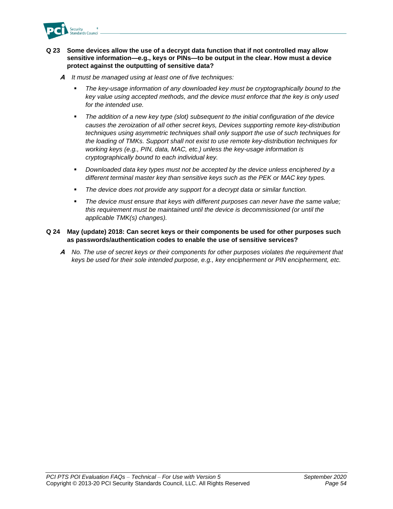

## **Q 23 Some devices allow the use of a decrypt data function that if not controlled may allow sensitive information—e.g., keys or PINs—to be output in the clear. How must a device protect against the outputting of sensitive data?**

- **A** *It must be managed using at least one of five techniques:*
	- The key-usage information of any downloaded key must be cryptographically bound to the *key value using accepted methods, and the device must enforce that the key is only used for the intended use.*
	- The addition of a new key type (slot) subsequent to the initial configuration of the device *causes the zeroization of all other secret keys, Devices supporting remote key-distribution techniques using asymmetric techniques shall only support the use of such techniques for the loading of TMKs. Support shall not exist to use remote key-distribution techniques for working keys (e.g., PIN, data, MAC, etc.) unless the key-usage information is cryptographically bound to each individual key.*
	- *Downloaded data key types must not be accepted by the device unless enciphered by a different terminal master key than sensitive keys such as the PEK or MAC key types.*
	- The device does not provide any support for a decrypt data or similar function.
	- *The device must ensure that keys with different purposes can never have the same value; this requirement must be maintained until the device is decommissioned (or until the applicable TMK(s) changes).*

### **Q 24 May (update) 2018: Can secret keys or their components be used for other purposes such as passwords/authentication codes to enable the use of sensitive services?**

**A** *No. The use of secret keys or their components for other purposes violates the requirement that keys be used for their sole intended purpose, e.g., key encipherment or PIN encipherment, etc.*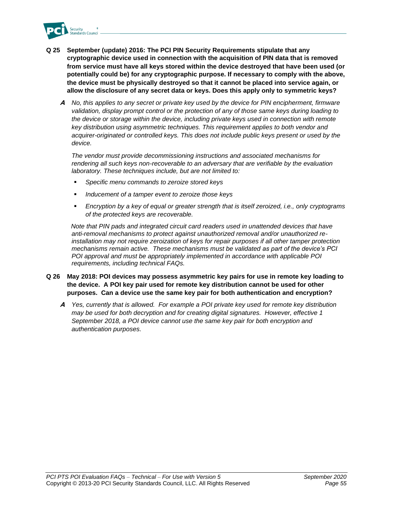

- **Q 25 September (update) 2016: The PCI PIN Security Requirements stipulate that any cryptographic device used in connection with the acquisition of PIN data that is removed from service must have all keys stored within the device destroyed that have been used (or potentially could be) for any cryptographic purpose. If necessary to comply with the above, the device must be physically destroyed so that it cannot be placed into service again, or allow the disclosure of any secret data or keys. Does this apply only to symmetric keys?**
	- **A** *No, this applies to any secret or private key used by the device for PIN encipherment, firmware validation, display prompt control or the protection of any of those same keys during loading to the device or storage within the device, including private keys used in connection with remote key distribution using asymmetric techniques. This requirement applies to both vendor and acquirer-originated or controlled keys. This does not include public keys present or used by the device.*

*The vendor must provide decommissioning instructions and associated mechanisms for rendering all such keys non-recoverable to an adversary that are verifiable by the evaluation laboratory. These techniques include, but are not limited to:*

- Specific menu commands to zeroize stored keys
- Inducement of a tamper event to zeroize those keys
- *Encryption by a key of equal or greater strength that is itself zeroized, i.e., only cryptograms of the protected keys are recoverable.*

*Note that PIN pads and integrated circuit card readers used in unattended devices that have anti-removal mechanisms to protect against unauthorized removal and/or unauthorized reinstallation may not require zeroization of keys for repair purposes if all other tamper protection mechanisms remain active. These mechanisms must be validated as part of the device's PCI POI approval and must be appropriately implemented in accordance with applicable POI requirements, including technical FAQs.*

## **Q 26 May 2018: POI devices may possess asymmetric key pairs for use in remote key loading to the device. A POI key pair used for remote key distribution cannot be used for other purposes. Can a device use the same key pair for both authentication and encryption?**

**A** *Yes, currently that is allowed. For example a POI private key used for remote key distribution may be used for both decryption and for creating digital signatures. However, effective 1 September 2018, a POI device cannot use the same key pair for both encryption and authentication purposes.*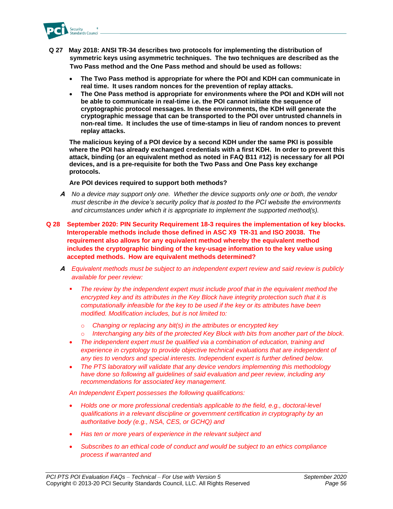

- **Q 27 May 2018: ANSI TR-34 describes two protocols for implementing the distribution of symmetric keys using asymmetric techniques. The two techniques are described as the Two Pass method and the One Pass method and should be used as follows:** 
	- **The Two Pass method is appropriate for where the POI and KDH can communicate in real time. It uses random nonces for the prevention of replay attacks.**
	- **The One Pass method is appropriate for environments where the POI and KDH will not be able to communicate in real-time i.e. the POI cannot initiate the sequence of cryptographic protocol messages. In these environments, the KDH will generate the cryptographic message that can be transported to the POI over untrusted channels in non-real time. It includes the use of time-stamps in lieu of random nonces to prevent replay attacks.**

**The malicious keying of a POI device by a second KDH under the same PKI is possible where the POI has already exchanged credentials with a first KDH. In order to prevent this attack, binding (or an equivalent method as noted in FAQ B11 #12) is necessary for all POI devices, and is a pre-requisite for both the Two Pass and One Pass key exchange protocols.** 

**Are POI devices required to support both methods?** 

- **A** *No a device may support only one. Whether the device supports only one or both, the vendor must describe in the device's security policy that is posted to the PCI website the environments and circumstances under which it is appropriate to implement the supported method(s).*
- **Q 28 September 2020: PIN Security Requirement 18-3 requires the implementation of key blocks. Interoperable methods include those defined in ASC X9 TR-31 and ISO 20038. The requirement also allows for any equivalent method whereby the equivalent method includes the cryptographic binding of the key-usage information to the key value using accepted methods. How are equivalent methods determined?**
	- **A** *Equivalent methods must be subject to an independent expert review and said review is publicly available for peer review:*
		- The review by the independent expert must include proof that in the equivalent method the *encrypted key and its attributes in the Key Block have integrity protection such that it is computationally infeasible for the key to be used if the key or its attributes have been modified. Modification includes, but is not limited to:*
			- o *Changing or replacing any bit(s) in the attributes or encrypted key*
			- o *Interchanging any bits of the protected Key Block with bits from another part of the block.*
		- *The independent expert must be qualified via a combination of education, training and*  experience in cryptology to provide objective technical evaluations that are independent of *any ties to vendors and special interests. Independent expert is further defined below.*
		- *The PTS laboratory will validate that any device vendors implementing this methodology have done so following all guidelines of said evaluation and peer review, including any recommendations for associated key management.*

*An Independent Expert possesses the following qualifications:*

- *Holds one or more professional credentials applicable to the field, e.g., doctoral-level qualifications in a relevant discipline or government certification in cryptography by an authoritative body (e.g., NSA, CES, or GCHQ) and*
- *Has ten or more years of experience in the relevant subject and*
- *Subscribes to an ethical code of conduct and would be subject to an ethics compliance process if warranted and*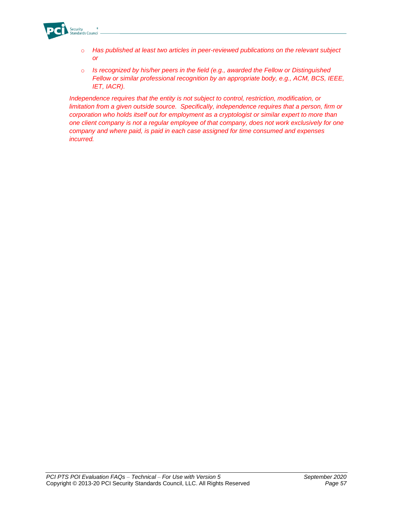

- o *Has published at least two articles in peer-reviewed publications on the relevant subject or*
- o *Is recognized by his/her peers in the field (e.g., awarded the Fellow or Distinguished Fellow or similar professional recognition by an appropriate body, e.g., ACM, BCS, IEEE, IET, IACR).*

*Independence requires that the entity is not subject to control, restriction, modification, or limitation from a given outside source. Specifically, independence requires that a person, firm or corporation who holds itself out for employment as a cryptologist or similar expert to more than one client company is not a regular employee of that company, does not work exclusively for one company and where paid, is paid in each case assigned for time consumed and expenses incurred.*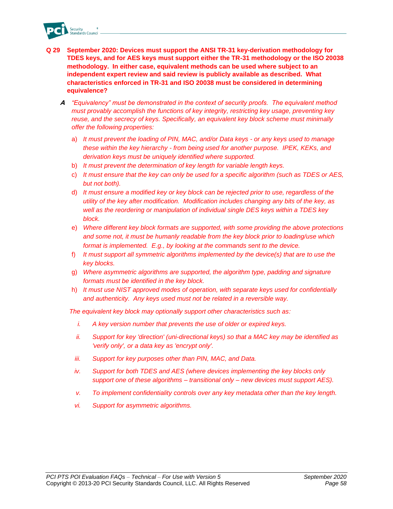

- **Q 29 September 2020: Devices must support the ANSI TR-31 key-derivation methodology for TDES keys, and for AES keys must support either the TR-31 methodology or the ISO 20038 methodology. In either case, equivalent methods can be used where subject to an independent expert review and said review is publicly available as described. What characteristics enforced in TR-31 and ISO 20038 must be considered in determining equivalence?** 
	- **A** *"Equivalency" must be demonstrated in the context of security proofs. The equivalent method must provably accomplish the functions of key integrity, restricting key usage, preventing key reuse, and the secrecy of keys. Specifically, an equivalent key block scheme must minimally offer the following properties:*
		- a) *It must prevent the loading of PIN, MAC, and/or Data keys - or any keys used to manage these within the key hierarchy - from being used for another purpose. IPEK, KEKs, and derivation keys must be uniquely identified where supported.*
		- b) *It must prevent the determination of key length for variable length keys.*
		- c) *It must ensure that the key can only be used for a specific algorithm (such as TDES or AES, but not both).*
		- d) *It must ensure a modified key or key block can be rejected prior to use, regardless of the utility of the key after modification. Modification includes changing any bits of the key, as well as the reordering or manipulation of individual single DES keys within a TDES key block.*
		- e) *Where different key block formats are supported, with some providing the above protections and some not, it must be humanly readable from the key block prior to loading/use which format is implemented. E.g., by looking at the commands sent to the device.*
		- f) *It must support all symmetric algorithms implemented by the device(s) that are to use the key blocks.*
		- g) *Where asymmetric algorithms are supported, the algorithm type, padding and signature formats must be identified in the key block.*
		- h) *It must use NIST approved modes of operation, with separate keys used for confidentially and authenticity. Any keys used must not be related in a reversible way.*

*The equivalent key block may optionally support other characteristics such as:*

- *i. A key version number that prevents the use of older or expired keys.*
- *ii. Support for key 'direction' (uni-directional keys) so that a MAC key may be identified as 'verify only', or a data key as 'encrypt only'.*
- *iii. Support for key purposes other than PIN, MAC, and Data.*
- *iv.* Support for both TDES and AES (where devices implementing the key blocks only *support one of these algorithms – transitional only – new devices must support AES).*
- *v. To implement confidentiality controls over any key metadata other than the key length.*
- *vi. Support for asymmetric algorithms.*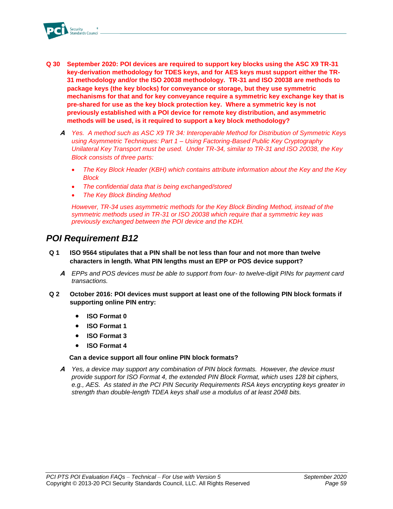

- **Q 30 September 2020: POI devices are required to support key blocks using the ASC X9 TR-31 key-derivation methodology for TDES keys, and for AES keys must support either the TR-31 methodology and/or the ISO 20038 methodology. TR-31 and ISO 20038 are methods to package keys (the key blocks) for conveyance or storage, but they use symmetric mechanisms for that and for key conveyance require a symmetric key exchange key that is pre-shared for use as the key block protection key. Where a symmetric key is not previously established with a POI device for remote key distribution, and asymmetric methods will be used, is it required to support a key block methodology?**
	- **A** *Yes. A method such as ASC X9 TR 34: Interoperable Method for Distribution of Symmetric Keys using Asymmetric Techniques: Part 1 – Using Factoring-Based Public Key Cryptography Unilateral Key Transport must be used. Under TR-34, similar to TR-31 and ISO 20038, the Key Block consists of three parts:*
		- *The Key Block Header (KBH) which contains attribute information about the Key and the Key Block*
		- *The confidential data that is being exchanged/stored*
		- *The Key Block Binding Method*

*However, TR-34 uses asymmetric methods for the Key Block Binding Method, instead of the symmetric methods used in TR-31 or ISO 20038 which require that a symmetric key was previously exchanged between the POI device and the KDH.*

## *POI Requirement B12*

- **Q 1 ISO 9564 stipulates that a PIN shall be not less than four and not more than twelve characters in length. What PIN lengths must an EPP or POS device support?**
	- **A** *EPPs and POS devices must be able to support from four- to twelve-digit PINs for payment card transactions.*
- **Q 2 October 2016: POI devices must support at least one of the following PIN block formats if supporting online PIN entry:**
	- **ISO Format 0**
	- **ISO Format 1**
	- **ISO Format 3**
	- **ISO Format 4**

## **Can a device support all four online PIN block formats?**

**A** *Yes, a device may support any combination of PIN block formats. However, the device must provide support for ISO Format 4, the extended PIN Block Format, which uses 128 bit ciphers, e.g., AES. As stated in the PCI PIN Security Requirements RSA keys encrypting keys greater in strength than double-length TDEA keys shall use a modulus of at least 2048 bits.*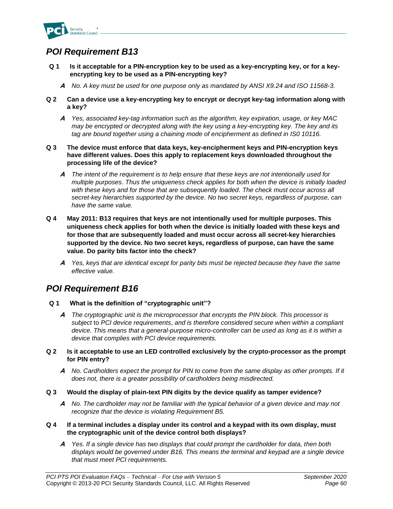

# *POI Requirement B13*

- **Q 1 Is it acceptable for a PIN-encryption key to be used as a key-encrypting key, or for a keyencrypting key to be used as a PIN-encrypting key?**
	- **A** *No. A key must be used for one purpose only as mandated by ANSI X9.24 and ISO 11568-3.*
- **Q 2 Can a device use a key-encrypting key to encrypt or decrypt key-tag information along with a key?**
	- **A** *Yes, associated key-tag information such as the algorithm, key expiration, usage, or key MAC may be encrypted or decrypted along with the key using a key-encrypting key. The key and its tag are bound together using a chaining mode of encipherment as defined in IS0 10116.*
- **Q 3 The device must enforce that data keys, key-encipherment keys and PIN-encryption keys have different values. Does this apply to replacement keys downloaded throughout the processing life of the device?**
	- **A** *The intent of the requirement is to help ensure that these keys are not intentionally used for multiple purposes. Thus the uniqueness check applies for both when the device is initially loaded with these keys and for those that are subsequently loaded. The check must occur across all secret-key hierarchies supported by the device. No two secret keys, regardless of purpose, can have the same value.*
- **Q 4 May 2011: B13 requires that keys are not intentionally used for multiple purposes. This uniqueness check applies for both when the device is initially loaded with these keys and for those that are subsequently loaded and must occur across all secret-key hierarchies supported by the device. No two secret keys, regardless of purpose, can have the same value. Do parity bits factor into the check?**
	- **A** *Yes, keys that are identical except for parity bits must be rejected because they have the same effective value.*

## *POI Requirement B16*

- **Q 1 What is the definition of "cryptographic unit"?**
	- **A** *The cryptographic unit is the microprocessor that encrypts the PIN block. This processor is subject* to *PCI device requirements*, *and is therefore considered secure when within a compliant device. This means that a general-purpose micro-controller can be used as long as it is within a device that complies with PCI device requirements.*
- **Q 2 Is it acceptable to use an LED controlled exclusively by the crypto-processor as the prompt for PIN entry?**
	- **A** *No. Cardholders expect the prompt for PIN to come from the same display as other prompts. If it does not, there is a greater possibility of cardholders being misdirected.*
- **Q 3 Would the display of plain-text PIN digits by the device qualify as tamper evidence?**
	- **A** *No. The cardholder may not be familiar with the typical behavior of a given device and may not recognize that the device is violating Requirement B5.*
- **Q 4 If a terminal includes a display under its control and a keypad with its own display, must the cryptographic unit of the device control both displays?**
	- **A** *Yes. If a single device has two displays that could prompt the cardholder for data, then both displays would be governed under B16. This means the terminal and keypad are a single device that must meet PCI requirements.*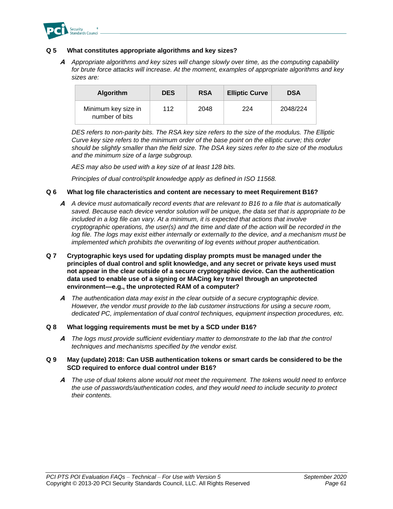

### **Q 5 What constitutes appropriate algorithms and key sizes?**

**A** *Appropriate algorithms and key sizes will change slowly over time, as the computing capability for brute force attacks will increase. At the moment, examples of appropriate algorithms and key sizes are:* 

| <b>Algorithm</b>                      | <b>DES</b> | <b>RSA</b> | <b>Elliptic Curve</b> | <b>DSA</b> |
|---------------------------------------|------------|------------|-----------------------|------------|
| Minimum key size in<br>number of bits | 112        | 2048       | 224                   | 2048/224   |

*DES refers to non-parity bits. The RSA key size refers to the size of the modulus. The Elliptic Curve key size refers to the minimum order of the base point on the elliptic curve; this order should be slightly smaller than the field size. The DSA key sizes refer to the size of the modulus and the minimum size of a large subgroup.*

*AES may also be used with a key size of at least 128 bits.*

*Principles of dual control/split knowledge apply as defined in ISO 11568.*

### **Q 6 What log file characteristics and content are necessary to meet Requirement B16?**

- **A** *A device must automatically record events that are relevant to B16 to a file that is automatically saved. Because each device vendor solution will be unique, the data set that is appropriate to be included in a log file can vary. At a minimum, it is expected that actions that involve cryptographic operations, the user(s) and the time and date of the action will be recorded in the*  log file. The logs may exist either internally or externally to the device, and a mechanism must be *implemented which prohibits the overwriting of log events without proper authentication.*
- **Q 7 Cryptographic keys used for updating display prompts must be managed under the principles of dual control and split knowledge, and any secret or private keys used must not appear in the clear outside of a secure cryptographic device. Can the authentication data used to enable use of a signing or MACing key travel through an unprotected environment—e.g., the unprotected RAM of a computer?**
	- **A** *The authentication data may exist in the clear outside of a secure cryptographic device. However, the vendor must provide to the lab customer instructions for using a secure room, dedicated PC, implementation of dual control techniques, equipment inspection procedures, etc.*

#### **Q 8 What logging requirements must be met by a SCD under B16?**

**A** *The logs must provide sufficient evidentiary matter to demonstrate to the lab that the control techniques and mechanisms specified by the vendor exist.*

### **Q 9 May (update) 2018: Can USB authentication tokens or smart cards be considered to be the SCD required to enforce dual control under B16?**

**A** *The use of dual tokens alone would not meet the requirement. The tokens would need to enforce the use of passwords/authentication codes, and they would need to include security to protect their contents.*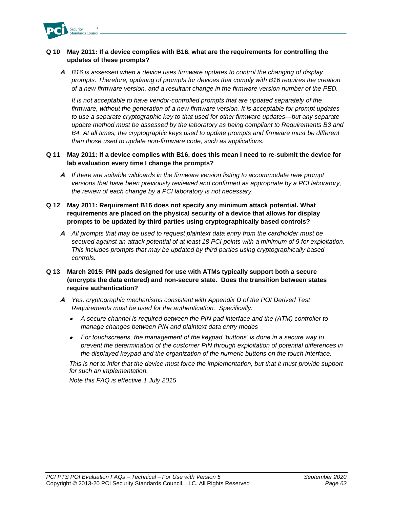

## **Q 10 May 2011: If a device complies with B16, what are the requirements for controlling the updates of these prompts?**

**A** *B16 is assessed when a device uses firmware updates to control the changing of display prompts. Therefore, updating of prompts for devices that comply with B16 requires the creation of a new firmware version, and a resultant change in the firmware version number of the PED.*

*It is not acceptable to have vendor-controlled prompts that are updated separately of the firmware, without the generation of a new firmware version. It is acceptable for prompt updates to use a separate cryptographic key to that used for other firmware updates—but any separate update method must be assessed by the laboratory as being compliant to Requirements B3 and B4. At all times, the cryptographic keys used to update prompts and firmware must be different than those used to update non-firmware code, such as applications.*

### **Q 11 May 2011: If a device complies with B16, does this mean I need to re-submit the device for lab evaluation every time I change the prompts?**

**A** *If there are suitable wildcards in the firmware version listing to accommodate new prompt versions that have been previously reviewed and confirmed as appropriate by a PCI laboratory, the review of each change by a PCI laboratory is not necessary.*

## **Q 12 May 2011: Requirement B16 does not specify any minimum attack potential. What requirements are placed on the physical security of a device that allows for display prompts to be updated by third parties using cryptographically based controls?**

**A** *All prompts that may be used to request plaintext data entry from the cardholder must be secured against an attack potential of at least 18 PCI points with a minimum of 9 for exploitation. This includes prompts that may be updated by third parties using cryptographically based controls.*

## **Q 13 March 2015: PIN pads designed for use with ATMs typically support both a secure (encrypts the data entered) and non-secure state. Does the transition between states require authentication?**

- **A** *Yes, cryptographic mechanisms consistent with Appendix D of the POI Derived Test Requirements must be used for the authentication. Specifically:*
	- *A secure channel is required between the PIN pad interface and the (ATM) controller to manage changes between PIN and plaintext data entry modes*
	- *For touchscreens, the management of the keypad 'buttons' is done in a secure way to prevent the determination of the customer PIN through exploitation of potential differences in the displayed keypad and the organization of the numeric buttons on the touch interface.*

*This is not to infer that the device must force the implementation, but that it must provide support for such an implementation.*

*Note this FAQ is effective 1 July 2015*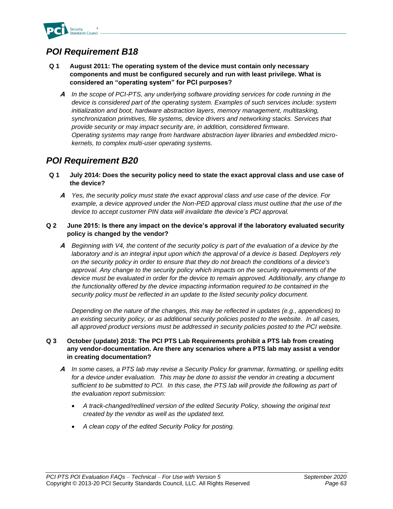

# *POI Requirement B18*

- **Q 1 August 2011: The operating system of the device must contain only necessary components and must be configured securely and run with least privilege. What is considered an "operating system" for PCI purposes?** 
	- **A** *In the scope of PCI-PTS, any underlying software providing services for code running in the device is considered part of the operating system. Examples of such services include: system initialization and boot, hardware abstraction layers, memory management, multitasking, synchronization primitives, file systems, device drivers and networking stacks. Services that provide security or may impact security are, in addition, considered firmware. Operating systems may range from hardware abstraction layer libraries and embedded microkernels, to complex multi-user operating systems.*

# *POI Requirement B20*

- **Q 1 July 2014: Does the security policy need to state the exact approval class and use case of the device?**
	- **A** *Yes, the security policy must state the exact approval class and use case of the device. For example, a device approved under the Non-PED approval class must outline that the use of the device to accept customer PIN data will invalidate the device's PCI approval.*
- **Q 2 June 2015: Is there any impact on the device's approval if the laboratory evaluated security policy is changed by the vendor?**
	- **A** *Beginning with V4, the content of the security policy is part of the evaluation of a device by the*  laboratory and is an integral input upon which the approval of a device is based. Deployers rely *on the security policy in order to ensure that they do not breach the conditions of a device's approval. Any change to the security policy which impacts on the security requirements of the device must be evaluated in order for the device to remain approved. Additionally, any change to the functionality offered by the device impacting information required to be contained in the security policy must be reflected in an update to the listed security policy document.*

*Depending on the nature of the changes, this may be reflected in updates (e.g., appendices) to an existing security policy, or as additional security policies posted to the website. In all cases, all approved product versions must be addressed in security policies posted to the PCI website.*

## **Q 3 October (update) 2018: The PCI PTS Lab Requirements prohibit a PTS lab from creating any vendor-documentation. Are there any scenarios where a PTS lab may assist a vendor in creating documentation?**

- **A** *In some cases, a PTS lab may revise a Security Policy for grammar, formatting, or spelling edits*  for a device under evaluation. This may be done to assist the vendor in creating a document *sufficient to be submitted to PCI. In this case, the PTS lab will provide the following as part of the evaluation report submission:* 
	- *A track-changed/redlined version of the edited Security Policy, showing the original text created by the vendor as well as the updated text.*
	- *A clean copy of the edited Security Policy for posting.*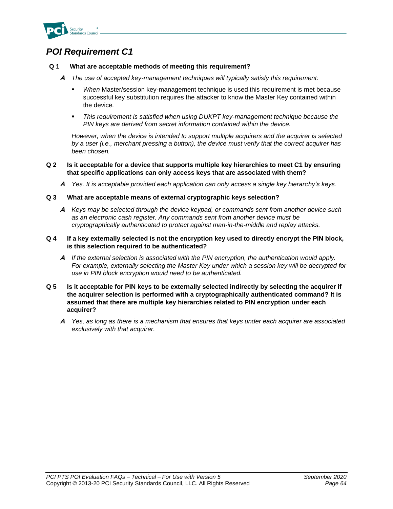

# *POI Requirement C1*

## **Q 1 What are acceptable methods of meeting this requirement?**

- **A** *The use of accepted key-management techniques will typically satisfy this requirement:*
	- When Master/session key-management technique is used this requirement is met because successful key substitution requires the attacker to know the Master Key contained within the device*.*
	- This requirement is satisfied when using DUKPT key-management technique because the *PIN keys are derived from secret information contained within the device.*

*However, when the device is intended to support multiple acquirers and the acquirer is selected by a user (i.e., merchant pressing a button), the device must verify that the correct acquirer has been chosen.*

### **Q 2 Is it acceptable for a device that supports multiple key hierarchies to meet C1 by ensuring that specific applications can only access keys that are associated with them?**

**A** *Yes. It is acceptable provided each application can only access a single key hierarchy's keys.*

#### **Q 3 What are acceptable means of external cryptographic keys selection?**

**A** *Keys may be selected through the device keypad, or commands sent from another device such as an electronic cash register. Any commands sent from another device must be cryptographically authenticated to protect against man-in-the-middle and replay attacks.*

#### **Q 4 If a key externally selected is not the encryption key used to directly encrypt the PIN block, is this selection required to be authenticated?**

- **A** *If the external selection is associated with the PIN encryption, the authentication would apply. For example, externally selecting the Master Key under which a session key will be decrypted for use in PIN block encryption would need to be authenticated.*
- **Q 5 Is it acceptable for PIN keys to be externally selected indirectly by selecting the acquirer if the acquirer selection is performed with a cryptographically authenticated command? It is assumed that there are multiple key hierarchies related to PIN encryption under each acquirer?**
	- **A** *Yes, as long as there is a mechanism that ensures that keys under each acquirer are associated exclusively with that acquirer.*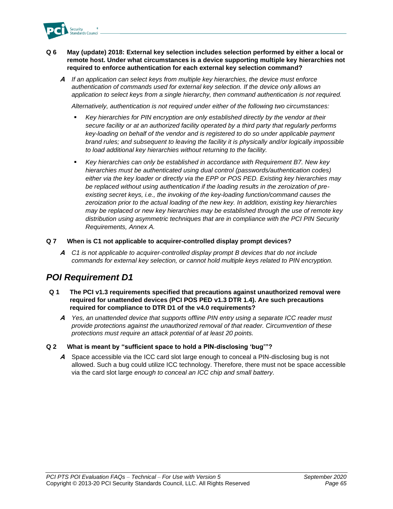

### **Q 6 May (update) 2018: External key selection includes selection performed by either a local or remote host. Under what circumstances is a device supporting multiple key hierarchies not required to enforce authentication for each external key selection command?**

**A** *If an application can select keys from multiple key hierarchies, the device must enforce authentication of commands used for external key selection. If the device only allows an application to select keys from a single hierarchy, then command authentication is not required.*

*Alternatively, authentication is not required under either of the following two circumstances:*

- Key hierarchies for PIN encryption are only established directly by the vendor at their *secure facility or at an authorized facility operated by a third party that regularly performs key-loading on behalf of the vendor and is registered to do so under applicable payment brand rules; and subsequent to leaving the facility it is physically and/or logically impossible to load additional key hierarchies without returning to the facility.*
- Key hierarchies can only be established in accordance with Requirement B7. New key *hierarchies must be authenticated using dual control (passwords/authentication codes) either via the key loader or directly via the EPP or POS PED. Existing key hierarchies may be replaced without using authentication if the loading results in the zeroization of preexisting secret keys, i.e., the invoking of the key-loading function/command causes the zeroization prior to the actual loading of the new key. In addition, existing key hierarchies may be replaced or new key hierarchies may be established through the use of remote key distribution using asymmetric techniques that are in compliance with the PCI PIN Security Requirements, Annex A.*

### **Q 7 When is C1 not applicable to acquirer-controlled display prompt devices?**

**A** *C1 is not applicable to acquirer-controlled display prompt B devices that do not include commands for external key selection, or cannot hold multiple keys related to PIN encryption.*

## *POI Requirement D1*

- **Q 1 The PCI v1.3 requirements specified that precautions against unauthorized removal were required for unattended devices (PCI POS PED v1.3 DTR 1.4). Are such precautions required for compliance to DTR D1 of the v4.0 requirements?**
	- **A** *Yes, an unattended device that supports offline PIN entry using a separate ICC reader must provide protections against the unauthorized removal of that reader. Circumvention of these protections must require an attack potential of at least 20 points.*

## **Q 2 What is meant by "sufficient space to hold a PIN-disclosing 'bug'"?**

**A** Space accessible via the ICC card slot large enough to conceal a PIN-disclosing bug is not allowed. Such a bug could utilize ICC technology. Therefore, there must not be space accessible via the card slot large *enough to conceal an ICC chip and small battery.*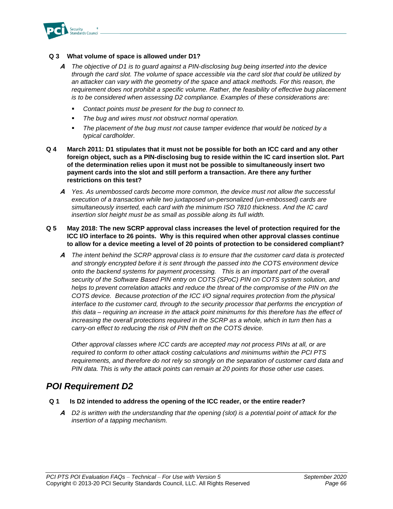

### **Q 3 What volume of space is allowed under D1?**

- **A** *The objective of D1 is to guard against a PIN-disclosing bug being inserted into the device through the card slot. The volume of space accessible via the card slot that could be utilized by an attacker can vary with the geometry of the space and attack methods. For this reason, the requirement does not prohibit a specific volume. Rather, the feasibility of effective bug placement is to be considered when assessing D2 compliance. Examples of these considerations are:* 
	- Contact points must be present for the bug to connect to.
	- *The bug and wires must not obstruct normal operation.*
	- The placement of the bug must not cause tamper evidence that would be noticed by a *typical cardholder.*
- **Q 4 March 2011: D1 stipulates that it must not be possible for both an ICC card and any other foreign object, such as a PIN-disclosing bug to reside within the IC card insertion slot. Part of the determination relies upon it must not be possible to simultaneously insert two payment cards into the slot and still perform a transaction. Are there any further restrictions on this test?**
	- **A** *Yes. As unembossed cards become more common, the device must not allow the successful execution of a transaction while two juxtaposed un-personalized (un-embossed) cards are simultaneously inserted, each card with the minimum ISO 7810 thickness. And the IC card insertion slot height must be as small as possible along its full width.*
- **Q 5 May 2018: The new SCRP approval class increases the level of protection required for the ICC I/O interface to 26 points. Why is this required when other approval classes continue to allow for a device meeting a level of 20 points of protection to be considered compliant?**
	- **A** *The intent behind the SCRP approval class is to ensure that the customer card data is protected and strongly encrypted before it is sent through the passed into the COTS environment device onto the backend systems for payment processing. This is an important part of the overall security of the Software Based PIN entry on COTS (SPoC) PIN on COTS system solution, and*  helps to prevent correlation attacks and reduce the threat of the compromise of the PIN on the *COTS device. Because protection of the ICC I/O signal requires protection from the physical* interface to the customer card, through to the security processor that performs the encryption of *this data – requiring an increase in the attack point minimums for this therefore has the effect of increasing the overall protections required in the SCRP as a whole, which in turn then has a carry-on effect to reducing the risk of PIN theft on the COTS device.*

*Other approval classes where ICC cards are accepted may not process PINs at all, or are required to conform to other attack costing calculations and minimums within the PCI PTS requirements, and therefore do not rely so strongly on the separation of customer card data and PIN data. This is why the attack points can remain at 20 points for those other use cases.*

## *POI Requirement D2*

#### **Q 1 Is D2 intended to address the opening of the ICC reader, or the entire reader?**

**A** *D2 is written with the understanding that the opening (slot) is a potential point of attack for the insertion of a tapping mechanism.*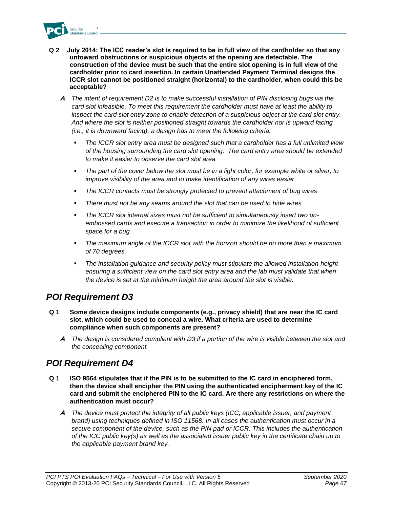

- **Q 2 July 2014: The ICC reader's slot is required to be in full view of the cardholder so that any untoward obstructions or suspicious objects at the opening are detectable. The construction of the device must be such that the entire slot opening is in full view of the cardholder prior to card insertion. In certain Unattended Payment Terminal designs the ICCR slot cannot be positioned straight (horizontal) to the cardholder, when could this be acceptable?** 
	- **A** *The intent of requirement D2 is to make successful installation of PIN disclosing bugs via the card slot infeasible. To meet this requirement the cardholder must have at least the ability to inspect the card slot entry zone to enable detection of a suspicious object at the card slot entry. And where the slot is neither positioned straight towards the cardholder nor is upward facing (i.e., it is downward facing), a design has to meet the following criteria:* 
		- The ICCR slot entry area must be designed such that a cardholder has a full unlimited view *of the housing surrounding the card slot opening. The card entry area should be extended to make it easier to observe the card slot area*
		- The part of the cover below the slot must be in a light color, for example white or silver, to *improve visibility of the area and to make identification of any wires easier*
		- The ICCR contacts must be strongly protected to prevent attachment of bug wires
		- *There must not be any seams around the slot that can be used to hide wires*
		- The ICCR slot internal sizes must not be sufficient to simultaneously insert two un*embossed cards and execute a transaction in order to minimize the likelihood of sufficient space for a bug.*
		- *The maximum angle of the ICCR slot with the horizon should be no more than a maximum of 70 degrees.*
		- The installation guidance and security policy must stipulate the allowed installation height *ensuring a sufficient view on the card slot entry area and the lab must validate that when the device is set at the minimum height the area around the slot is visible.*

## *POI Requirement D3*

- **Q 1 Some device designs include components (e.g., privacy shield) that are near the IC card slot, which could be used to conceal a wire. What criteria are used to determine compliance when such components are present?**
	- **A** *The design is considered compliant with D3 if a portion of the wire is visible between the slot and the concealing component.*

# *POI Requirement D4*

- **Q 1 ISO 9564 stipulates that if the PIN is to be submitted to the IC card in enciphered form, then the device shall encipher the PIN using the authenticated encipherment key of the IC card and submit the enciphered PIN to the IC card. Are there any restrictions on where the authentication must occur?**
	- **A** *The device must protect the integrity of all public keys (ICC, applicable issuer, and payment brand) using techniques defined in ISO 11568. In all cases the authentication must occur in a secure component of the device, such as the PIN pad or ICCR. This includes the authentication of the ICC public key(s) as well as the associated issuer public key in the certificate chain up to the applicable payment brand key.*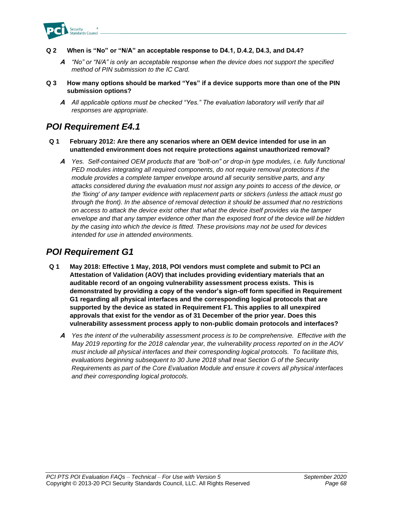

- **Q 2 When is "No" or "N/A" an acceptable response to D4.1, D.4.2, D4.3, and D4.4?**
	- **A** *"No" or "N/A" is only an acceptable response when the device does not support the specified method of PIN submission to the IC Card.*
- **Q 3 How many options should be marked "Yes" if a device supports more than one of the PIN submission options?**
	- **A** *All applicable options must be checked "Yes." The evaluation laboratory will verify that all responses are appropriate.*

## *POI Requirement E4.1*

- **Q 1 February 2012: Are there any scenarios where an OEM device intended for use in an unattended environment does not require protections against unauthorized removal?**
	- **A** *Yes. Self-contained OEM products that are "bolt-on" or drop-in type modules, i.e. fully functional PED modules integrating all required components, do not require removal protections if the module provides a complete tamper envelope around all security sensitive parts, and any attacks considered during the evaluation must not assign any points to access of the device, or the 'fixing' of any tamper evidence with replacement parts or stickers (unless the attack must go through the front). In the absence of removal detection it should be assumed that no restrictions on access to attack the device exist other that what the device itself provides via the tamper envelope and that any tamper evidence other than the exposed front of the device will be hidden by the casing into which the device is fitted. These provisions may not be used for devices intended for use in attended environments.*

## *POI Requirement G1*

- **Q 1 May 2018: Effective 1 May, 2018, POI vendors must complete and submit to PCI an Attestation of Validation (AOV) that includes providing evidentiary materials that an auditable record of an ongoing vulnerability assessment process exists. This is demonstrated by providing a copy of the vendor's sign-off form specified in Requirement G1 regarding all physical interfaces and the corresponding logical protocols that are supported by the device as stated in Requirement F1. This applies to all unexpired approvals that exist for the vendor as of 31 December of the prior year. Does this vulnerability assessment process apply to non-public domain protocols and interfaces?**
	- **A** *Yes the intent of the vulnerability assessment process is to be comprehensive. Effective with the May 2019 reporting for the 2018 calendar year, the vulnerability process reported on in the AOV must include all physical interfaces and their corresponding logical protocols. To facilitate this, evaluations beginning subsequent to 30 June 2018 shall treat Section G of the Security Requirements as part of the Core Evaluation Module and ensure it covers all physical interfaces and their corresponding logical protocols.*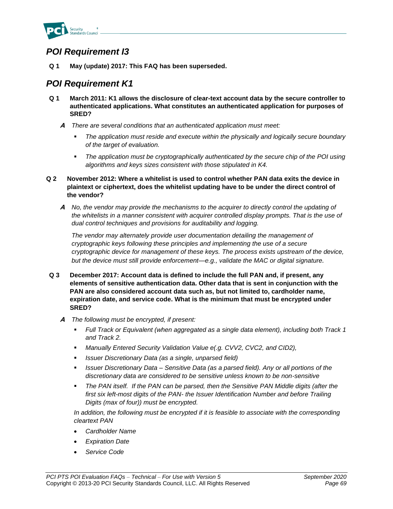

## *POI Requirement I3*

**Q 1 May (update) 2017: This FAQ has been superseded.**

## *POI Requirement K1*

- **Q 1 March 2011: K1 allows the disclosure of clear-text account data by the secure controller to authenticated applications. What constitutes an authenticated application for purposes of SRED?**
	- **A** *There are several conditions that an authenticated application must meet:*
		- The application must reside and execute within the physically and logically secure boundary *of the target of evaluation.*
		- *The application must be cryptographically authenticated by the secure chip of the POI using algorithms and keys sizes consistent with those stipulated in K4.*
- **Q 2 November 2012: Where a whitelist is used to control whether PAN data exits the device in plaintext or ciphertext, does the whitelist updating have to be under the direct control of the vendor?**
	- **A** *No, the vendor may provide the mechanisms to the acquirer to directly control the updating of the whitelists in a manner consistent with acquirer controlled display prompts. That is the use of dual control techniques and provisions for auditability and logging.*

*The vendor may alternately provide user documentation detailing the management of cryptographic keys following these principles and implementing the use of a secure cryptographic device for management of these keys. The process exists upstream of the device, but the device must still provide enforcement—e.g., validate the MAC or digital signature.*

- **Q 3 December 2017: Account data is defined to include the full PAN and, if present, any elements of sensitive authentication data. Other data that is sent in conjunction with the PAN are also considered account data such as, but not limited to, cardholder name, expiration date, and service code. What is the minimum that must be encrypted under SRED?**
	- **A** *The following must be encrypted, if present:*
		- *Full Track or Equivalent (when aggregated as a single data element), including both Track 1 and Track 2.*
		- *Manually Entered Security Validation Value e(.g. CVV2, CVC2, and CID2),*
		- *Issuer Discretionary Data (as a single, unparsed field)*
		- *Issuer Discretionary Data – Sensitive Data (as a parsed field). Any or all portions of the discretionary data are considered to be sensitive unless known to be non-sensitive*
		- *The PAN itself. If the PAN can be parsed, then the Sensitive PAN Middle digits (after the first six left-most digits of the PAN- the Issuer Identification Number and before Trailing Digits (max of four)) must be encrypted.*

*In addition, the following must be encrypted if it is feasible to associate with the corresponding cleartext PAN*

- *Cardholder Name*
- *Expiration Date*
- *Service Code*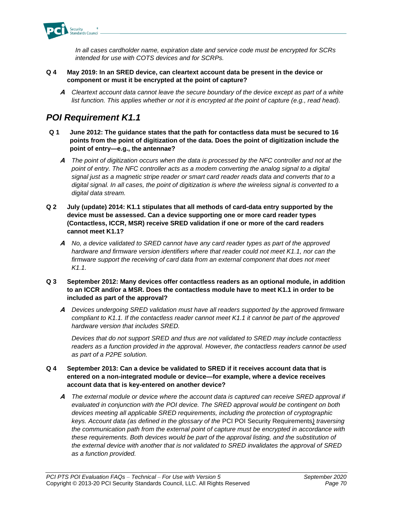

*In all cases cardholder name, expiration date and service code must be encrypted for SCRs intended for use with COTS devices and for SCRPs.*

## **Q 4 May 2019: In an SRED device, can cleartext account data be present in the device or component or must it be encrypted at the point of capture?**

**A** *Cleartext account data cannot leave the secure boundary of the device except as part of a white list function. This applies whether or not it is encrypted at the point of capture (e.g., read head).*

# *POI Requirement K1.1*

- **Q 1 June 2012: The guidance states that the path for contactless data must be secured to 16 points from the point of digitization of the data. Does the point of digitization include the point of entry—e.g., the antennae?**
	- **A** *The point of digitization occurs when the data is processed by the NFC controller and not at the point of entry. The NFC controller acts as a modem converting the analog signal to a digital signal just as a magnetic stripe reader or smart card reader reads data and converts that to a digital signal. In all cases, the point of digitization is where the wireless signal is converted to a digital data stream.*
- **Q 2 July (update) 2014: K1.1 stipulates that all methods of card-data entry supported by the device must be assessed. Can a device supporting one or more card reader types (Contactless, ICCR, MSR) receive SRED validation if one or more of the card readers cannot meet K1.1?**
	- **A** *No, a device validated to SRED cannot have any card reader types as part of the approved hardware and firmware version identifiers where that reader could not meet K1.1, nor can the firmware support the receiving of card data from an external component that does not meet K1.1.*
- **Q 3 September 2012: Many devices offer contactless readers as an optional module, in addition to an ICCR and/or a MSR. Does the contactless module have to meet K1.1 in order to be included as part of the approval?**
	- **A** *Devices undergoing SRED validation must have all readers supported by the approved firmware compliant to K1.1. If the contactless reader cannot meet K1.1 it cannot be part of the approved hardware version that includes SRED.*

*Devices that do not support SRED and thus are not validated to SRED may include contactless readers as a function provided in the approval. However, the contactless readers cannot be used as part of a P2PE solution.* 

## **Q 4 September 2013: Can a device be validated to SRED if it receives account data that is entered on a non-integrated module or device—for example, where a device receives account data that is key-entered on another device?**

**A** *The external module or device where the account data is captured can receive SRED approval if evaluated in conjunction with the POI device. The SRED approval would be contingent on both devices meeting all applicable SRED requirements, including the protection of cryptographic keys. Account data (as defined in the glossary of the* PCI POI Security Requirements*) traversing the communication path from the external point of capture must be encrypted in accordance with these requirements. Both devices would be part of the approval listing, and the substitution of the external device with another that is not validated to SRED invalidates the approval of SRED as a function provided.*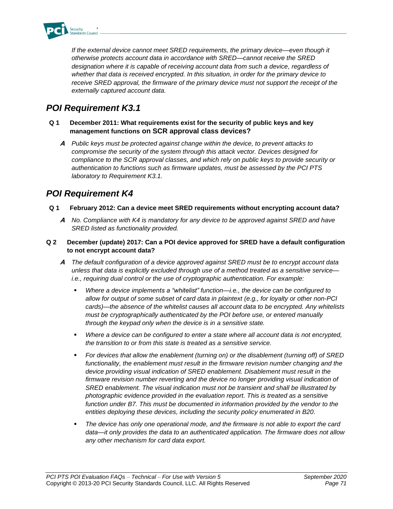

*If the external device cannot meet SRED requirements, the primary device—even though it otherwise protects account data in accordance with SRED—cannot receive the SRED designation where it is capable of receiving account data from such a device, regardless of whether that data is received encrypted. In this situation, in order for the primary device to receive SRED approval, the firmware of the primary device must not support the receipt of the externally captured account data.*

# *POI Requirement K3.1*

- **Q 1 December 2011: What requirements exist for the security of public keys and key management functions on SCR approval class devices?**
	- **A** *Public keys must be protected against change within the device, to prevent attacks to compromise the security of the system through this attack vector. Devices designed for compliance to the SCR approval classes, and which rely on public keys to provide security or authentication to functions such as firmware updates, must be assessed by the PCI PTS laboratory to Requirement K3.1.*

#### *POI Requirement K4*

- **Q 1 February 2012: Can a device meet SRED requirements without encrypting account data?**
	- **A** *No. Compliance with K4 is mandatory for any device to be approved against SRED and have SRED listed as functionality provided.*
- **Q 2 December (update) 2017: Can a POI device approved for SRED have a default configuration to not encrypt account data?**
	- **A** *The default configuration of a device approved against SRED must be to encrypt account data unless that data is explicitly excluded through use of a method treated as a sensitive service i.e., requiring dual control or the use of cryptographic authentication. For example:*
		- *Where a device implements a "whitelist" function—i.e., the device can be configured to allow for output of some subset of card data in plaintext (e.g., for loyalty or other non-PCI cards)—the absence of the whitelist causes all account data to be encrypted. Any whitelists must be cryptographically authenticated by the POI before use, or entered manually through the keypad only when the device is in a sensitive state.*
		- Where a device can be configured to enter a state where all account data is not encrypted, *the transition to or from this state is treated as a sensitive service.*
		- *For devices that allow the enablement (turning on) or the disablement (turning off) of SRED functionality, the enablement must result in the firmware revision number changing and the device providing visual indication of SRED enablement. Disablement must result in the firmware revision number reverting and the device no longer providing visual indication of SRED enablement. The visual indication must not be transient and shall be illustrated by photographic evidence provided in the evaluation report. This is treated as a sensitive function under B7. This must be documented in information provided by the vendor to the entities deploying these devices, including the security policy enumerated in B20.*
		- *The device has only one operational mode, and the firmware is not able to export the card data—it only provides the data to an authenticated application. The firmware does not allow any other mechanism for card data export.*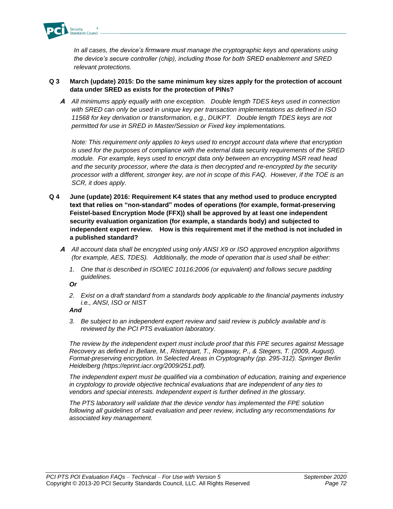

*In all cases, the device's firmware must manage the cryptographic keys and operations using the device's secure controller (chip), including those for both SRED enablement and SRED relevant protections.*

#### **Q 3 March (update) 2015: Do the same minimum key sizes apply for the protection of account data under SRED as exists for the protection of PINs?**

**A** *All minimums apply equally with one exception. Double length TDES keys used in connection with SRED can only be used in unique key per transaction implementations as defined in ISO 11568 for key derivation or transformation, e.g., DUKPT. Double length TDES keys are not permitted for use in SRED in Master/Session or Fixed key implementations.*

*Note: This requirement only applies to keys used to encrypt account data where that encryption is used for the purposes of compliance with the external data security requirements of the SRED module. For example, keys used to encrypt data only between an encrypting MSR read head and the security processor, where the data is then decrypted and re-encrypted by the security processor with a different, stronger key, are not in scope of this FAQ. However, if the TOE is an SCR, it does apply.*

- **Q 4 June (update) 2016: Requirement K4 states that any method used to produce encrypted text that relies on "non-standard" modes of operations (for example, format-preserving Feistel-based Encryption Mode (FFX)) shall be approved by at least one independent security evaluation organization (for example, a standards body) and subjected to independent expert review. How is this requirement met if the method is not included in a published standard?**
	- **A** *All account data shall be encrypted using only ANSI X9 or ISO approved encryption algorithms (for example, AES, TDES). Additionally, the mode of operation that is used shall be either:* 
		- *1. One that is described in ISO/IEC 10116:2006 (or equivalent) and follows secure padding guidelines.*

*Or*

*2. Exist on a draft standard from a standards body applicable to the financial payments industry i.e., ANSI, ISO or NIST*

*And*

*3. Be subject to an independent expert review and said review is publicly available and is reviewed by the PCI PTS evaluation laboratory.* 

*The review by the independent expert must include proof that this FPE secures against Message Recovery as defined in Bellare, M., Ristenpart, T., Rogaway, P., & Stegers, T. (2009, August). Format-preserving encryption. In Selected Areas in Cryptography (pp. 295-312). Springer Berlin Heidelberg (https://eprint.iacr.org/2009/251.pdf).*

*The independent expert must be qualified via a combination of education, training and experience in cryptology to provide objective technical evaluations that are independent of any ties to vendors and special interests. Independent expert is further defined in the glossary.* 

*The PTS laboratory will validate that the device vendor has implemented the FPE solution following all guidelines of said evaluation and peer review, including any recommendations for associated key management.*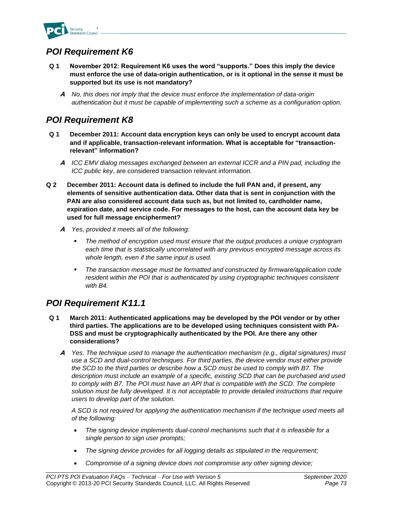

#### *POI Requirement K6*

- **Q 1 November 2012: Requirement K6 uses the word "supports." Does this imply the device must enforce the use of data-origin authentication, or is it optional in the sense it must be supported but its use is not mandatory?**
	- **A** *No, this does not imply that the device must enforce the implementation of data-origin authentication but it must be capable of implementing such a scheme as a configuration option.*

### *POI Requirement K8*

- **Q 1 December 2011: Account data encryption keys can only be used to encrypt account data and if applicable, transaction-relevant information. What is acceptable for "transactionrelevant" information?**
	- **A** *ICC EMV dialog messages exchanged between an external ICCR and a PIN pad, including the ICC public key*, are considered transaction relevant information.
- **Q 2 December 2011: Account data is defined to include the full PAN and, if present, any elements of sensitive authentication data. Other data that is sent in conjunction with the PAN are also considered account data such as, but not limited to, cardholder name, expiration date, and service code. For messages to the host, can the account data key be used for full message encipherment?**
	- **A** *Yes, provided it meets all of the following:*
		- The method of encryption used must ensure that the output produces a unique cryptogram *each time that is statistically uncorrelated with any previous encrypted message across its whole length, even if the same input is used.*
		- *The transaction message must be formatted and constructed by firmware/application code resident within the POI that is authenticated by using cryptographic techniques consistent with B4.*

#### *POI Requirement K11.1*

- **Q 1 March 2011: Authenticated applications may be developed by the POI vendor or by other third parties. The applications are to be developed using techniques consistent with PA-DSS and must be cryptographically authenticated by the POI. Are there any other considerations?**
	- **A** *Yes. The technique used to manage the authentication mechanism (e.g., digital signatures) must use a SCD and dual-control techniques. For third parties, the device vendor must either provide the SCD to the third parties or describe how a SCD must be used to comply with B7. The description must include an example of a specific, existing SCD that can be purchased and used to comply with B7. The POI must have an API that is compatible with the SCD. The complete solution must be fully developed. It is not acceptable to provide detailed instructions that require users to develop part of the solution.*

*A SCD is not required for applying the authentication mechanism if the technique used meets all of the following:*

- *The signing device implements dual-control mechanisms such that it is infeasible for a single person to sign user prompts;*
- *The signing device provides for all logging details as stipulated in the requirement;*
- *Compromise of a signing device does not compromise any other signing device;*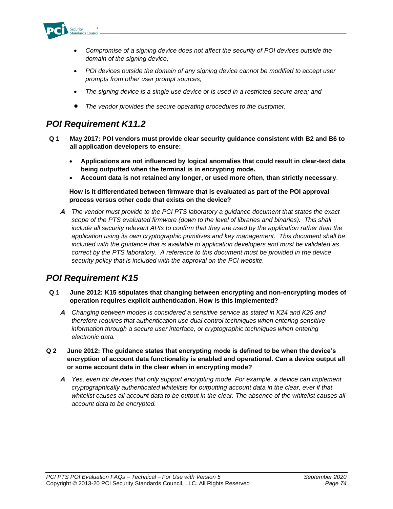

- *Compromise of a signing device does not affect the security of POI devices outside the domain of the signing device;*
- *POI devices outside the domain of any signing device cannot be modified to accept user prompts from other user prompt sources;*
- *The signing device is a single use device or is used in a restricted secure area; and*
- *The vendor provides the secure operating procedures to the customer.*

#### *POI Requirement K11.2*

- **Q 1 May 2017: POI vendors must provide clear security guidance consistent with B2 and B6 to all application developers to ensure:**
	- **Applications are not influenced by logical anomalies that could result in clear-text data being outputted when the terminal is in encrypting mode.**
	- **Account data is not retained any longer, or used more often, than strictly necessary**.

**How is it differentiated between firmware that is evaluated as part of the POI approval process versus other code that exists on the device?**

**A** *The vendor must provide to the PCI PTS laboratory a guidance document that states the exact scope of the PTS evaluated firmware (down to the level of libraries and binaries). This shall include all security relevant APIs to confirm that they are used by the application rather than the application using its own cryptographic primitives and key management. This document shall be included with the guidance that is available to application developers and must be validated as correct by the PTS laboratory. A reference to this document must be provided in the device security policy that is included with the approval on the PCI website.*

## *POI Requirement K15*

- **Q 1 June 2012: K15 stipulates that changing between encrypting and non-encrypting modes of operation requires explicit authentication. How is this implemented?**
	- **A** *Changing between modes is considered a sensitive service as stated in K24 and K25 and therefore requires that authentication use dual control techniques when entering sensitive information through a secure user interface, or cryptographic techniques when entering electronic data.*
- **Q 2 June 2012: The guidance states that encrypting mode is defined to be when the device's encryption of account data functionality is enabled and operational. Can a device output all or some account data in the clear when in encrypting mode?**
	- **A** *Yes, even for devices that only support encrypting mode. For example, a device can implement cryptographically authenticated whitelists for outputting account data in the clear, ever if that*  whitelist causes all account data to be output in the clear. The absence of the whitelist causes all *account data to be encrypted.*